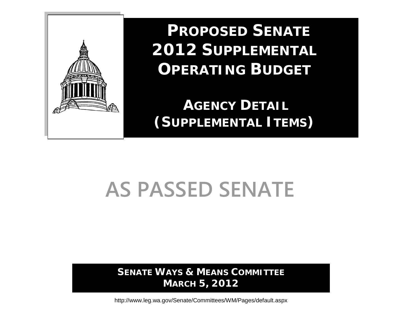

 **PROPOSED SENATE 2012 SUPPLEMENTAL OPERATING BUDGET**

**AGENCY DETAIL (SUPPLEMENTAL ITEMS)**

# **AS PASSED SENATE**

**SENATE WAYS & MEANS COMMITTEE MARCH 5, 2012**

http://www.leg.wa.gov/Senate/Committees/WM/Pages/default.aspx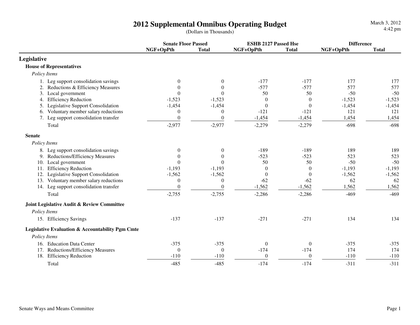**Senate Floor Passed**<br> **ESHB 2127 Passed Hse Difference**<br> **Difference**<br> **Difference**<br> **Difference**<br> **Difference**<br> **Difference NGF+OpPth Total NGF+OpPth Total NGF+OpPth TotalLegislative House of Representatives** *Policy Items*1. Leg support consolidation savings  $\begin{pmatrix} 0 & 0 & 0 \\ 0 & 0 & -177 & -177 \end{pmatrix}$  177 177 177 177 577 2. Reductions & Efficiency Measures 0 0 0 -577 -577 577 577 577  $-50$ 3. Local governmentt t contract t t contract t contract t contract t contract of the set of  $50$   $50$   $-50$   $-50$  $-1,523$ 4. Efficiency Reduction  $-1,523$   $-1,523$  0 0  $-1,523$  $-1.454$ 5. Legislative Support Consolidation  $-1,454$   $-1,454$   $0$  0  $1,454$ 121 6. Voluntary member salary reductions  $\begin{array}{cccc} 0 & 0 & -121 & -121 & -121 \\ 7. & \text{Leg support consideration transfer} & 0 & 0 & -1.454 & -1.454 \end{array}$  1.454 1.454 7. Leg support consolidation transfer 0 0 0 -1,454 -1,454 1,454 Total $-2,977$   $-2,977$   $-2,279$   $-2,279$   $-698$   $-698$  **Senate**  *Policy Items*8. Leg support consolidation savings  $\begin{array}{cccc} 0 & 0 & 189 & -189 & -189 & 189 \end{array}$  and the support consolidation savings  $\begin{array}{cccc} 0 & 0 & -189 & -523 & -523 & 523 \end{array}$  523 523 9. Reductions/Efficiency Measures 0 0 0 -523 -523 523<br>
0 0 -50 -50 -50 -50 -50 -50  $-50$ 10. Local governmentt t contract t t contract t contract t contract t contract of the set of  $50$   $50$   $-50$   $-50$  $-1,193$ 11. Efficiency Reduction **1.193** -1,193 0 0 -1,193  $-1,562$ 12. Legislative Support Consolidation -1,562 -1,562 0 0 -1,562 62 13. Voluntary member salary reductions 0 0 0 -62 -62 62 62 1.562 14. Leg support consolidation transfer 0 0 0 -1,562 -1,562 -1,562  $\frac{2}{-}$  1,562 1,562 Total $-2,755$   $-2,755$   $-2,755$   $-2,286$   $-2,286$   $-469$   $-469$  **Joint Legislative Audit & Review Committee** *Policy Items*15. Efficiency Savings -137 -137 -271 -271 <sup>134</sup> <sup>134</sup> **Legislative Evaluation & Accountability Pgm Cmte** *Policy Items*16. Education Data Center -375 -375 0 0 -375 -375174 17. Reductions/Efficiency Measures 0 0 0 -174 -174 174

18. Efficiency Reduction **110** -110 -110 0 0 -110

 $-485$   $-485$   $-174$   $-174$   $-311$   $-311$ 

Total

 $-110$ 

 $-311$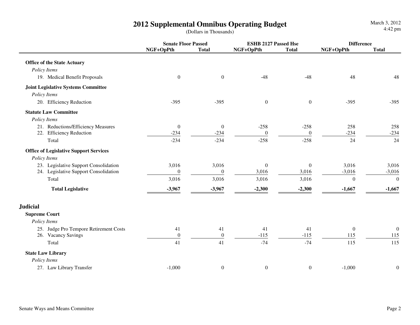**Senate Floor Passed ESHB 2127 Passed Hse DifferenceNGF+OpPth Total NGF+OpPth Total NGF+OpPth Total Office of the State Actuary** *Policy Items*19. Medical Benefit Proposals **19. Medical Benefit Proposals** 19. Medical Benefit Proposals 19. A8 148 148 148  **Joint Legislative Systems Committee** *Policy Items*20. Efficiency Reduction -395 -395 0 0 -395 -395 **Statute Law Committee** *Policy Items*21. Reductions/Efficiency Measures 0 0 0 -258 -258 258 258 258<br>22. Efficiency Reduction -234 -234 0 0 -234 -234  $-234$ 22. Efficiency Reduction **234** -234 0 0 -234 -234 0 0 -234 Total $-234$   $-234$   $-234$   $-258$   $-258$   $-24$   $-24$  **Office of Legislative Support Services** *Policy Items*23. Legislative Support Consolidation 3,016 3,016 3,016 3,016 3,016 3,016 3,016  $-3,016$ 24. Legislative Support Consolidation 0 0 3,016 3,016 3,016 -3,016 -3,016 Total $3,016$   $3,016$   $3,016$   $3,016$   $3,016$   $3,016$   $0$  0  **Total Legislative -3,967 -3,967 -2,300 -2,300 -1,667 -1,667Judicial Supreme Court** *Policy Items*25. Judge Pro Tempore Retirement Costs  $\begin{array}{cccc} 41 & 41 & 41 & 41 & 0 & 0 \\ 26. & Vacancy Savings & 0 & 0 & -115 & -115 & 115 \end{array}$ 115 26. Vacancy Savingss  $\frac{0}{2}$   $\frac{0}{2}$   $\frac{0}{2}$   $\frac{-115}{115}$   $\frac{-115}{2}$   $\frac{115}{2}$   $\frac{115}{2}$   $\frac{115}{2}$ 115 Total $11$  41  $41$   $-74$   $-74$   $115$   $115$  **State Law Library** *Policy Items*27. Law Library Transfer -1,000 0 0 0 -1,000 0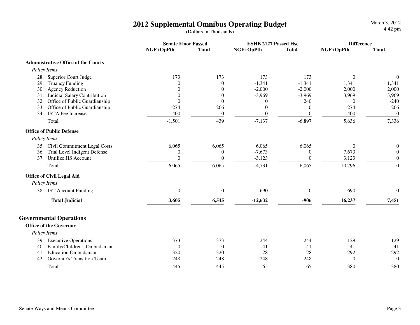|                                            | <b>Senate Floor Passed</b> |                  | <b>ESHB 2127 Passed Hse</b> |                | <b>Difference</b> |                  |
|--------------------------------------------|----------------------------|------------------|-----------------------------|----------------|-------------------|------------------|
|                                            | NGF+OpPth                  | <b>Total</b>     | NGF+OpPth                   | <b>Total</b>   | NGF+OpPth         | <b>Total</b>     |
| <b>Administrative Office of the Courts</b> |                            |                  |                             |                |                   |                  |
| Policy Items                               |                            |                  |                             |                |                   |                  |
| 28. Superior Court Judge                   | 173                        | 173              | 173                         | 173            | $\mathbf{0}$      | $\overline{0}$   |
| 29. Truancy Funding                        | $\theta$                   | $\overline{0}$   | $-1,341$                    | $-1,341$       | 1,341             | 1,341            |
| <b>Agency Reduction</b><br>30.             | $\theta$                   | $\overline{0}$   | $-2,000$                    | $-2,000$       | 2,000             | 2,000            |
| Judicial Salary Contribution<br>31.        | $\theta$                   | $\overline{0}$   | $-3,969$                    | $-3,969$       | 3,969             | 3,969            |
| Office of Public Guardianship<br>32.       | $\boldsymbol{0}$           | $\mathbf{0}$     | $\boldsymbol{0}$            | 240            | $\boldsymbol{0}$  | $-240$           |
| 33. Office of Public Guardianship          | $-274$                     | 266              | $\boldsymbol{0}$            | $\Omega$       | $-274$            | 266              |
| 34. JSTA Fee Increase                      | $-1,400$                   | $\boldsymbol{0}$ | $\boldsymbol{0}$            | $\theta$       | $-1,400$          | $\boldsymbol{0}$ |
| Total                                      | $-1,501$                   | 439              | $-7,137$                    | $-6,897$       | 5,636             | 7,336            |
| <b>Office of Public Defense</b>            |                            |                  |                             |                |                   |                  |
| Policy Items                               |                            |                  |                             |                |                   |                  |
| 35. Civil Commitment Legal Costs           | 6,065                      | 6,065            | 6,065                       | 6,065          | $\theta$          | 0                |
| Trial Level Indigent Defense<br>36.        | $\boldsymbol{0}$           | $\mathbf{0}$     | $-7,673$                    | $\Omega$       | 7,673             | $\boldsymbol{0}$ |
| Untilize JIS Account<br>37.                | $\boldsymbol{0}$           | $\overline{0}$   | $-3,123$                    | $\Omega$       | 3,123             | $\boldsymbol{0}$ |
| Total                                      | 6,065                      | 6,065            | $-4,731$                    | 6,065          | 10,796            | $\boldsymbol{0}$ |
| <b>Office of Civil Legal Aid</b>           |                            |                  |                             |                |                   |                  |
| Policy Items                               |                            |                  |                             |                |                   |                  |
| 38. JST Account Funding                    | $\boldsymbol{0}$           | $\overline{0}$   | $-690$                      | $\overline{0}$ | 690               | $\overline{0}$   |
| <b>Total Judicial</b>                      | 3,605                      | 6,545            | $-12,632$                   | $-906$         | 16,237            | 7,451            |
| <b>Governmental Operations</b>             |                            |                  |                             |                |                   |                  |
| <b>Office of the Governor</b>              |                            |                  |                             |                |                   |                  |
| Policy Items                               |                            |                  |                             |                |                   |                  |
| 39. Executive Operations                   | $-373$                     | $-373$           | $-244$                      | $-244$         | $-129$            | $-129$           |
| Family/Children's Ombudsman<br>40.         | $\theta$                   | $\theta$         | $-41$                       | $-41$          | 41                | 41               |
| <b>Education Ombudsman</b><br>41.          | $-320$                     | $-320$           | $-28$                       | $-28$          | $-292$            | $-292$           |
| Governor's Transition Team<br>42.          | 248                        | 248              | 248                         | 248            | $\mathbf{0}$      | $\theta$         |
| Total                                      | $-445$                     | $-445$           | $-65$                       | $-65$          | $-380$            | $-380$           |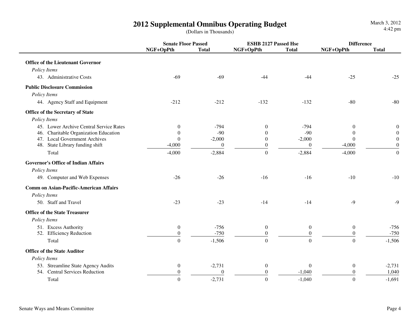**Senate Floor Passed ESHB 2127 Passed Hse DifferenceNGF+OpPth Total NGF+OpPth Total NGF+OpPth Total Office of the Lieutenant Governor** *Policy Items*43. Administrative Costs  $-69$  -69  $-44$  -44  $-25$  -25  $-25$  **Public Disclosure Commission** *Policy Items*44. Agency Staff and Equipment -212 -212 -212 -213 -132 -80 -80  **Office of the Secretary of State** *Policy Items*45. Lower Archive Central Service Rates  $\begin{array}{ccc} 0 & -794 & 0 & -794 & 0 \end{array}$  $\Omega$ 46. Charitable Organization Education 0 -90 0 -90 0 0 $\Omega$ 47. Local Government Archives 0 -2,000 -2,000 0 -2,000  $\boldsymbol{0}$ 48. State Library funding shift  $-4,000$  0 0 0 -4,000 Total $-4,000$   $-2,884$  0  $-2,884$  0  $-2,884$  0  $-4,000$  0  **Governor's Office of Indian Affairs** *Policy Items*49. Computer and Web Expenses -26 -26 -26 -16 -16 -10 -10 -10  **Comm on Asian-Pacific-American Affairs** *Policy Items*50. Staff and Travel1 -23 -23 -23 -14 -14 -9 -9 -9  **Office of the State Treasurer** *Policy Items*51. Excess Authority $0$  -756 0 0 0 -756 52. Efficiency Reductionn  $\frac{0}{2}$   $\frac{-750}{2}$   $\frac{0}{2}$   $\frac{0}{2}$   $\frac{0}{2}$   $\frac{0}{2}$   $\frac{-750}{2}$ Total $0 \qquad \qquad 1,506$  0 0  $-1,506$  **Office of the State Auditor** *Policy Items*53. Streamline State Agency Audits  $\begin{array}{cccc} 0 & -2.731 & 0 & 0 & 0 & -2.731 \\ 54. & \text{Central Services Reduction} & 0 & 0 & 0 & 1.040 \end{array}$ 1.040 54. Central Services Reduction 0 0 0 -1,040 0 1,040Total1 and  $\begin{array}{ccccccc} 0 & -2,731 & 0 & -1,040 & 0 & -1,691 \end{array}$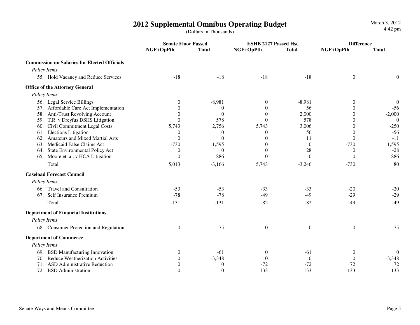**Senate Floor Passed ESHB 2127 Passed Hse DifferenceNGF+OpPth Total NGF+OpPth Total NGF+OpPth Total Commission on Salaries for Elected Officials** *Policy Items*55. Hold Vacancy and Reduce Services -18 -18 -18 -18 0 0 **Office of the Attorney General** *Policy Items*56. Legal Service Billingss and  $\begin{array}{ccccccc} 0 & 0 & -8,981 & 0 & -8,981 & 0 \end{array}$  $-56$ 57. Affordable Care Act Implementation  $\begin{array}{cccc} 0 & 0 & 0 & 56 & 0 \\ 58. & \text{Anti-Trust Revolving Account} & 0 & 0 & 0 \\ 0 & 0 & 0 & 2.000 & 0 \end{array}$  $-2,000$ 58. Anti-Trust Revolving Account  $\begin{array}{cccc} 0 & 0 & 0 & 0 & 2,000 \\ 59. & T.R. \text{v Drevfus DSHS Litiization} & 0 & 578 & 0 \end{array}$  $\overline{0}$ 59. T.R. v Dreyfus DSHS Litigation 0 578 0 578 0 578 0 578 0 578 0 578 0 578 0 578 0 578 0 578 0 578 0 578 0 0 578 0 0 578 0 0 578 0 0 578 0 0 578 0 0 578 0 0 578 0 0 578 0 0 578 0 0 578 0 0 0 0 0 0 0 0 0 0 0 0 0 0 0 0 0 0  $-250$ 60. Civil Commitment Legal Costs 5,743 2,756 5,743 3,0066 0  $-250$ 61. Elections Litigationn 0 0 0 56 0 -56 62. Amateurs and Mixed Martial Arts **0** 0 0 0 11 0 -11 1.595 63. Medicaid False Claims Act -730 1,595 0 0 -730 1,595 $-28$ 64. State Environmental Policy Act  $\begin{array}{cccc} 0 & 0 & 0 & 0 & 28 & 0 \\ 65. & Moore et. al. v HCA Litigation & 0 & 886 & 0 & 0 \end{array}$ 886 65. Moore et. al. v HCA Litigation 80 Total $5,013$   $-3,166$   $5,743$   $-3,246$   $-730$   $-80$  **Caseload Forecast Council** *Policy Items*66. Travel and Consultation 1.1 and Consultation 1.53 -53 -53 -33 -33 -33 -20 -20 -20<br>67. Self Insurance Premium 1.1 and 29 -78 -78 -78 -49 -49 -29 -29 -29  $-29$  $-78$   $-78$   $-78$   $-49$   $-49$  $-49$ Total $-131$   $-131$   $-82$   $-82$   $-49$   $-49$  **Department of Financial Institutions** *Policy Items*68. Consumer Protection and Regulation 0 75 0 0 0 75  **Department of Commerce** *Policy Items*69. BSD Manufacturing Innovation 0 -61 0 -61 0 0

70. Reduce Weatherization Activities 0 -3,348 0 0 0 -3,348

 $-3,348$ 

72

133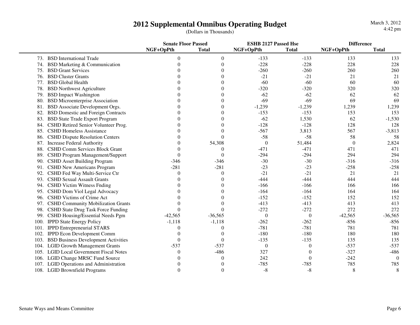|      |                                            | <b>Senate Floor Passed</b> |                  | <b>ESHB 2127 Passed Hse</b> |                  | <b>Difference</b> |              |
|------|--------------------------------------------|----------------------------|------------------|-----------------------------|------------------|-------------------|--------------|
|      |                                            | NGF+OpPth                  | <b>Total</b>     | NGF+OpPth                   | <b>Total</b>     | NGF+OpPth         | <b>Total</b> |
|      | 73. BSD International Trade                | $\Omega$                   | $\boldsymbol{0}$ | $-133$                      | $-133$           | 133               | 133          |
| 74.  | BSD Marketing & Communication              | $\Omega$                   | $\Omega$         | $-228$                      | $-228$           | 228               | 228          |
| 75.  | <b>BSD Grant Services</b>                  |                            |                  | $-260$                      | $-260$           | 260               | 260          |
| 76.  | <b>BSD Cluster Grants</b>                  |                            |                  | $-21$                       | $-21$            | 21                | 21           |
| 77.  | <b>BSD</b> Global Health                   |                            |                  | $-60$                       | $-60$            | 60                | 60           |
| 78.  | <b>BSD Northwest Agriculture</b>           |                            |                  | $-320$                      | $-320$           | 320               | 320          |
| 79.  | <b>BSD</b> Impact Washington               |                            |                  | $-62$                       | $-62$            | 62                | 62           |
| 80.  | <b>BSD Microenterprise Association</b>     |                            |                  | $-69$                       | $-69$            | 69                | 69           |
| 81.  | <b>BSD</b> Associate Development Orgs.     |                            |                  | $-1,239$                    | $-1,239$         | 1,239             | 1,239        |
|      | <b>BSD Domestic and Foreign Contracts</b>  | 0                          |                  | $-153$                      | $-153$           | 153               | 153          |
|      | 83. BSD State Trade Export Program         | 0                          |                  | $-62$                       | 1,530            | 62                | $-1,530$     |
|      | 84. CSHD Retired Senior Volunteer Prog.    | 0                          |                  | $-128$                      | $-128$           | 128               | 128          |
|      | 85. CSHD Homeless Assistance               |                            |                  | $-567$                      | 3,813            | 567               | $-3,813$     |
| 86.  | <b>CSHD Dispute Resolution Centers</b>     | 0                          | $\Omega$         | $-58$                       | $-58$            | 58                | 58           |
|      | 87. Increase Federal Authority             | 0                          | 54,308           | $\mathbf{0}$                | 51,484           | $\theta$          | 2,824        |
| 88.  | CSHD Comm Services Block Grant             | 0                          | $\Omega$         | $-471$                      | $-471$           | 471               | 471          |
|      | 89. CSHD Program Management/Support        | $\Omega$                   | $\theta$         | $-294$                      | $-294$           | 294               | 294          |
|      | 90. CSHD Asset Building Program            | $-346$                     | $-346$           | $-30$                       | $-30$            | $-316$            | $-316$       |
|      | 91. CSHD New Americans Program             | $-281$                     | $-281$           | $-23$                       | $-23$            | $-258$            | $-258$       |
| 92.  | CSHD Fed Way Multi-Service Ctr             | 0                          | $\Omega$         | $-21$                       | $-21$            | 21                | 21           |
|      | 93. CSHD Sexual Assault Grants             |                            |                  | $-444$                      | $-444$           | 444               | 444          |
|      | 94. CSHD Victim Witness Fnding             |                            |                  | $-166$                      | $-166$           | 166               | 166          |
|      | 95. CSHD Dom Viol Legal Advocacy           |                            |                  | $-164$                      | $-164$           | 164               | 164          |
|      | 96. CSHD Victims of Crime Act              |                            |                  | $-152$                      | $-152$           | 152               | 152          |
|      | 97. CSHD Community Mobilization Grants     |                            |                  | $-413$                      | $-413$           | 413               | 413          |
| 98.  | CSHD State Drug Task Force Funding         | $\Omega$                   | $\Omega$         | $-272$                      | $-272$           | 272               | 272          |
| 99.  | CSHD Housing/Essential Needs Pgm           | $-42,565$                  | $-36,565$        | $\overline{0}$              | $\theta$         | $-42,565$         | $-36,565$    |
| 100. | <b>IPPD State Energy Policy</b>            | $-1,118$                   | $-1,118$         | $-262$                      | $-262$           | $-856$            | $-856$       |
|      | 101. IPPD Entrepreneurial STARS            | 0                          | $\Omega$         | $-781$                      | $-781$           | 781               | 781          |
| 102. | <b>IPPD Econ Development Comm</b>          | 0                          | $\Omega$         | $-180$                      | $-180$           | 180               | 180          |
| 103. | <b>BSD Business Development Activities</b> | $\Omega$                   | $\Omega$         | $-135$                      | $-135$           | 135               | 135          |
| 104. | <b>LGID Growth Management Grants</b>       | $-537$                     | $-537$           | $\theta$                    | $\theta$         | $-537$            | $-537$       |
| 105. | <b>LGID Local Government Fiscal Notes</b>  | $\Omega$                   | $-486$           | 327                         | $\boldsymbol{0}$ | $-327$            | $-486$       |
| 106. | <b>LGID Change MRSC Fund Source</b>        | 0                          | $\theta$         | 242                         | $\theta$         | $-242$            | $\theta$     |
| 107. | <b>LGID Operations and Administration</b>  |                            |                  | $-785$                      | $-785$           | 785               | 785          |
|      | 108. LGID Brownfield Programs              | $\Omega$                   | $\overline{0}$   | $-8$                        | $-8$             | 8                 | 8            |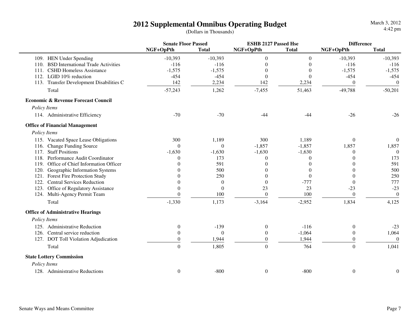|                                                   | <b>Senate Floor Passed</b> |                | <b>ESHB 2127 Passed Hse</b> |                  | <b>Difference</b> |                  |
|---------------------------------------------------|----------------------------|----------------|-----------------------------|------------------|-------------------|------------------|
|                                                   | NGF+OpPth                  | <b>Total</b>   | NGF+OpPth                   | <b>Total</b>     | NGF+OpPth         | <b>Total</b>     |
| 109. HEN Under Spending                           | $-10,393$                  | $-10,393$      | $\boldsymbol{0}$            | $\boldsymbol{0}$ | $-10,393$         | $-10,393$        |
| <b>BSD International Trade Activities</b><br>110. | $-116$                     | $-116$         | $\theta$                    | $\Omega$         | $-116$            | $-116$           |
| <b>CSHD Homeless Assistance</b><br>111.           | $-1,575$                   | $-1,575$       | $\theta$                    | $\theta$         | $-1,575$          | $-1,575$         |
| 112. LGID 10% reduction                           | $-454$                     | $-454$         | $\theta$                    | $\Omega$         | $-454$            | $-454$           |
| 113. Transfer Development Disabilities C          | 142                        | 2,234          | 142                         | 2,234            | $\mathbf{0}$      | $\theta$         |
| Total                                             | $-57,243$                  | 1,262          | $-7,455$                    | 51,463           | $-49,788$         | $-50,201$        |
| <b>Economic &amp; Revenue Forecast Council</b>    |                            |                |                             |                  |                   |                  |
| Policy Items                                      |                            |                |                             |                  |                   |                  |
| 114. Administrative Efficiency                    | $-70$                      | $-70$          | $-44$                       | $-44$            | $-26$             | $-26$            |
| <b>Office of Financial Management</b>             |                            |                |                             |                  |                   |                  |
| Policy Items                                      |                            |                |                             |                  |                   |                  |
| 115. Vacated Space Lease Obligations              | 300                        | 1,189          | 300                         | 1,189            | $\Omega$          | $\theta$         |
| 116. Change Funding Source                        | $\Omega$                   | $\theta$       | $-1,857$                    | $-1,857$         | 1,857             | 1,857            |
| 117. Staff Positions                              | $-1,630$                   | $-1,630$       | $-1,630$                    | $-1,630$         | 0                 | $\overline{0}$   |
| 118. Performance Audit Coordinator                | $\Omega$                   | 173            | $\theta$                    | 0                | $\theta$          | 173              |
| 119. Office of Chief Information Officer          |                            | 591            | $\theta$                    | 0                | 0                 | 591              |
| 120. Geographic Information Systems               |                            | 500            | 0                           | 0                | 0                 | 500              |
| 121. Forest Fire Protection Study                 |                            | 250            | $\Omega$                    | $\Omega$         | $\Omega$          | 250              |
| 122. Central Services Reduction                   |                            | $\overline{0}$ | $\theta$                    | $-777$           | $\theta$          | 777              |
| 123. Office of Regulatory Assistance              |                            | $\Omega$       | 23                          | 23               | $-23$             | $-23$            |
| 124. Multi-Agency Permit Team                     | $\Omega$                   | 100            | $\theta$                    | 100              | $\theta$          | $\overline{0}$   |
| Total                                             | $-1,330$                   | 1,173          | $-3,164$                    | $-2,952$         | 1,834             | 4,125            |
| <b>Office of Administrative Hearings</b>          |                            |                |                             |                  |                   |                  |
| Policy Items                                      |                            |                |                             |                  |                   |                  |
| 125. Administrative Reduction                     | $\mathbf{0}$               | $-139$         | $\boldsymbol{0}$            | $-116$           | $\boldsymbol{0}$  | $-23$            |
| 126. Central service reduction                    | $\overline{0}$             | $\theta$       | $\boldsymbol{0}$            | $-1,064$         | $\mathbf{0}$      | 1,064            |
| 127. DOT Toll Violation Adjudication              | $\theta$                   | 1,944          | $\mathbf{0}$                | 1,944            | 0                 | $\overline{0}$   |
| Total                                             | $\boldsymbol{0}$           | 1,805          | $\boldsymbol{0}$            | 764              | $\boldsymbol{0}$  | 1,041            |
| <b>State Lottery Commission</b>                   |                            |                |                             |                  |                   |                  |
| Policy Items                                      |                            |                |                             |                  |                   |                  |
| 128. Administrative Reductions                    | $\mathbf{0}$               | $-800$         | $\boldsymbol{0}$            | $-800$           | $\boldsymbol{0}$  | $\boldsymbol{0}$ |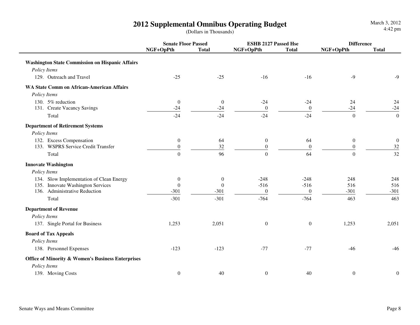|                                                              | <b>Senate Floor Passed</b> |                  | <b>ESHB 2127 Passed Hse</b> |                  | <b>Difference</b> |                  |
|--------------------------------------------------------------|----------------------------|------------------|-----------------------------|------------------|-------------------|------------------|
|                                                              | NGF+OpPth                  | <b>Total</b>     | NGF+OpPth                   | <b>Total</b>     | NGF+OpPth         | <b>Total</b>     |
| <b>Washington State Commission on Hispanic Affairs</b>       |                            |                  |                             |                  |                   |                  |
| Policy Items                                                 |                            |                  |                             |                  |                   |                  |
| 129. Outreach and Travel                                     | $-25$                      | $-25$            | $-16$                       | $-16$            | $-9$              | $-9$             |
| <b>WA State Comm on African-American Affairs</b>             |                            |                  |                             |                  |                   |                  |
| Policy Items                                                 |                            |                  |                             |                  |                   |                  |
| 130. 5% reduction                                            | $\mathbf{0}$               | $\mathbf{0}$     | $-24$                       | $-24$            | 24                | 24               |
| 131. Create Vacancy Savings                                  | $-24$                      | $-24$            | $\boldsymbol{0}$            | $\boldsymbol{0}$ | $-24$             | $-24$            |
| Total                                                        | $-24$                      | $-24$            | $-24$                       | $-24$            | $\boldsymbol{0}$  | $\boldsymbol{0}$ |
| <b>Department of Retirement Systems</b>                      |                            |                  |                             |                  |                   |                  |
| Policy Items                                                 |                            |                  |                             |                  |                   |                  |
| 132. Excess Compensation                                     | $\boldsymbol{0}$           | 64               | $\boldsymbol{0}$            | 64               | $\boldsymbol{0}$  | $\boldsymbol{0}$ |
| 133. WSPRS Service Credit Transfer                           | $\boldsymbol{0}$           | 32               | $\boldsymbol{0}$            | $\boldsymbol{0}$ | $\boldsymbol{0}$  | $32\,$           |
| Total                                                        | $\boldsymbol{0}$           | 96               | $\boldsymbol{0}$            | 64               | $\boldsymbol{0}$  | 32               |
| <b>Innovate Washington</b>                                   |                            |                  |                             |                  |                   |                  |
| Policy Items                                                 |                            |                  |                             |                  |                   |                  |
| 134. Slow Implementation of Clean Energy                     | $\boldsymbol{0}$           | $\boldsymbol{0}$ | $-248$                      | $-248$           | 248               | 248              |
| 135. Innovate Washington Services                            | $\boldsymbol{0}$           | $\boldsymbol{0}$ | $-516$                      | $-516$           | 516               | 516              |
| 136. Administrative Reduction                                | $-301$                     | $-301$           | $\boldsymbol{0}$            | $\overline{0}$   | $-301$            | $-301$           |
| Total                                                        | $-301$                     | $-301$           | $-764$                      | $-764$           | 463               | 463              |
| <b>Department of Revenue</b>                                 |                            |                  |                             |                  |                   |                  |
| Policy Items                                                 |                            |                  |                             |                  |                   |                  |
| 137. Single Portal for Business                              | 1,253                      | 2,051            | $\boldsymbol{0}$            | $\boldsymbol{0}$ | 1,253             | 2,051            |
| <b>Board of Tax Appeals</b>                                  |                            |                  |                             |                  |                   |                  |
| Policy Items                                                 |                            |                  |                             |                  |                   |                  |
| 138. Personnel Expenses                                      | $-123$                     | $-123$           | $-77$                       | $-77$            | $-46$             | $-46$            |
| <b>Office of Minority &amp; Women's Business Enterprises</b> |                            |                  |                             |                  |                   |                  |
| Policy Items                                                 |                            |                  |                             |                  |                   |                  |
| 139. Moving Costs                                            | $\boldsymbol{0}$           | 40               | $\boldsymbol{0}$            | 40               | $\boldsymbol{0}$  | $\boldsymbol{0}$ |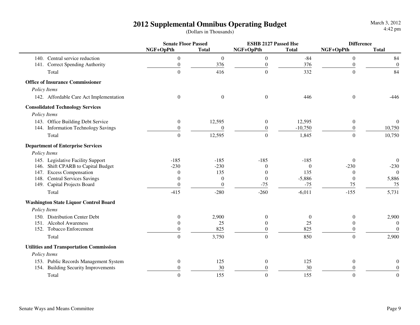|                                                | <b>Senate Floor Passed</b> |                  | <b>ESHB 2127 Passed Hse</b> |              |                  | <b>Difference</b> |  |
|------------------------------------------------|----------------------------|------------------|-----------------------------|--------------|------------------|-------------------|--|
|                                                | NGF+OpPth                  | <b>Total</b>     | NGF+OpPth                   | <b>Total</b> | NGF+OpPth        | <b>Total</b>      |  |
| 140. Central service reduction                 | $\boldsymbol{0}$           | $\boldsymbol{0}$ | $\boldsymbol{0}$            | $-84$        | $\theta$         | 84                |  |
| 141. Correct Spending Authority                | $\boldsymbol{0}$           | 376              | $\boldsymbol{0}$            | 376          | $\boldsymbol{0}$ | $\boldsymbol{0}$  |  |
| Total                                          | $\boldsymbol{0}$           | 416              | $\boldsymbol{0}$            | 332          | $\boldsymbol{0}$ | 84                |  |
| <b>Office of Insurance Commissioner</b>        |                            |                  |                             |              |                  |                   |  |
| Policy Items                                   |                            |                  |                             |              |                  |                   |  |
| 142. Affordable Care Act Implementation        | $\theta$                   | $\boldsymbol{0}$ | $\boldsymbol{0}$            | 446          | $\overline{0}$   | $-446$            |  |
| <b>Consolidated Technology Services</b>        |                            |                  |                             |              |                  |                   |  |
| Policy Items                                   |                            |                  |                             |              |                  |                   |  |
| 143. Office Building Debt Service              | $\boldsymbol{0}$           | 12,595           | $\boldsymbol{0}$            | 12,595       | $\mathbf{0}$     | $\mathbf{0}$      |  |
| 144. Information Technology Savings            | $\boldsymbol{0}$           | $\boldsymbol{0}$ | $\boldsymbol{0}$            | $-10,750$    | $\boldsymbol{0}$ | 10,750            |  |
| Total                                          | $\overline{0}$             | 12,595           | $\boldsymbol{0}$            | 1,845        | $\boldsymbol{0}$ | 10,750            |  |
| <b>Department of Enterprise Services</b>       |                            |                  |                             |              |                  |                   |  |
| Policy Items                                   |                            |                  |                             |              |                  |                   |  |
| 145. Legislative Facility Support              | $-185$                     | $-185$           | $-185$                      | $-185$       | $\Omega$         | $\boldsymbol{0}$  |  |
| 146. Shift CPARB to Capital Budget             | $-230$                     | $-230$           | $\theta$                    | $\Omega$     | $-230$           | $-230$            |  |
| 147. Excess Compensation                       | $\mathbf{0}$               | 135              | $\overline{0}$              | 135          | $\Omega$         | $\Omega$          |  |
| 148. Central Services Savings                  | $\Omega$                   | $\theta$         | $\boldsymbol{0}$            | $-5,886$     | $\theta$         | 5,886             |  |
| 149. Capital Projects Board                    | $\mathbf{0}$               | $\theta$         | $-75$                       | $-75$        | 75               | 75                |  |
| Total                                          | $-415$                     | $-280$           | $-260$                      | $-6,011$     | $-155$           | 5,731             |  |
| <b>Washington State Liquor Control Board</b>   |                            |                  |                             |              |                  |                   |  |
| Policy Items                                   |                            |                  |                             |              |                  |                   |  |
| 150. Distribution Center Debt                  | $\mathbf{0}$               | 2,900            | $\boldsymbol{0}$            | $\mathbf{0}$ | $\theta$         | 2,900             |  |
| 151. Alcohol Awareness                         | $\theta$                   | 25               | $\theta$                    | 25           | $\theta$         | $\boldsymbol{0}$  |  |
| 152. Tobacco Enforcement                       | $\overline{0}$             | 825              | $\theta$                    | 825          | $\Omega$         | $\boldsymbol{0}$  |  |
| Total                                          | $\overline{0}$             | 3,750            | $\overline{0}$              | 850          | $\overline{0}$   | 2,900             |  |
| <b>Utilities and Transportation Commission</b> |                            |                  |                             |              |                  |                   |  |
| Policy Items                                   |                            |                  |                             |              |                  |                   |  |
| 153. Public Records Management System          | $\boldsymbol{0}$           | 125              | $\boldsymbol{0}$            | 125          | $\boldsymbol{0}$ | $\boldsymbol{0}$  |  |
| 154. Building Security Improvements            | 0                          | 30               | $\mathbf{0}$                | 30           | $\boldsymbol{0}$ | $\boldsymbol{0}$  |  |
| Total                                          | $\boldsymbol{0}$           | 155              | $\boldsymbol{0}$            | 155          | $\boldsymbol{0}$ | $\boldsymbol{0}$  |  |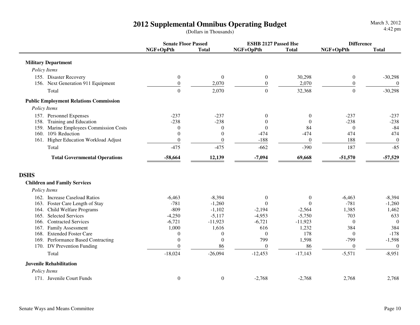|                                               | <b>Senate Floor Passed</b> |                  | <b>ESHB 2127 Passed Hse</b> |                  |                  | <b>Difference</b> |  |
|-----------------------------------------------|----------------------------|------------------|-----------------------------|------------------|------------------|-------------------|--|
|                                               | NGF+OpPth                  | <b>Total</b>     | NGF+OpPth                   | <b>Total</b>     | NGF+OpPth        | <b>Total</b>      |  |
| <b>Military Department</b>                    |                            |                  |                             |                  |                  |                   |  |
| Policy Items                                  |                            |                  |                             |                  |                  |                   |  |
| 155. Disaster Recovery                        | $\boldsymbol{0}$           | $\mathbf{0}$     | $\boldsymbol{0}$            | 30,298           | $\mathbf{0}$     | $-30,298$         |  |
| 156. Next Generation 911 Equipment            | $\boldsymbol{0}$           | 2,070            | $\boldsymbol{0}$            | 2,070            | $\boldsymbol{0}$ | $\theta$          |  |
| Total                                         | $\overline{0}$             | 2,070            | $\boldsymbol{0}$            | 32,368           | $\overline{0}$   | $-30,298$         |  |
| <b>Public Employment Relations Commission</b> |                            |                  |                             |                  |                  |                   |  |
| Policy Items                                  |                            |                  |                             |                  |                  |                   |  |
| 157. Personnel Expenses                       | $-237$                     | $-237$           | $\mathbf{0}$                | $\theta$         | $-237$           | $-237$            |  |
| Training and Education<br>158.                | $-238$                     | $-238$           | $\theta$                    | $\Omega$         | $-238$           | $-238$            |  |
| 159. Marine Employees Commission Costs        | $\theta$                   | $\theta$         | $\theta$                    | 84               | $\theta$         | $-84$             |  |
| 160. 10% Reduction                            | $\theta$                   | $\theta$         | $-474$                      | $-474$           | 474              | 474               |  |
| 161. Higher Education Workload Adjust         | $\boldsymbol{0}$           | $\boldsymbol{0}$ | $-188$                      | $\boldsymbol{0}$ | 188              | $\boldsymbol{0}$  |  |
| Total                                         | $-475$                     | $-475$           | $-662$                      | $-390$           | 187              | $-85$             |  |
| <b>Total Governmental Operations</b>          | $-58,664$                  | 12,139           | $-7,094$                    | 69,668           | $-51,570$        | $-57,529$         |  |
| <b>DSHS</b>                                   |                            |                  |                             |                  |                  |                   |  |
| <b>Children and Family Services</b>           |                            |                  |                             |                  |                  |                   |  |
| Policy Items                                  |                            |                  |                             |                  |                  |                   |  |
| 162. Increase Caseload Ratios                 | $-6,463$                   | $-8,394$         | $\mathbf{0}$                | $\mathbf{0}$     | $-6,463$         | $-8,394$          |  |
| Foster Care Length of Stay<br>163.            | $-781$                     | $-1,260$         | $\theta$                    | $\theta$         | $-781$           | $-1,260$          |  |
| Child Welfare Programs<br>164.                | $-809$                     | $-1,102$         | $-2,194$                    | $-2,564$         | 1,385            | 1,462             |  |
| <b>Selected Services</b><br>165.              | $-4,250$                   | $-5,117$         | $-4,953$                    | $-5,750$         | 703              | 633               |  |
| <b>Contracted Services</b><br>166.            | $-6,721$                   | $-11,923$        | $-6,721$                    | $-11,923$        | $\theta$         | $\Omega$          |  |
| 167.<br><b>Family Assessment</b>              | 1,000                      | 1,616            | 616                         | 1,232            | 384              | 384               |  |
| <b>Extended Foster Care</b><br>168.           | $\boldsymbol{0}$           | $\boldsymbol{0}$ | $\theta$                    | 178              | $\mathbf{0}$     | $-178$            |  |
| 169. Performance Based Contracting            | $\mathbf{0}$               | $\boldsymbol{0}$ | 799                         | 1,598            | $-799$           | $-1,598$          |  |
| 170. DV Prevention Funding                    | $\theta$                   | 86               | $\boldsymbol{0}$            | 86               | $\mathbf{0}$     | $\boldsymbol{0}$  |  |
| Total                                         | $-18,024$                  | $-26,094$        | $-12,453$                   | $-17,143$        | $-5,571$         | $-8,951$          |  |
| <b>Juvenile Rehabilitation</b>                |                            |                  |                             |                  |                  |                   |  |
| Policy Items                                  |                            |                  |                             |                  |                  |                   |  |
| 171. Juvenile Court Funds                     | $\boldsymbol{0}$           | $\boldsymbol{0}$ | $-2,768$                    | $-2,768$         | 2,768            | 2,768             |  |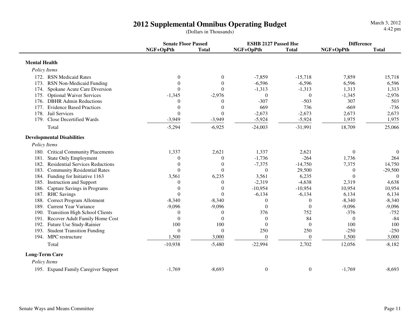|                                               | <b>Senate Floor Passed</b> |                  | <b>ESHB 2127 Passed Hse</b> |              | <b>Difference</b> |              |
|-----------------------------------------------|----------------------------|------------------|-----------------------------|--------------|-------------------|--------------|
|                                               | NGF+OpPth                  | <b>Total</b>     | NGF+OpPth                   | <b>Total</b> | NGF+OpPth         | <b>Total</b> |
| <b>Mental Health</b>                          |                            |                  |                             |              |                   |              |
| Policy Items                                  |                            |                  |                             |              |                   |              |
| 172. RSN Medicaid Rates                       | $\boldsymbol{0}$           | $\boldsymbol{0}$ | $-7,859$                    | $-15,718$    | 7,859             | 15,718       |
| 173. RSN Non-Medicaid Funding                 | $\theta$                   | $\mathbf{0}$     | $-6,596$                    | $-6,596$     | 6,596             | 6,596        |
| 174. Spokane Acute Care Diversion             | $\Omega$                   | $\Omega$         | $-1,313$                    | $-1,313$     | 1,313             | 1,313        |
| 175. Optional Waiver Services                 | $-1,345$                   | $-2,976$         | $\theta$                    | $\Omega$     | $-1,345$          | $-2,976$     |
| 176. DBHR Admin Reductions                    | $\boldsymbol{0}$           | $\boldsymbol{0}$ | $-307$                      | $-503$       | 307               | 503          |
| 177. Evidence Based Practices                 | $\boldsymbol{0}$           | $\theta$         | 669                         | 736          | $-669$            | $-736$       |
| 178. Jail Services                            | $\theta$                   | $\Omega$         | $-2,673$                    | $-2,673$     | 2,673             | 2,673        |
| 179. Close Decertified Wards                  | $-3,949$                   | $-3,949$         | $-5,924$                    | $-5,924$     | 1,975             | 1,975        |
| Total                                         | $-5,294$                   | $-6,925$         | $-24,003$                   | $-31,991$    | 18,709            | 25,066       |
| <b>Developmental Disabilities</b>             |                            |                  |                             |              |                   |              |
| Policy Items                                  |                            |                  |                             |              |                   |              |
| 180. Critical Community Placements            | 1,337                      | 2,621            | 1,337                       | 2,621        | $\mathbf{0}$      | $\Omega$     |
| 181.<br><b>State Only Employment</b>          | $\theta$                   | $\Omega$         | $-1,736$                    | $-264$       | 1,736             | 264          |
| 182. Residential Services Reductions          | $\theta$                   | $\theta$         | $-7,375$                    | $-14,750$    | 7,375             | 14,750       |
| 183.<br><b>Community Residential Rates</b>    | $\theta$                   | $\Omega$         | $\boldsymbol{0}$            | 29,500       | $\overline{0}$    | $-29,500$    |
| 184. Funding for Initiative 1163              | 3,561                      | 6,235            | 3,561                       | 6,235        | $\theta$          | $\theta$     |
| 185. Instruction and Support                  | $\theta$                   | $\theta$         | $-2,319$                    | $-4,638$     | 2,319             | 4,638        |
| 186. Capture Savings in Programs              | $\theta$                   | $\theta$         | $-10,954$                   | $-10,954$    | 10,954            | 10,954       |
| 187. RHC Savings                              | $\theta$                   | $\theta$         | $-6,134$                    | $-6,134$     | 6,134             | 6,134        |
| Correct Program Allotment<br>188.             | $-8,340$                   | $-8,340$         | $\overline{0}$              | $\theta$     | $-8,340$          | $-8,340$     |
| 189. Current Year Variance                    | $-9,096$                   | $-9,096$         | $\Omega$                    | $\Omega$     | $-9,096$          | $-9,096$     |
| <b>Transition High School Clients</b><br>190. | $\overline{0}$             | $\theta$         | 376                         | 752          | $-376$            | $-752$       |
| Recover Adult Family Home Cost<br>191.        | $\theta$                   | $\Omega$         | $\theta$                    | 84           | $\boldsymbol{0}$  | $-84$        |
| 192. Future Use Study-Rainier                 | 100                        | 100              | $\Omega$                    | $\Omega$     | 100               | 100          |
| 193. Student Transition Funding               | $\Omega$                   | $\Omega$         | 250                         | 250          | $-250$            | $-250$       |
| 194. MPC restructure                          | 1,500                      | 3,000            | $\theta$                    | $\theta$     | 1,500             | 3,000        |
| Total                                         | $-10,938$                  | $-5,480$         | $-22,994$                   | 2,702        | 12,056            | $-8,182$     |
| <b>Long-Term Care</b>                         |                            |                  |                             |              |                   |              |
| Policy Items                                  |                            |                  |                             |              |                   |              |
| 195. Expand Family Caregiver Support          | $-1,769$                   | $-8,693$         | $\boldsymbol{0}$            | $\mathbf{0}$ | $-1,769$          | $-8,693$     |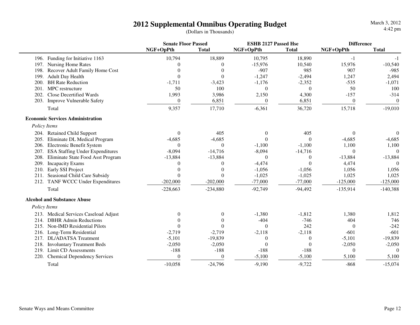|              |                                         | <b>Senate Floor Passed</b> |                | <b>ESHB 2127 Passed Hse</b> |              | <b>Difference</b> |                  |
|--------------|-----------------------------------------|----------------------------|----------------|-----------------------------|--------------|-------------------|------------------|
|              |                                         | NGF+OpPth                  | <b>Total</b>   | NGF+OpPth                   | <b>Total</b> | NGF+OpPth         | <b>Total</b>     |
|              | 196. Funding for Initiative 1163        | 10,794                     | 18,889         | 10,795                      | 18,890       | $-1$              | $-1$             |
| 197.         | Nursing Home Rates                      | $\Omega$                   | $\Omega$       | $-15,976$                   | 10,540       | 15,976            | $-10,540$        |
| 198.         | Recover Adult Family Home Cost          | $\theta$                   | $\Omega$       | $-907$                      | 985          | 907               | $-985$           |
| 199.         | <b>Adult Day Health</b>                 | $\theta$                   | $\overline{0}$ | $-1,247$                    | $-2,494$     | 1,247             | 2,494            |
| 200.         | <b>BH Rate Reduction</b>                | $-1,711$                   | $-3,423$       | $-1,176$                    | $-2,352$     | $-535$            | $-1,071$         |
| 201.         | MPC restructure                         | 50                         | 100            | $\theta$                    | $\theta$     | 50                | 100              |
| 202.         | <b>Close Decertified Wards</b>          | 1,993                      | 3,986          | 2,150                       | 4,300        | $-157$            | $-314$           |
| 203.         | Improve Vulnerable Safety               | $\mathbf{0}$               | 6,851          | $\mathbf{0}$                | 6,851        | $\boldsymbol{0}$  | $\boldsymbol{0}$ |
|              | Total                                   | 9,357                      | 17,710         | $-6,361$                    | 36,720       | 15,718            | $-19,010$        |
|              | <b>Economic Services Administration</b> |                            |                |                             |              |                   |                  |
| Policy Items |                                         |                            |                |                             |              |                   |                  |
|              | 204. Retained Child Support             | $\theta$                   | 405            | $\boldsymbol{0}$            | 405          | $\theta$          | $\overline{0}$   |
| 205.         | Eliminate DL Medical Program            | $-4,685$                   | $-4,685$       | $\Omega$                    | $\Omega$     | $-4,685$          | $-4,685$         |
| 206.         | <b>Electronic Benefit System</b>        | $\Omega$                   | $\Omega$       | $-1,100$                    | $-1,100$     | 1,100             | 1,100            |
| 207.         | <b>ESA Staffing Under Expenditures</b>  | $-8,094$                   | $-14,716$      | $-8,094$                    | $-14,716$    | $\overline{0}$    | $\theta$         |
| 208.         | Eliminate State Food Asst Program       | $-13,884$                  | $-13,884$      | $\mathbf{0}$                | $\theta$     | $-13,884$         | $-13,884$        |
| 209.         | <b>Incapacity Exams</b>                 | $\Omega$                   | $\Omega$       | $-4,474$                    | $\Omega$     | 4,474             | $\Omega$         |
| 210.         | Early SSI Project                       | $\theta$                   | $\Omega$       | $-1,056$                    | $-1,056$     | 1,056             | 1,056            |
| 211.         | Seasional Child Care Subsidy            | $\Omega$                   | $\Omega$       | $-1,025$                    | $-1,025$     | 1,025             | 1,025            |
|              | 212. TANF WCCC Under Expenditures       | $-202,000$                 | $-202,000$     | $-77,000$                   | $-77,000$    | $-125,000$        | $-125,000$       |
|              | Total                                   | $-228,663$                 | $-234,880$     | $-92,749$                   | $-94,492$    | $-135,914$        | $-140,388$       |
|              | <b>Alcohol and Substance Abuse</b>      |                            |                |                             |              |                   |                  |
| Policy Items |                                         |                            |                |                             |              |                   |                  |
|              | 213. Medical Services Caseload Adjust   | $\Omega$                   | $\Omega$       | $-1,380$                    | $-1,812$     | 1,380             | 1,812            |
| 214.         | <b>DBHR</b> Admin Reductions            | $\Omega$                   | $\Omega$       | $-404$                      | $-746$       | 404               | 746              |
| 215.         | <b>Non-IMD Residential Pilots</b>       | $\theta$                   | $\Omega$       | $\Omega$                    | 242          | $\overline{0}$    | $-242$           |
| 216.         | Long-Term Residential                   | $-2,719$                   | $-2,719$       | $-2,118$                    | $-2,118$     | $-601$            | $-601$           |
| 217.         | <b>DL/ADATSA</b> Treatment              | $-5,101$                   | $-19,839$      | $\boldsymbol{0}$            | $\theta$     | $-5,101$          | $-19,839$        |
| 218.         | <b>Involuntary Treatment Beds</b>       | $-2,050$                   | $-2,050$       | $\Omega$                    | $\Omega$     | $-2,050$          | $-2,050$         |
| 219.         | Limit CD Assessments                    | $-188$                     | $-188$         | $-188$                      | $-188$       | $\theta$          | $\Omega$         |
| 220.         | <b>Chemical Dependency Services</b>     | $\boldsymbol{0}$           | $\overline{0}$ | $-5,100$                    | $-5,100$     | 5,100             | 5,100            |
|              | Total                                   | $-10,058$                  | $-24,796$      | $-9,190$                    | $-9,722$     | $-868$            | $-15,074$        |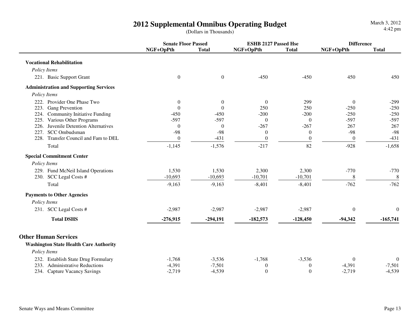**Senate Floor Passed ESHB 2127 Passed Hse DifferenceNGF+OpPth Total NGF+OpPth Total NGF+OpPth Total Vocational Rehabilitation** *Policy Items*221. Basic Support Grantt t contract to the contract of the contract of the contract of the contract of the contract of the contract of the contract of the contract of the contract of the contract of the contract of the contract of the contract  **Administration and Supporting Services** *Policy Items*222. Provider One Phase Two  $\begin{array}{ccc} 0 & 0 & 0 & 299 & 0 \end{array}$  -299  $-250$ 223. Gang Preventionn  $0$  0 250 250 -250 -250 224. Community Initiative Funding -450 -450 -200 -200 -250 -250 $-597$ 225. Various Other Programs -597 -597 0 -597 0 267 226. Juvenile Detention Alternatives 0 0 0 -267 -267 -267 267  $-98$ 227. SCC Ombudsman -98 -98 <sup>0</sup> <sup>0</sup> -98 -98 228. Transfer Council and Fam to DEL  $\begin{array}{ccc} 0 & -431 & 0 & 0 & 0 \end{array}$  -431 Total $-1,145$   $-1,576$   $-217$   $82$   $-928$   $-1,658$  **Special Commitment Center** *Policy Items*229. Fund McNeil Island Operations 1,530 1,530 2,300 2,300 2,300 -770 -770 -770 8 230. SCC Legal Costs #  $-10,693$   $-10,693$   $-10,701$   $-10,701$  8  $-762$ Total $-9,163$   $-9,163$   $-9,163$   $-8,401$   $-8,401$   $-762$   $-762$  **Payments to Other Agencies** *Policy Items*231. SCC Legal Costs #  $-2.987$   $-2.987$   $-2.987$   $-2.987$   $-2.987$   $-2.987$  0 0  **Total DSHS -276,915 -294,191 -182,573 -128,450 -94,342 -165,741 Other Human Services Washington State Health Care Authority** *Policy Items*232. Establish State Drug Formulary 1.768 -3,536 -1,768 -3,536 0 0 0<br>233. Administrative Reductions -4.391 -7.501 0 0 -4.391 -7.501  $-7.501$ 233. Administrative Reductions -4,391 -7,501 0 0 -4,391 -7,501 $-4.539$ 234. Capture Vacancy Savings -2,719 -4,539 0 0 -2,719 -4,539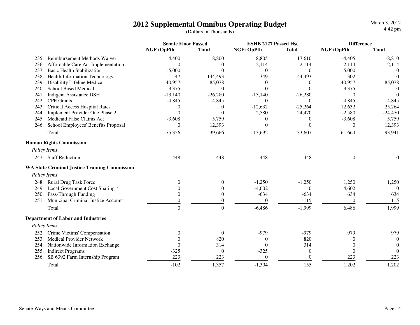|                                                      | <b>Senate Floor Passed</b> |                  | <b>ESHB 2127 Passed Hse</b> |                  |              | <b>Difference</b> |  |
|------------------------------------------------------|----------------------------|------------------|-----------------------------|------------------|--------------|-------------------|--|
|                                                      | NGF+OpPth                  | <b>Total</b>     | NGF+OpPth                   | <b>Total</b>     | NGF+OpPth    | <b>Total</b>      |  |
| 235. Reimbursement Methods Waiver                    | 4,400                      | 8,800            | 8,805                       | 17,610           | $-4,405$     | $-8,810$          |  |
| 236.<br>Affordable Care Act Implementation           | $\theta$                   | $\Omega$         | 2,114                       | 2,114            | $-2,114$     | $-2,114$          |  |
| 237.<br><b>Basic Health Stabilization</b>            | $-5,000$                   | $\Omega$         | $\overline{0}$              | $\theta$         | $-5,000$     | $\Omega$          |  |
| 238.<br>Health Information Technology                | 47                         | 144,493          | 349                         | 144,493          | $-302$       | $\Omega$          |  |
| Disability Lifeline Medical<br>239.                  | $-40,957$                  | $-85,078$        | $\theta$                    | $\Omega$         | $-40,957$    | $-85,078$         |  |
| <b>School Based Medical</b><br>240.                  | $-3,375$                   | $\Omega$         | $\theta$                    | $\Omega$         | $-3,375$     | $\Omega$          |  |
| <b>Indigent Assistance DSH</b><br>241.               | $-13,140$                  | $-26,280$        | $-13,140$                   | $-26,280$        | $\theta$     | $\Omega$          |  |
| <b>CPE Grants</b><br>242.                            | $-4,845$                   | $-4,845$         | $\theta$                    | $\Omega$         | $-4,845$     | $-4,845$          |  |
| <b>Critical Access Hospital Rates</b><br>243.        | $\boldsymbol{0}$           | $\theta$         | $-12,632$                   | $-25,264$        | 12,632       | 25,264            |  |
| Implement Provider One Phase 2<br>244.               | $\theta$                   | $\Omega$         | 2,580                       | 24,470           | $-2,580$     | $-24,470$         |  |
| 245. Medicaid False Claims Act                       | $-3,608$                   | 5,759            | $\boldsymbol{0}$            | 0                | $-3,608$     | 5,759             |  |
| School Employees' Benefits Proposal<br>246.          | $\boldsymbol{0}$           | 12,393           | $\boldsymbol{0}$            | $\theta$         | $\theta$     | 12,393            |  |
| Total                                                | $-75,356$                  | 39,666           | $-13,692$                   | 133,607          | $-61,664$    | $-93,941$         |  |
| <b>Human Rights Commission</b>                       |                            |                  |                             |                  |              |                   |  |
| Policy Items                                         |                            |                  |                             |                  |              |                   |  |
| 247. Staff Reduction                                 | $-448$                     | $-448$           | $-448$                      | $-448$           | $\mathbf{0}$ | $\theta$          |  |
| <b>WA State Criminal Justice Training Commission</b> |                            |                  |                             |                  |              |                   |  |
| Policy Items                                         |                            |                  |                             |                  |              |                   |  |
| 248. Rural Drug Task Force                           | $\theta$                   | $\theta$         | $-1,250$                    | $-1,250$         | 1,250        | 1,250             |  |
| 249. Local Government Cost Sharing *                 | $\Omega$                   | $\Omega$         | $-4,602$                    | $\Omega$         | 4,602        | $\Omega$          |  |
| 250. Pass-Through Funding                            | $\Omega$                   | $\theta$         | $-634$                      | $-634$           | 634          | 634               |  |
| 251. Municipal Criminal Justice Account              | $\Omega$                   | $\theta$         | $\theta$                    | $-115$           | $\theta$     | 115               |  |
| Total                                                | $\theta$                   | $\theta$         | $-6,486$                    | $-1,999$         | 6,486        | 1,999             |  |
|                                                      |                            |                  |                             |                  |              |                   |  |
| <b>Department of Labor and Industries</b>            |                            |                  |                             |                  |              |                   |  |
| Policy Items                                         |                            |                  |                             |                  |              |                   |  |
| 252. Crime Victims' Compensation                     | $\theta$                   | $\theta$         | $-979$                      | $-979$           | 979          | 979               |  |
| <b>Medical Provider Network</b><br>253.              | $\Omega$                   | 820              | $\theta$                    | 820              | 0            | $\Omega$          |  |
| 254. Nationwide Information Exchange                 | $\theta$                   | 314              | $\Omega$                    | 314              | $\theta$     | $\Omega$          |  |
| 255.<br><b>Indirect Programs</b>                     | $-325$                     | $\boldsymbol{0}$ | $-325$                      | $\boldsymbol{0}$ | $\mathbf{0}$ | $\Omega$          |  |
| SB 6392 Farm Internship Program<br>256.              | 223                        | 223              | $\theta$                    | $\Omega$         | 223          | 223               |  |
| Total                                                | $-102$                     | 1,357            | $-1,304$                    | 155              | 1,202        | 1,202             |  |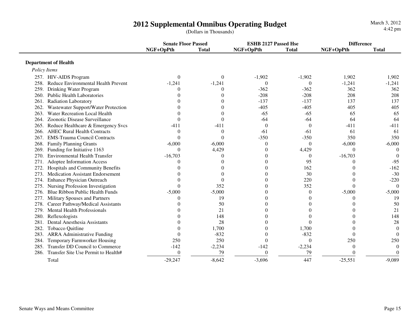**Senate Floor Passed ESHB 2127 Passed Hse DifferenceNGF+OpPth Total NGF+OpPth Total NGF+OpPth Total Department of Health** *Policy Items*257. HIV-AIDS Program <sup>0</sup> <sup>0</sup> -1,902 -1,902 1,902 1,902 258. Reduce Environmental Health Prevent -1,241 -1,241 1 0 0  $-1,241$   $-1,241$ 259. Drinking Water Program  $0$  0  $-362$   $-362$   $362$   $362$ 208 260. Public Health Laboratories 0 0 0 -208 -208 -208 208<br>261. Radiation Laboratory 0 0 -137 -137 137 137 261. Radiation Laboratoryy 137 137 137 137 262. Wastewater Support/Water Protection  $0$  0 0  $-405$  -405  $-405$  405  $405$  405  $-405$  405  $-405$  405  $-405$  405  $-405$  405  $-405$  405  $-405$  405  $-405$  405  $-405$  405  $-405$  405  $-405$  405  $-405$  405  $-405$  405  $-405$  4 65 263. Water Recreation Local Health 0 0 0 -65 -65 65 65 64 264. Zoonotic Disease Surveillance  $\begin{array}{cccc} 0 & 0 & -64 & -64 & 64 \end{array}$  $-411$ 265. Reduce Healthcare & Emergency Svcs  $-411$   $-411$   $0$   $0$   $0$   $-411$ 61 266. AHEC Rural Health Contracts  $\begin{array}{cccc} 0 & 0 & -61 & -61 & -61 \\ 267. & 208. & -350 & -350 & -350 \end{array}$  350 350 267. EMS-Trauma Council Contracts 0 0 0 -350 -350 -350 350 350  $-6.000$ 268. Family Planning Grants **-6,000** -6,000 -6,000 -6,000 0 0 -6,000  $\theta$ 269. Funding for Initiative 1163 0 4,429 0 4,429 0 0 $\Omega$ 270. Environmental Health Transfer  $-16,703$  0 0 0 -16,703  $-95$ 271. Adoptee Information Access and the control of the control of the control of the control of the control of the control of the control of the control of the control of the control of the control of the control of the co  $-162$ 272. Hospitals and Community Benefits  $0 \qquad 0 \qquad 0 \qquad 162 \qquad 0$  $-30$ 273. Medication Assistant Endorsement 0 0 0 30 0 -30 $-220$ 274. Enhance Physician Outreach 0 0 0 220 0 -220 $\Omega$ 275. Nursing Profession Investigation 0 352 0 352 0 352 0 352 0 352 0 352 0 352 0 352 0 352 0 352 0 352 0 352 0 352 0 352 0 352 0 352 0 352 0 352 0 352 0 352 0 352 0 352 0 352 0 352 0 352 0 352 0 352 0 352 0 352 0 352 0 35  $-5.000$ 276. Blue Ribbon Public Health Funds -5,000 -5,000 -5,000 -5,000 0 0 -5,000 19 277. Military Spouses and Partners  $\begin{pmatrix} 0 & 19 & 0 \\ 0 & 0 & 0 \end{pmatrix}$  (19) 50 278. Career Pathway/Medical Assistants 0 50 0 0 0 5021 279. Mental Health Professionals and the contract of the contract of the contract of the contract of the contract of the contract of the contract of the contract of the contract of the contract of the contract of the contr 148 280. Reflexologistss a contract of the contract of the contract of the contract of the contract of the contract of the contract of the contract of the contract of the contract of the contract of the contract of the contract of the contract 28 281. Dental Anesthesia Assistants 0 28 0 0 0 28 $\overline{0}$ 282. Tobacco Quitlinee e 0  $1,700$  0  $1,700$  0 0 0  $\Omega$ 283. ARRA Administrative Funding 0 -832 0 -832 0 -832 0 0 250 284. Temporary Farmworker Housing 250 250 250 0 0 250 250  $\overline{0}$ 285. Transfer DD Council to Commerce 2.234 -2,234 -142 -2,234 -2,234 -2,234 0  $\overline{0}$ 286. Transfer Site Use Permit to Health# 0 79 0 79 0 0

 $-29,247$   $-8,642$   $-3,696$   $-447$   $-25,551$   $-9,089$ 

Senate Ways and Means Committee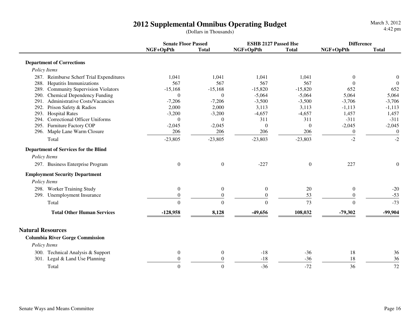| <b>Senate Floor Passed</b><br><b>ESHB 2127 Passed Hse</b><br>NGF+OpPth<br>NGF+OpPth<br><b>Total</b><br>NGF+OpPth<br><b>Total</b><br><b>Total</b><br><b>Department of Corrections</b><br>Policy Items<br>287. Reimburse Scherf Trial Expenditures<br>1,041<br>1,041<br>1,041<br>1,041<br>$\theta$<br>$\theta$<br>567<br>567<br>567<br>567<br>288. Hepatitis Immunizations<br>$\theta$<br>$\Omega$<br>289. Community Supervision Violators<br>$-15,168$<br>$-15,168$<br>$-15,820$<br>$-15,820$<br>652<br>652<br>Chemical Dependency Funding<br>$-5,064$<br>$-5,064$<br>5,064<br>5,064<br>290.<br>$\overline{0}$<br>$\theta$<br><b>Administrative Costs/Vacancies</b><br>$-7,206$<br>$-3,500$<br>$-3,500$<br>$-3,706$<br>$-3,706$<br>291.<br>$-7,206$<br>Prison Safety & Radios<br>2,000<br>3,113<br>3,113<br>292.<br>2,000<br>$-1,113$<br>$-1,113$<br><b>Hospital Rates</b><br>$-3,200$<br>$-4,657$<br>$-4,657$<br>293.<br>$-3,200$<br>1,457<br>1,457<br><b>Correctional Officer Uniforms</b><br>311<br>311<br>$-311$<br>294.<br>$-311$<br>$\mathbf{0}$<br>$\theta$<br>Furniture Factory COP<br>$-2,045$<br>$-2,045$<br>295.<br>$-2,045$<br>$-2,045$<br>$\boldsymbol{0}$<br>$\mathbf{0}$<br>206<br>206<br>206<br>206<br>$\boldsymbol{0}$<br>296.<br>Maple Lane Warm Closure<br>$\boldsymbol{0}$<br>$-2$<br>$-2$<br>Total<br>$-23,805$<br>$-23,803$<br>$-23,803$<br>$-23,805$<br><b>Department of Services for the Blind</b><br>Policy Items<br>297. Business Enterprise Program<br>$\boldsymbol{0}$<br>$\overline{0}$<br>$-227$<br>227<br>$\overline{0}$<br>$\mathbf{0}$<br><b>Employment Security Department</b><br>Policy Items |
|---------------------------------------------------------------------------------------------------------------------------------------------------------------------------------------------------------------------------------------------------------------------------------------------------------------------------------------------------------------------------------------------------------------------------------------------------------------------------------------------------------------------------------------------------------------------------------------------------------------------------------------------------------------------------------------------------------------------------------------------------------------------------------------------------------------------------------------------------------------------------------------------------------------------------------------------------------------------------------------------------------------------------------------------------------------------------------------------------------------------------------------------------------------------------------------------------------------------------------------------------------------------------------------------------------------------------------------------------------------------------------------------------------------------------------------------------------------------------------------------------------------------------------------------------------------------------------------------------------------------------------|
|                                                                                                                                                                                                                                                                                                                                                                                                                                                                                                                                                                                                                                                                                                                                                                                                                                                                                                                                                                                                                                                                                                                                                                                                                                                                                                                                                                                                                                                                                                                                                                                                                                 |
|                                                                                                                                                                                                                                                                                                                                                                                                                                                                                                                                                                                                                                                                                                                                                                                                                                                                                                                                                                                                                                                                                                                                                                                                                                                                                                                                                                                                                                                                                                                                                                                                                                 |
|                                                                                                                                                                                                                                                                                                                                                                                                                                                                                                                                                                                                                                                                                                                                                                                                                                                                                                                                                                                                                                                                                                                                                                                                                                                                                                                                                                                                                                                                                                                                                                                                                                 |
|                                                                                                                                                                                                                                                                                                                                                                                                                                                                                                                                                                                                                                                                                                                                                                                                                                                                                                                                                                                                                                                                                                                                                                                                                                                                                                                                                                                                                                                                                                                                                                                                                                 |
|                                                                                                                                                                                                                                                                                                                                                                                                                                                                                                                                                                                                                                                                                                                                                                                                                                                                                                                                                                                                                                                                                                                                                                                                                                                                                                                                                                                                                                                                                                                                                                                                                                 |
|                                                                                                                                                                                                                                                                                                                                                                                                                                                                                                                                                                                                                                                                                                                                                                                                                                                                                                                                                                                                                                                                                                                                                                                                                                                                                                                                                                                                                                                                                                                                                                                                                                 |
|                                                                                                                                                                                                                                                                                                                                                                                                                                                                                                                                                                                                                                                                                                                                                                                                                                                                                                                                                                                                                                                                                                                                                                                                                                                                                                                                                                                                                                                                                                                                                                                                                                 |
|                                                                                                                                                                                                                                                                                                                                                                                                                                                                                                                                                                                                                                                                                                                                                                                                                                                                                                                                                                                                                                                                                                                                                                                                                                                                                                                                                                                                                                                                                                                                                                                                                                 |
|                                                                                                                                                                                                                                                                                                                                                                                                                                                                                                                                                                                                                                                                                                                                                                                                                                                                                                                                                                                                                                                                                                                                                                                                                                                                                                                                                                                                                                                                                                                                                                                                                                 |
|                                                                                                                                                                                                                                                                                                                                                                                                                                                                                                                                                                                                                                                                                                                                                                                                                                                                                                                                                                                                                                                                                                                                                                                                                                                                                                                                                                                                                                                                                                                                                                                                                                 |
|                                                                                                                                                                                                                                                                                                                                                                                                                                                                                                                                                                                                                                                                                                                                                                                                                                                                                                                                                                                                                                                                                                                                                                                                                                                                                                                                                                                                                                                                                                                                                                                                                                 |
|                                                                                                                                                                                                                                                                                                                                                                                                                                                                                                                                                                                                                                                                                                                                                                                                                                                                                                                                                                                                                                                                                                                                                                                                                                                                                                                                                                                                                                                                                                                                                                                                                                 |
|                                                                                                                                                                                                                                                                                                                                                                                                                                                                                                                                                                                                                                                                                                                                                                                                                                                                                                                                                                                                                                                                                                                                                                                                                                                                                                                                                                                                                                                                                                                                                                                                                                 |
|                                                                                                                                                                                                                                                                                                                                                                                                                                                                                                                                                                                                                                                                                                                                                                                                                                                                                                                                                                                                                                                                                                                                                                                                                                                                                                                                                                                                                                                                                                                                                                                                                                 |
|                                                                                                                                                                                                                                                                                                                                                                                                                                                                                                                                                                                                                                                                                                                                                                                                                                                                                                                                                                                                                                                                                                                                                                                                                                                                                                                                                                                                                                                                                                                                                                                                                                 |
|                                                                                                                                                                                                                                                                                                                                                                                                                                                                                                                                                                                                                                                                                                                                                                                                                                                                                                                                                                                                                                                                                                                                                                                                                                                                                                                                                                                                                                                                                                                                                                                                                                 |
|                                                                                                                                                                                                                                                                                                                                                                                                                                                                                                                                                                                                                                                                                                                                                                                                                                                                                                                                                                                                                                                                                                                                                                                                                                                                                                                                                                                                                                                                                                                                                                                                                                 |
|                                                                                                                                                                                                                                                                                                                                                                                                                                                                                                                                                                                                                                                                                                                                                                                                                                                                                                                                                                                                                                                                                                                                                                                                                                                                                                                                                                                                                                                                                                                                                                                                                                 |
|                                                                                                                                                                                                                                                                                                                                                                                                                                                                                                                                                                                                                                                                                                                                                                                                                                                                                                                                                                                                                                                                                                                                                                                                                                                                                                                                                                                                                                                                                                                                                                                                                                 |
| 298. Worker Training Study<br>$\boldsymbol{0}$<br>$\boldsymbol{0}$<br>$\boldsymbol{0}$<br>20<br>$\boldsymbol{0}$<br>$-20$                                                                                                                                                                                                                                                                                                                                                                                                                                                                                                                                                                                                                                                                                                                                                                                                                                                                                                                                                                                                                                                                                                                                                                                                                                                                                                                                                                                                                                                                                                       |
| 299. Unemployment Insurance<br>$\boldsymbol{0}$<br>53<br>$-53$<br>$\theta$<br>$\theta$<br>$\mathbf{0}$                                                                                                                                                                                                                                                                                                                                                                                                                                                                                                                                                                                                                                                                                                                                                                                                                                                                                                                                                                                                                                                                                                                                                                                                                                                                                                                                                                                                                                                                                                                          |
| $\boldsymbol{0}$<br>$-73$<br>$\boldsymbol{0}$<br>$\Omega$<br>73<br>$\mathbf{0}$<br>Total                                                                                                                                                                                                                                                                                                                                                                                                                                                                                                                                                                                                                                                                                                                                                                                                                                                                                                                                                                                                                                                                                                                                                                                                                                                                                                                                                                                                                                                                                                                                        |
| <b>Total Other Human Services</b><br>-99,904<br>$-128,958$<br>8,128<br>$-49,656$<br>108,032<br>$-79,302$                                                                                                                                                                                                                                                                                                                                                                                                                                                                                                                                                                                                                                                                                                                                                                                                                                                                                                                                                                                                                                                                                                                                                                                                                                                                                                                                                                                                                                                                                                                        |
| <b>Natural Resources</b>                                                                                                                                                                                                                                                                                                                                                                                                                                                                                                                                                                                                                                                                                                                                                                                                                                                                                                                                                                                                                                                                                                                                                                                                                                                                                                                                                                                                                                                                                                                                                                                                        |
| <b>Columbia River Gorge Commission</b>                                                                                                                                                                                                                                                                                                                                                                                                                                                                                                                                                                                                                                                                                                                                                                                                                                                                                                                                                                                                                                                                                                                                                                                                                                                                                                                                                                                                                                                                                                                                                                                          |
| Policy Items                                                                                                                                                                                                                                                                                                                                                                                                                                                                                                                                                                                                                                                                                                                                                                                                                                                                                                                                                                                                                                                                                                                                                                                                                                                                                                                                                                                                                                                                                                                                                                                                                    |
| 300. Technical Analysis & Support<br>$\mathbf{0}$<br>$\theta$<br>$-18$<br>$-36$<br>18<br>36                                                                                                                                                                                                                                                                                                                                                                                                                                                                                                                                                                                                                                                                                                                                                                                                                                                                                                                                                                                                                                                                                                                                                                                                                                                                                                                                                                                                                                                                                                                                     |
| 301. Legal & Land Use Planning<br>$\theta$<br>18<br>36<br>$\overline{0}$<br>$-18$<br>$-36$                                                                                                                                                                                                                                                                                                                                                                                                                                                                                                                                                                                                                                                                                                                                                                                                                                                                                                                                                                                                                                                                                                                                                                                                                                                                                                                                                                                                                                                                                                                                      |
| $\overline{0}$<br>36<br>72<br>$\overline{0}$<br>$-36$<br>$-72$<br>Total                                                                                                                                                                                                                                                                                                                                                                                                                                                                                                                                                                                                                                                                                                                                                                                                                                                                                                                                                                                                                                                                                                                                                                                                                                                                                                                                                                                                                                                                                                                                                         |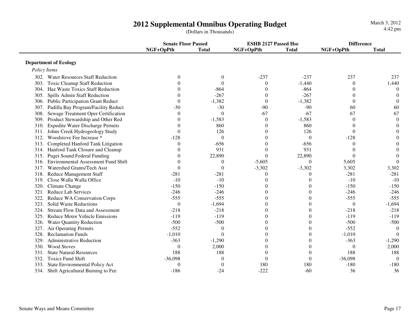|                                                    | <b>Senate Floor Passed</b> |              | <b>ESHB 2127 Passed Hse</b> |              | <b>Difference</b> |              |
|----------------------------------------------------|----------------------------|--------------|-----------------------------|--------------|-------------------|--------------|
|                                                    | NGF+OpPth                  | <b>Total</b> | NGF+OpPth                   | <b>Total</b> | NGF+OpPth         | <b>Total</b> |
| <b>Department of Ecology</b>                       |                            |              |                             |              |                   |              |
| Policy Items                                       |                            |              |                             |              |                   |              |
|                                                    |                            |              |                             |              |                   |              |
| 302. Water Resources Staff Reduction               | $\mathbf{0}$               | $\theta$     | $-237$                      | $-237$       | 237               | 237          |
| 303. Toxic Cleanup Staff Reduction                 | $\overline{0}$             | $\Omega$     | $\boldsymbol{0}$            | $-1,440$     | $\boldsymbol{0}$  | 1,440        |
| 304. Haz Waste Toxics Staff Reduction              | $\Omega$                   | $-864$       | $\theta$                    | $-864$       | $\Omega$          | $\Omega$     |
| 305. Spills Admin Staff Reduction                  | $\Omega$                   | $-267$       | $\theta$                    | $-267$       | $\Omega$          | $\theta$     |
| 306. Public Participation Grant Reduct             | $\Omega$                   | $-1,382$     | $\theta$                    | $-1,382$     | $\theta$          | $\Omega$     |
| Padilla Bay Program/Facility Reduct<br>307.        | $-30$                      | $-30$        | $-90$                       | $-90$        | 60                | 60           |
| Sewage Treatment Oper Certification<br>308.        | $\Omega$                   | $\theta$     | $-67$                       | $-67$        | 67                | 67           |
| 309. Product Stewardship and Other Red             | 0                          | $-1,583$     | $\Omega$                    | $-1,583$     | $\Omega$          | $\theta$     |
| <b>Expedite Water Discharge Permits</b><br>310.    | 0                          | 860          | $\Omega$                    | 860          | 0                 |              |
| 311. Johns Creek Hydrogeology Study                | $\Omega$                   | 126          | 0                           | 126          | $\Omega$          |              |
| 312. Woodstove Fee Increase *                      | $-128$                     | $\Omega$     | 0                           | $\Omega$     | $-128$            |              |
| 313. Completed Hanford Tank Litigation             | $\theta$                   | $-656$       | $\Omega$                    | $-656$       | $\Omega$          |              |
| 314. Hanford Tank Closure and Cleanup              | 0                          | 931          | $\theta$                    | 931          | 0                 |              |
| 315. Puget Sound Federal Funding                   | 0                          | 22,890       | $\theta$                    | 22,890       | $\Omega$          | ∩            |
| <b>Environmental Assessment Fund Shift</b><br>316. | 0                          | 0            | $-5,605$                    | $\Omega$     | 5,605             | $\Omega$     |
| Watershed Grants/Tech Asst<br>317.                 | $\Omega$                   | $\Omega$     | $-3,302$                    | $-3,302$     | 3,302             | 3,302        |
| 318. Reduce Management Staff                       | $-281$                     | $-281$       | $\Omega$                    | 0            | $-281$            | $-281$       |
| Close Walla Walla Office<br>319.                   | $-10$                      | $-10$        |                             | 0            | $-10$             | $-10$        |
| Climate Change<br>320.                             | $-150$                     | $-150$       |                             | 0            | $-150$            | $-150$       |
| Reduce Lab Services<br>321.                        | $-246$                     | $-246$       |                             | 0            | $-246$            | $-246$       |
| Reduce WA Conservation Corps<br>322.               | $-555$                     | $-555$       |                             | 0            | $-555$            | $-555$       |
| Solid Waste Reductions<br>323.                     | $\mathbf{0}$               | $-1,694$     |                             | 0            | $\theta$          | $-1,694$     |
| <b>Stream Flow Data and Assessment</b><br>324.     | $-218$                     | $-218$       |                             | 0            | $-218$            | $-218$       |
| 325. Reduce Motor Vehicle Emissions                | $-119$                     | $-119$       |                             | 0            | $-119$            | $-119$       |
| 326. Water Quantity Reduction                      | $-500$                     | $-500$       |                             | 0            | $-500$            | $-500$       |
| 327.<br>Air Operating Permits                      | $-552$                     | $\Omega$     |                             | 0            | $-552$            | $\Omega$     |
| 328.<br><b>Reclamation Funds</b>                   | $-1,010$                   | $\Omega$     |                             | 0            | $-1,010$          | $\Omega$     |
| 329.<br><b>Administrative Reduction</b>            | $-363$                     | $-1,290$     |                             | 0            | $-363$            | $-1,290$     |
| <b>Wood Stoves</b><br>330.                         | $\mathbf{0}$               | 2,000        |                             | $\theta$     | $\theta$          | 2,000        |
| <b>State Natural Resources</b><br>331.             | 188                        | 188          | $\Omega$                    | $\Omega$     | 188               | 188          |
| <b>Toxics Fund Shift</b><br>332.                   | $-36,098$                  | $\Omega$     | $\Omega$                    | $\Omega$     | $-36,098$         | $\Omega$     |
| State Environmental Policy Act<br>333.             | $\theta$                   | $\theta$     | 180                         | 180          | $-180$            | $-180$       |
| 334. Shift Agricultural Burning to Fee             | $-186$                     | $-24$        | $-222$                      | $-60$        | 36                | 36           |
|                                                    |                            |              |                             |              |                   |              |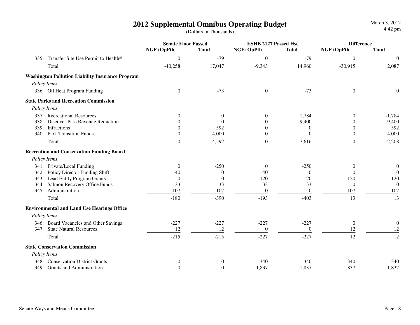**Senate Floor Passed ESHB 2127 Passed Hse DifferenceNGF+OpPth Total NGF+OpPth Total NGF+OpPth Total**335. Transfer Site Use Permit to Health# 0 -79 0 -79 0 02.087 Total $1 -40,258$   $17,047$   $-9,343$   $14,960$   $-30,915$   $2,087$  **Washington Pollution Liability Insurance Program** *Policy Items*336. Oil Heat Program Funding  $\begin{pmatrix} 0 & 0 & -73 & 0 & -73 & 0 \end{pmatrix}$  **State Parks and Recreation Commission** *Policy Items*337. Recreational Resources <br>338. Discover Pass Revenue Reduction <br>338. Discover Pass Revenue Reduction <br>0 0 0 -9.400 0 9.400 9.400 338. Discover Pass Revenue Reduction  $\begin{array}{cccc} 0 & 0 & 0 & -9,400 & 0 \\ 339. & Infractions & 0 & 592 & 0 & 0 \end{array}$ 592 339. Infractionss and  $\frac{1}{592}$  0 0 0 592 4,000 340. Park Transition Fundss and the set of  $\frac{0}{2}$  and  $\frac{4,000}{2}$  and  $\frac{0}{2}$  and  $\frac{0}{2}$  and  $\frac{0}{2}$  and  $\frac{4,000}{2}$ Totaland the contract of the contract of the contract of the contract of the contract of the contract of the contract of the contract of the contract of the contract of the contract of the contract of the contract of the contr  **Recreation and Conservation Funding Board** *Policy Items*341. Private/Local Fundingg and  $\begin{array}{ccccccc} 0 & 0 & -250 & 0 & -250 & 0 \end{array}$  $342.$  Policy Director Funding Shift  $\begin{pmatrix} -40 & 0 & -40 & 0 \\ 0 & -40 & 0 & 0 \end{pmatrix}$ 120 343. Lead Entity Program Grants  $\begin{array}{ccc} 0 & 0 & -120 & -120 \end{array}$  -120 -120 120  $\Omega$ 344. Salmon Recovery Office Funds -33 -33 -33 -33 0 0 $-107$ 345. Administrationn  $-107$   $-107$   $-107$   $-107$   $-107$   $-107$ Total $-180$   $-390$   $-193$   $-403$   $13$   $13$  **Environmental and Land Use Hearings Office** *Policy Items*346. Board Vacancies and Other Savings -227 -227 -227 -227 0 012 347. State Natural Resources 12 12 0 0 12 1212 Total $-215$   $-215$   $-227$   $-227$   $12$   $12$  **State Conservation Commission** *Policy Items*348. Conservation District Grants 0 0 0 -340 -340 -340 340 340 340 1.837 349. Grants and Administration 0 0 0 -1,837 -1,837 1,837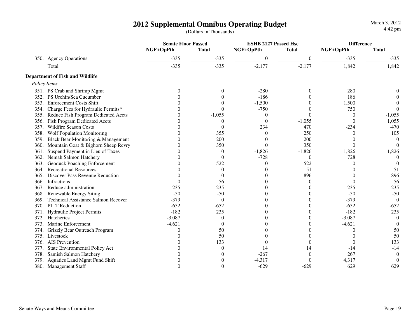**Senate Floor Passed ESHB 2127 Passed Hse DifferenceNGF+OpPth Total NGF+OpPth Total NGF+OpPth Total**350. Agency Operationss  $\frac{335}{2}$   $\frac{-335}{335}$   $\frac{-335}{2}$   $\frac{0}{2}$   $\frac{0}{335}$   $\frac{-335}{335}$   $\frac{-335}{335}$ 1.842 Total $-335$   $-335$   $-335$   $-2,177$   $-2,177$   $1,842$   $1,842$  **Department of Fish and Wildlife** *Policy Items*351. PS Crab and Shrimp Mgmt  $0$  0  $-280$  0  $280$  0  $0$  $\overline{0}$ 352. PS Urchin/Sea Cucumber  $\begin{array}{cccc} 0 & 0 & -186 & 0 & 186 \\ 353. \text{Enforcement Costs Shift} & 0 & 0 & -1.500 & 0 & 1.500 \end{array}$  $\overline{0}$ 353. Enforcement Costs Shift <br>354. Charge Fees for Hydraulic Permits\* <br>354. Charge Fees for Hydraulic Permits\* <br>0 0 1,500 0 1,500 0 1,500 0 1,500  $\overline{0}$ 354. Charge Fees for Hydraulic Permits\*  $0$  0 0 -750 0 750 0 750<br>355. Reduce Fish Program Dedicated Accts 0 -1.055 0 0 0  $-1.055$ 355. Reduce Fish Program Dedicated Accts 0 -1,055 0 0 0 -1,0551,055 356. Fish Program Dedicated Accts 0 0 0 0 -1,055 0 0  $-470$ 357. Wildfire Season Costss and the set of  $\frac{0}{234}$   $\frac{234}{470}$   $\frac{470}{234}$   $\frac{234}{470}$   $\frac{470}{470}$ 105 358. Wolf Population Monitoring  $\begin{array}{ccc} 0 & 355 & 0 & 250 \end{array}$  $\overline{0}$ 359. Black Bear Monitoring & Management 0 200 0 200 0 0 $\Omega$ 360. Mountain Goat & Bighorn Sheep Rcvry 0 350 0 350 0 350 0 350 0 350 0 350 0 350 0 350 0 350 0 350 0 350 0 350 0 0 350 0 350 0 350 0 350 0 350 0 350 0 350 0 350 0 350 0 350 0 350 0 350 0 350 0 350 0 350 0 350 0 350 0 350 1,826 361. Suspend Payment in Lieu of Taxes 0 0 -1,826 -1,826 -1,826 1,826  $\overline{0}$ 362. Nemah Salmon Hatchery 28 0 0 0 -728 0 728  $\Omega$ 363. Geoduck Poaching Enforcement 0 522 0 522 0 0 $-51$ 364. Recreational Resources 0 0 0 51 0 -51896  $365.$  Discover Pass Revenue Reduction  $0$  0 0 0  $0$  -896 0 0 56 366. Infractionss 6 0 0 0 56 0 0 0 0 56  $-235$ 367. Reduce administration **-235** -235 0 0 0 -235  $-50$  $368.$  Renewable Energy Siting  $-50$   $-50$   $0$   $0$   $-50$  $\Omega$ 369. Technical Assistance Salmon Recover  $\begin{array}{cccc} -379 & 0 & 0 & 0 & -379 \\ -552 & -652 & 0 & 0 & 0 \end{array}$  $-652$ 370. PILT Reduction $-652$   $-652$   $-652$   $0$   $-652$   $-652$ 371. Hydraulic Project Permits **182** -182 235 0 0 -182 235 235  $\overline{0}$ 372. Hatcheriess  $-3,087$  0 0 0  $-3,087$  0  $\overline{0}$ 373. Marine Enforcement  $-4.621$  0 0 0  $-4.621$ 50 374. Grizzly Bear Outreach Program  $\begin{array}{ccccccc} 0 & 50 & 0 & 0 & 0 \\ 375. &\text{Livestock} & & 0 & 50 & 0 & 0 \end{array}$ 50 375. Livestock $\mathbf{k}$  0 50 0 0 0 50 376. AIS Preventionn a  $0$  133 0 0 0 133 377. State Environmental Policy Act  $\begin{array}{ccc} 0 & 0 & 14 & 14 & -14 & -14 \end{array}$  $\overline{0}$  $378.$  Samish Salmon Hatchery  $0$  0  $-267$  0 267  $\overline{0}$  $379.$  Aquatics Land Mgmt Fund Shift  $\begin{array}{ccc} 0 & 0 & -4,317 & 0 & 4,317 \end{array}$ 629 380. Management Staff<sup>0</sup> <sup>0</sup> -629 -629 <sup>629</sup> <sup>629</sup>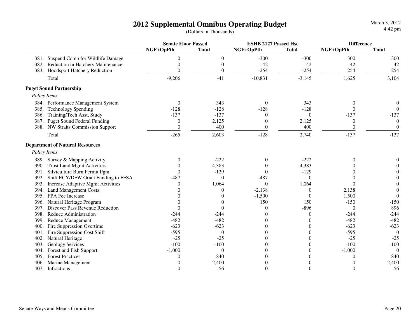|      |                                        | <b>Senate Floor Passed</b> |                  | <b>ESHB 2127 Passed Hse</b> |                | <b>Difference</b> |              |  |
|------|----------------------------------------|----------------------------|------------------|-----------------------------|----------------|-------------------|--------------|--|
|      |                                        | NGF+OpPth                  | <b>Total</b>     | NGF+OpPth                   | <b>Total</b>   | NGF+OpPth         | <b>Total</b> |  |
|      | 381. Suspend Comp for Wildlife Damage  | $\theta$                   | $\boldsymbol{0}$ | $-300$                      | $-300$         | 300               | 300          |  |
|      | 382. Reduction in Hatchery Maintenance | $\overline{0}$             | $\boldsymbol{0}$ | $-42$                       | $-42$          | 42                | 42           |  |
|      | 383. Hoodsport Hatchery Reduction      | $\theta$                   | $\boldsymbol{0}$ | $-254$                      | $-254$         | 254               | 254          |  |
|      | Total                                  | $-9,206$                   | $-41$            | $-10,831$                   | $-3,145$       | 1,625             | 3,104        |  |
|      | <b>Puget Sound Partnership</b>         |                            |                  |                             |                |                   |              |  |
|      | Policy Items                           |                            |                  |                             |                |                   |              |  |
|      | 384. Performance Management System     | $\theta$                   | 343              | $\theta$                    | 343            | $\overline{0}$    | 0            |  |
|      | 385. Technology Spending               | $-128$                     | $-128$           | $-128$                      | $-128$         | $\theta$          | $\Omega$     |  |
|      | 386. Training/Tech Asst, Study         | $-137$                     | $-137$           | $\mathbf{0}$                | $\mathbf{0}$   | $-137$            | $-137$       |  |
|      | 387. Puget Sound Federal Funding       | $\theta$                   | 2,125            | $\mathbf{0}$                | 2,125          | $\boldsymbol{0}$  | $\Omega$     |  |
|      | 388. NW Straits Commission Support     | $\Omega$                   | 400              | $\Omega$                    | 400            | $\overline{0}$    | $\Omega$     |  |
|      | Total                                  | $-265$                     | 2,603            | $-128$                      | 2,740          | $-137$            | $-137$       |  |
|      | <b>Department of Natural Resources</b> |                            |                  |                             |                |                   |              |  |
|      | Policy Items                           |                            |                  |                             |                |                   |              |  |
|      | 389. Survey & Mapping Activity         | $\Omega$                   | $-222$           | $\mathbf{0}$                | $-222$         | $\theta$          | 0            |  |
|      | 390. Trust Land Mgmt Activities        |                            | 4,383            | $\mathbf{0}$                | 4,383          | 0                 |              |  |
| 391. | Silviculture Burn Permit Pgm           | $\Omega$                   | $-129$           | $\Omega$                    | $-129$         | $\Omega$          |              |  |
| 392. | Shift ECY/DFW Grant Funding to FFSA    | $-487$                     | $\theta$         | $-487$                      | $\Omega$       | 0                 | $\Omega$     |  |
| 393. | Increase Adaptive Mgmt Activities      | $\Omega$                   | 1,064            | $\mathbf{0}$                | 1,064          | $\theta$          | $\Omega$     |  |
|      | 394. Land Management Costs             |                            | $\Omega$         | $-2,138$                    | $\Omega$       | 2,138             | $\Omega$     |  |
|      | 395. FPA Fee Increase                  |                            | $\Omega$         | $-1,500$                    | $\Omega$       | 1,500             | $\theta$     |  |
| 396. | Natural Heritage Program               |                            | $\theta$         | 150                         | 150            | $-150$            | $-150$       |  |
| 397. | Discover Pass Revenue Reduction        |                            | $\theta$         | $\mathbf{0}$                | $-896$         | $\overline{0}$    | 896          |  |
|      | 398. Reduce Administration             | $-244$                     | $-244$           | $\theta$                    | $\theta$       | $-244$            | $-244$       |  |
| 399. | Reduce Management                      | $-482$                     | $-482$           | $\theta$                    | $\theta$       | $-482$            | $-482$       |  |
| 400. | Fire Suppression Overtime              | $-623$                     | $-623$           | $\theta$                    | $\theta$       | $-623$            | $-623$       |  |
| 401. | Fire Suppression Cost Shift            | $-595$                     | $\theta$         | 0                           | $\theta$       | $-595$            | $\Omega$     |  |
| 402. | Natural Heritage                       | $-25$                      | $-25$            | 0                           | $\theta$       | $-25$             | $-25$        |  |
| 403. | <b>Geology Services</b>                | $-100$                     | $-100$           | $\Omega$                    | $\overline{0}$ | $-100$            | $-100$       |  |
| 404. | Forest and Fish Support                | $-1,000$                   | $\theta$         | $\Omega$                    | $\overline{0}$ | $-1,000$          | $\Omega$     |  |
| 405. | <b>Forest Practices</b>                |                            | 840              | $\theta$                    | $\theta$       | $\theta$          | 840          |  |
| 406. | Marine Management                      |                            | 2,400            | $\theta$                    | $\theta$       | $\Omega$          | 2,400        |  |
|      | 407. Infractions                       | $\Omega$                   | 56               | $\boldsymbol{0}$            | $\theta$       | $\overline{0}$    | 56           |  |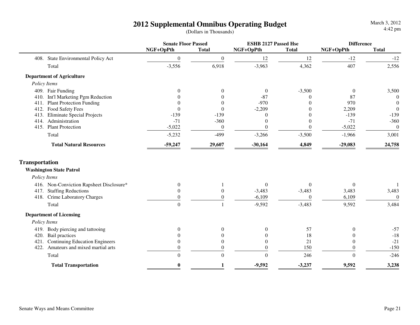|                                           | <b>Senate Floor Passed</b> |                  | <b>ESHB 2127 Passed Hse</b> |                  | <b>Difference</b> |              |
|-------------------------------------------|----------------------------|------------------|-----------------------------|------------------|-------------------|--------------|
|                                           | NGF+OpPth                  | <b>Total</b>     | NGF+OpPth                   | <b>Total</b>     | NGF+OpPth         | <b>Total</b> |
| 408. State Environmental Policy Act       | $\boldsymbol{0}$           | $\boldsymbol{0}$ | 12                          | 12               | $-12$             | $-12$        |
| Total                                     | $-3,556$                   | 6,918            | $-3,963$                    | 4,362            | 407               | 2,556        |
| <b>Department of Agriculture</b>          |                            |                  |                             |                  |                   |              |
| Policy Items                              |                            |                  |                             |                  |                   |              |
| 409. Fair Funding                         | $\Omega$                   | $\Omega$         | $\theta$                    | $-3,500$         | $\overline{0}$    | 3,500        |
| 410. Int'l Marketing Pgm Reduction        |                            | $\Omega$         | $-87$                       | $\theta$         | 87                | $\theta$     |
| 411. Plant Protection Funding             | $\Omega$                   | $\theta$         | $-970$                      | $\Omega$         | 970               | $\mathbf{0}$ |
| Food Safety Fees<br>412.                  | $\Omega$                   | $\theta$         | $-2,209$                    | $\Omega$         | 2,209             | $\mathbf{0}$ |
| <b>Eliminate Special Projects</b><br>413. | $-139$                     | $-139$           | $\theta$                    | $\theta$         | $-139$            | $-139$       |
| 414. Administration                       | $-71$                      | $-360$           | $\Omega$                    | $\Omega$         | $-71$             | $-360$       |
| 415. Plant Protection                     | $-5,022$                   | $\boldsymbol{0}$ | $\mathbf{0}$                | $\theta$         | $-5,022$          | $\mathbf{0}$ |
| Total                                     | $-5,232$                   | $-499$           | $-3,266$                    | $-3,500$         | $-1,966$          | 3,001        |
| <b>Total Natural Resources</b>            | $-59,247$                  | 29,607           | $-30,164$                   | 4,849            | $-29,083$         | 24,758       |
| <b>Transportation</b>                     |                            |                  |                             |                  |                   |              |
| <b>Washington State Patrol</b>            |                            |                  |                             |                  |                   |              |
| Policy Items                              |                            |                  |                             |                  |                   |              |
| 416. Non-Conviction Rapsheet Disclosure*  | $\theta$                   |                  | $\boldsymbol{0}$            | $\boldsymbol{0}$ | $\Omega$          |              |
| <b>Staffing Reductions</b><br>417.        | $\Omega$                   | $\mathbf{0}$     | $-3,483$                    | $-3,483$         | 3,483             | 3,483        |
| 418. Crime Laboratory Charges             | $\theta$                   | $\boldsymbol{0}$ | $-6,109$                    | $\mathbf{0}$     | 6,109             | $\theta$     |
| Total                                     | $\overline{0}$             |                  | $-9,592$                    | $-3,483$         | 9,592             | 3,484        |
| <b>Department of Licensing</b>            |                            |                  |                             |                  |                   |              |
| Policy Items                              |                            |                  |                             |                  |                   |              |
| 419. Body piercing and tattooing          | $\theta$                   | $\boldsymbol{0}$ | $\theta$                    | 57               | $\theta$          | $-57$        |
| 420. Bail practices                       | 0                          | $\boldsymbol{0}$ | $\theta$                    | 18               | $\boldsymbol{0}$  | $-18$        |
| 421. Continuing Education Engineers       | $\overline{0}$             | $\boldsymbol{0}$ | $\Omega$                    | 21               | $\theta$          | $-21$        |
| 422. Amateurs and mixed martial arts      | $\boldsymbol{0}$           | $\boldsymbol{0}$ | $\mathbf{0}$                | 150              | $\boldsymbol{0}$  | $-150$       |
| Total                                     | $\Omega$                   | $\overline{0}$   | $\Omega$                    | 246              | $\Omega$          | $-246$       |
| <b>Total Transportation</b>               | $\bf{0}$                   | 1                | $-9,592$                    | $-3,237$         | 9,592             | 3,238        |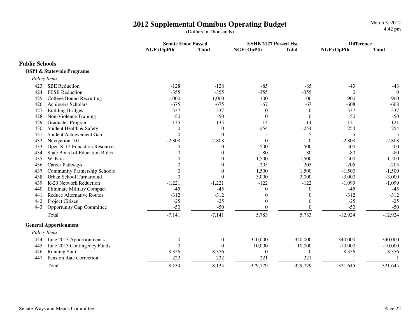**Senate Floor Passed**<br> **ESHB 2127 Passed Hse Difference**<br> **Difference**<br> **Difference**<br> **Difference**<br> **Difference**<br> **Difference NGF+OpPth Total NGF+OpPth Total NGF+OpPth TotalPublic Schools OSPI & Statewide Programs** *Policy Items*423. SBE Reductionn  $-128$   $-128$   $-85$   $-85$   $-43$   $-43$ 424. PESB Reduction $-355$   $-355$   $-355$   $-355$  0 0 425. College Bound Recruiting  $-1,000$   $-1,000$   $-100$   $-100$   $-900$   $-900$  $-608$ 426. Achievers Scholarss  $-675$   $-675$   $-67$   $-67$   $-67$   $-608$   $-608$  $-337$ 427. Building Bridgess and  $-337$   $-337$   $-337$   $0$   $0$   $-337$   $-337$  $-50$ 428. Non-Violence Training  $\begin{array}{cccc} -50 & -50 & -14 & 0 & 0 & -50 \\ 429. & Graduates Program & -135 & -135 & -14 & -14 \end{array}$  $-121$ 429. Graduates Programm  $-135$   $-135$   $-14$   $-14$   $-121$   $-121$ 430. Student Health & Safety **0** 0  $-254$  -254 254 254 254 254 254 5 431. Student Achievement Gap 0 0 -5 -5 5 5 $-2.808$ 432. Navigation 101 $-2,808$   $-2,808$  0 0  $-2,808$   $-2,808$ 433. Open K-12 Education Resources and the control of the control of the control of the control of the control of the control of the control of the control of the control of the control of the control of the control of the  $-80$ 434. State Board of Education Rules 0 0 80 80 -80 -80 $-1.500$ 435. WaKidss  $0 \t 0 \t 1,500 \t 1,500$   $-1,500$   $-1,500$  $-205$ 436. Career Pathwayss  $0$  0  $205$   $205$   $-205$   $-205$  $-1,500$ 437. Community Partnership Schools 0 0 0 1,500 1,500 -1,500 -1,500 438. Urban School Turnaround 0 0 3,000 3,000 -3,000 -3,000 $-1.099$ 439. K-20 Network Reduction -1.221 -1.222 -122 -122 -1099  $-45$ 440. Eliminate Military Compact  $-45$   $-45$   $-45$  0 0  $-45$  $-312$ 441. Reduce Alternative Routes **-312** -312 0 0 -312  $-25$ 442. Project Citizenn  $-25$   $-25$   $0$   $0$   $-25$   $-25$ 443. Opportunity Gap Committee  $-50$   $-50$   $0$   $0$   $-50$   $-50$  $-12,924$ Total1  $-7,141$   $-7,141$   $-7,141$   $-5,783$   $-5,783$   $-12,924$   $-12,924$  **General Apportionment** *Policy Items*444. June 2013 Apportionment # 0 0 0 340,000 -340,000 -340,000 340,000 340,000 340,000  $-10,000$ 445. June 2013 Contingency Funds 0 0 0 10,000 10,000 -10,000 -10,000<br>446. Running Start -8.356 -8.356 0 0 -8.356  $-8.356$ 446. Running Start -8,356 -8,356 0 0 -8,356 -8,356 $\mathbf{1}$ 447. Pension Rate Correction 222 222 221 221 221 1 Total1 -8,134 -8,134 -8,134 -329,779 -329,779 321,645 321,645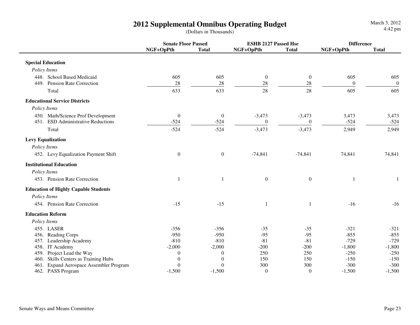|                                             | <b>Senate Floor Passed</b> |                  | <b>ESHB 2127 Passed Hse</b> |                  | <b>Difference</b> |                  |
|---------------------------------------------|----------------------------|------------------|-----------------------------|------------------|-------------------|------------------|
|                                             | NGF+OpPth                  | <b>Total</b>     | NGF+OpPth                   | <b>Total</b>     | NGF+OpPth         | <b>Total</b>     |
| <b>Special Education</b>                    |                            |                  |                             |                  |                   |                  |
| Policy Items                                |                            |                  |                             |                  |                   |                  |
| 448. School Based Medicaid                  | 605                        | 605              | $\boldsymbol{0}$            | $\overline{0}$   | 605               | 605              |
| 449. Pension Rate Correction                | 28                         | $28\,$           | 28                          | $28\,$           | $\boldsymbol{0}$  | $\boldsymbol{0}$ |
| Total                                       | 633                        | 633              | 28                          | 28               | 605               | 605              |
| <b>Educational Service Districts</b>        |                            |                  |                             |                  |                   |                  |
| Policy Items                                |                            |                  |                             |                  |                   |                  |
| 450. Math/Science Prof Development          | $\boldsymbol{0}$           | $\boldsymbol{0}$ | $-3,473$                    | $-3,473$         | 3,473             | 3,473            |
| 451. ESD Administrative Reductions          | $-524$                     | $-524$           | $\boldsymbol{0}$            | $\overline{0}$   | $-524$            | $-524$           |
| Total                                       | $-524$                     | $-524$           | $-3,473$                    | $-3,473$         | 2,949             | 2,949            |
| <b>Levy Equalization</b>                    |                            |                  |                             |                  |                   |                  |
| Policy Items                                |                            |                  |                             |                  |                   |                  |
| 452. Levy Equalization Payment Shift        | $\boldsymbol{0}$           | $\boldsymbol{0}$ | $-74,841$                   | $-74,841$        | 74,841            | 74,841           |
| <b>Institutional Education</b>              |                            |                  |                             |                  |                   |                  |
| Policy Items                                |                            |                  |                             |                  |                   |                  |
| 453. Pension Rate Correction                |                            |                  | $\boldsymbol{0}$            | $\boldsymbol{0}$ | $\mathbf{1}$      | 1                |
| <b>Education of Highly Capable Students</b> |                            |                  |                             |                  |                   |                  |
| Policy Items                                |                            |                  |                             |                  |                   |                  |
| 454. Pension Rate Correction                | $-15$                      | $-15$            | $\mathbf{1}$                | $\mathbf{1}$     | $-16$             | $-16$            |
| <b>Education Reform</b>                     |                            |                  |                             |                  |                   |                  |
| Policy Items                                |                            |                  |                             |                  |                   |                  |
| 455. LASER                                  | $-356$                     | $-356$           | $-35$                       | $-35$            | $-321$            | $-321$           |
| 456. Reading Corps                          | $-950$                     | $-950$           | $-95$                       | $-95$            | $-855$            | $-855$           |
| 457. Leadership Academy                     | $-810$                     | $-810$           | $-81$                       | $-81$            | $-729$            | $-729$           |
| 458. IT Academy                             | $-2,000$                   | $-2,000$         | $-200$                      | $-200$           | $-1,800$          | $-1,800$         |
| Project Lead the Way<br>459.                | $\theta$                   | $\theta$         | 250                         | 250              | $-250$            | $-250$           |
| 460. Skills Centers as Training Hubs        | $\theta$                   | $\Omega$         | 150                         | 150              | $-150$            | $-150$           |
| Expand Aerospace Assembler Program<br>461.  | $\theta$                   | $\Omega$         | 300                         | 300              | $-300$            | $-300$           |
| 462. PASS Program                           | $-1,500$                   | $-1,500$         | $\boldsymbol{0}$            | $\mathbf{0}$     | $-1,500$          | $-1,500$         |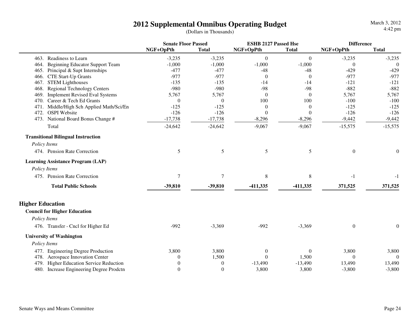|                                               | <b>Senate Floor Passed</b> |              | <b>ESHB 2127 Passed Hse</b> |                | <b>Difference</b> |              |
|-----------------------------------------------|----------------------------|--------------|-----------------------------|----------------|-------------------|--------------|
|                                               | NGF+OpPth                  | <b>Total</b> | NGF+OpPth                   | <b>Total</b>   | NGF+OpPth         | <b>Total</b> |
| 463. Readiness to Learn                       | $-3,235$                   | $-3,235$     | $\mathbf{0}$                | $\overline{0}$ | $-3,235$          | $-3,235$     |
| 464. Beginning Educator Support Team          | $-1,000$                   | $-1,000$     | $-1,000$                    | $-1,000$       | $\theta$          | $\theta$     |
| Principal & Supt Internships<br>465.          | $-477$                     | $-477$       | $-48$                       | $-48$          | $-429$            | $-429$       |
| CTE Start-Up Grants<br>466.                   | $-977$                     | $-977$       | $\theta$                    | $\Omega$       | $-977$            | $-977$       |
| <b>STEM Lighthouses</b><br>467.               | $-135$                     | $-135$       | $-14$                       | $-14$          | $-121$            | $-121$       |
| <b>Regional Technology Centers</b><br>468.    | $-980$                     | $-980$       | $-98$                       | $-98$          | $-882$            | $-882$       |
| <b>Implement Revised Eval Systems</b><br>469. | 5,767                      | 5,767        | $\theta$                    | $\Omega$       | 5,767             | 5,767        |
| Career & Tech Ed Grants<br>470.               | $\theta$                   | $\Omega$     | 100                         | 100            | $-100$            | $-100$       |
| Middle/High Sch Applied Math/Sci/En<br>471.   | $-125$                     | $-125$       | $\theta$                    | $\theta$       | $-125$            | $-125$       |
| <b>OSPI</b> Website<br>472.                   | $-126$                     | $-126$       | $\theta$                    | $\theta$       | $-126$            | $-126$       |
| 473. National Board Bonus Change #            | $-17,738$                  | $-17,738$    | $-8,296$                    | $-8,296$       | $-9,442$          | $-9,442$     |
| Total                                         | $-24,642$                  | $-24,642$    | $-9,067$                    | $-9,067$       | $-15,575$         | $-15,575$    |
| <b>Transitional Bilingual Instruction</b>     |                            |              |                             |                |                   |              |
| Policy Items                                  |                            |              |                             |                |                   |              |
| 474. Pension Rate Correction                  | 5                          | 5            | 5                           | 5              | $\boldsymbol{0}$  | $\mathbf{0}$ |
| <b>Learning Assistance Program (LAP)</b>      |                            |              |                             |                |                   |              |
| Policy Items                                  |                            |              |                             |                |                   |              |
| 475. Pension Rate Correction                  | $\tau$                     | $\tau$       | $8\,$                       | $8\,$          | $-1$              | $-1$         |
| <b>Total Public Schools</b>                   | $-39,810$                  | $-39,810$    | -411,335                    | $-411,335$     | 371,525           | 371,525      |
| <b>Higher Education</b>                       |                            |              |                             |                |                   |              |
|                                               |                            |              |                             |                |                   |              |
| <b>Council for Higher Education</b>           |                            |              |                             |                |                   |              |
| Policy Items                                  |                            |              |                             |                |                   |              |
| 476. Transfer - Cncl for Higher Ed            | $-992$                     | $-3,369$     | $-992$                      | $-3,369$       | $\boldsymbol{0}$  | $\mathbf{0}$ |
| <b>University of Washington</b>               |                            |              |                             |                |                   |              |
| Policy Items                                  |                            |              |                             |                |                   |              |
| 477. Engineering Degree Production            | 3,800                      | 3,800        | $\boldsymbol{0}$            | $\mathbf{0}$   | 3,800             | 3,800        |
| 478. Aerospace Innovation Center              | $\Omega$                   | 1,500        | $\boldsymbol{0}$            | 1,500          | $\theta$          | $\theta$     |
| Higher Education Service Reduction<br>479.    | $\Omega$                   | $\Omega$     | $-13,490$                   | $-13,490$      | 13,490            | 13,490       |
| 480. Increase Engineering Degree Prodctn      | $\theta$                   | $\theta$     | 3,800                       | 3,800          | $-3,800$          | $-3,800$     |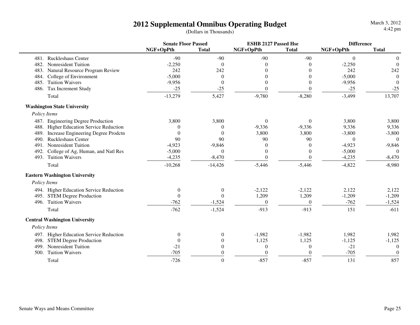March 3, 20124:42 pm

|              |                                           |                  | <b>Senate Floor Passed</b> |                  | <b>ESHB 2127 Passed Hse</b> |                  | <b>Difference</b> |  |
|--------------|-------------------------------------------|------------------|----------------------------|------------------|-----------------------------|------------------|-------------------|--|
|              |                                           | NGF+OpPth        | <b>Total</b>               | NGF+OpPth        | <b>Total</b>                | NGF+OpPth        | <b>Total</b>      |  |
|              | 481. Ruckleshaus Center                   | $-90$            | $-90$                      | $-90$            | $-90$                       | $\boldsymbol{0}$ | $\mathbf{0}$      |  |
| 482.         | Nonresident Tuition                       | $-2,250$         | $\overline{0}$             | $\theta$         | $\Omega$                    | $-2,250$         | $\theta$          |  |
| 483.         | Natural Resource Program Review           | 242              | 242                        | 0                |                             | 242              | 242               |  |
| 484.         | College of Environment                    | $-5,000$         | $\theta$                   | $\Omega$         | $\Omega$                    | $-5,000$         | $\theta$          |  |
| 485.         | <b>Tuition Waivers</b>                    | $-9,956$         | $\theta$                   | $\mathbf{0}$     | $\Omega$                    | $-9,956$         | $\Omega$          |  |
| 486.         | Tax Increment Study                       | $-25$            | $-25$                      | $\boldsymbol{0}$ | $\theta$                    | $-25$            | $-25$             |  |
|              | Total                                     | $-13,279$        | 5,427                      | $-9,780$         | $-8,280$                    | $-3,499$         | 13,707            |  |
|              | <b>Washington State University</b>        |                  |                            |                  |                             |                  |                   |  |
| Policy Items |                                           |                  |                            |                  |                             |                  |                   |  |
|              | 487. Engineering Degree Production        | 3,800            | 3,800                      | $\boldsymbol{0}$ | $\overline{0}$              | 3,800            | 3,800             |  |
| 488.         | <b>Higher Education Service Reduction</b> | $\theta$         | $\theta$                   | $-9,336$         | $-9,336$                    | 9,336            | 9,336             |  |
| 489.         | Increase Engineering Degree Prodctn       | $\Omega$         | $\Omega$                   | 3,800            | 3,800                       | $-3,800$         | $-3,800$          |  |
| 490.         | <b>Ruckleshaus Center</b>                 | 90               | 90                         | 90               | 90                          | $\theta$         | $\Omega$          |  |
| 491.         | Nonresident Tuition                       | $-4,923$         | $-9,846$                   | $\theta$         | $\Omega$                    | $-4,923$         | $-9,846$          |  |
| 492.         | College of Ag, Human, and Natl Res        | $-5,000$         | $\Omega$                   | $\overline{0}$   | $\Omega$                    | $-5,000$         | $\Omega$          |  |
| 493.         | <b>Tuition Waivers</b>                    | $-4,235$         | $-8,470$                   | $\Omega$         | $\Omega$                    | $-4,235$         | $-8,470$          |  |
|              | Total                                     | $-10,268$        | $-14,426$                  | $-5,446$         | $-5,446$                    | $-4,822$         | $-8,980$          |  |
|              | <b>Eastern Washington University</b>      |                  |                            |                  |                             |                  |                   |  |
| Policy Items |                                           |                  |                            |                  |                             |                  |                   |  |
|              | 494. Higher Education Service Reduction   | $\mathbf{0}$     | $\overline{0}$             | $-2,122$         | $-2,122$                    | 2,122            | 2,122             |  |
|              | 495. STEM Degree Production               | $\mathbf{0}$     | $\theta$                   | 1,209            | 1,209                       | $-1,209$         | $-1,209$          |  |
| 496.         | <b>Tuition Waivers</b>                    | $-762$           | $-1,524$                   | $\boldsymbol{0}$ | $\overline{0}$              | $-762$           | $-1,524$          |  |
|              | Total                                     | $-762$           | $-1,524$                   | $-913$           | $-913$                      | 151              | $-611$            |  |
|              | <b>Central Washington University</b>      |                  |                            |                  |                             |                  |                   |  |
| Policy Items |                                           |                  |                            |                  |                             |                  |                   |  |
|              | 497. Higher Education Service Reduction   | $\boldsymbol{0}$ | $\overline{0}$             | $-1,982$         | $-1,982$                    | 1,982            | 1,982             |  |
| 498.         | <b>STEM Degree Production</b>             | $\theta$         | $\theta$                   | 1,125            | 1,125                       | $-1,125$         | $-1,125$          |  |
| 499.         | Nonresident Tuition                       | $-21$            | $\theta$                   | $\boldsymbol{0}$ | $\theta$                    | $-21$            | $\theta$          |  |
| 500.         | <b>Tuition Waivers</b>                    | $-705$           | $\overline{0}$             | $\theta$         | $\Omega$                    | $-705$           | $\theta$          |  |
|              | Total                                     | $-726$           | $\boldsymbol{0}$           | $-857$           | $-857$                      | 131              | 857               |  |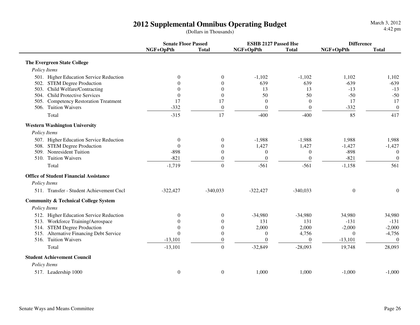|                                                 | <b>Senate Floor Passed</b> |                  | <b>ESHB 2127 Passed Hse</b> |                  | <b>Difference</b> |                  |
|-------------------------------------------------|----------------------------|------------------|-----------------------------|------------------|-------------------|------------------|
|                                                 | NGF+OpPth                  | <b>Total</b>     | NGF+OpPth                   | <b>Total</b>     | NGF+OpPth         | <b>Total</b>     |
| <b>The Evergreen State College</b>              |                            |                  |                             |                  |                   |                  |
| Policy Items                                    |                            |                  |                             |                  |                   |                  |
| 501. Higher Education Service Reduction         | $\theta$                   | $\boldsymbol{0}$ | $-1,102$                    | $-1,102$         | 1,102             | 1,102            |
| 502. STEM Degree Production                     | 0                          | $\mathbf{0}$     | 639                         | 639              | $-639$            | $-639$           |
| 503. Child Welfare/Contracting                  | 0                          | $\mathbf{0}$     | 13                          | 13               | $-13$             | $-13$            |
| <b>Child Protective Services</b><br>504.        | $\theta$                   | $\boldsymbol{0}$ | 50                          | 50               | $-50$             | $-50$            |
| <b>Competency Restoration Treatment</b><br>505. | 17                         | 17               | $\boldsymbol{0}$            | $\mathbf{0}$     | 17                | 17               |
| 506. Tuition Waivers                            | $-332$                     | $\boldsymbol{0}$ | $\boldsymbol{0}$            | $\mathbf{0}$     | $-332$            | $\boldsymbol{0}$ |
| Total                                           | $-315$                     | 17               | $-400$                      | $-400$           | 85                | 417              |
| <b>Western Washington University</b>            |                            |                  |                             |                  |                   |                  |
| Policy Items                                    |                            |                  |                             |                  |                   |                  |
| 507. Higher Education Service Reduction         | $\mathbf{0}$               | $\boldsymbol{0}$ | $-1,988$                    | $-1,988$         | 1,988             | 1,988            |
| 508. STEM Degree Production                     | $\Omega$                   | $\mathbf{0}$     | 1,427                       | 1,427            | $-1,427$          | $-1,427$         |
| <b>Nonresident Tuition</b><br>509.              | $-898$                     | $\boldsymbol{0}$ | $\mathbf{0}$                | $\boldsymbol{0}$ | $-898$            | $\overline{0}$   |
| 510. Tuition Waivers                            | $-821$                     | $\mathbf{0}$     | $\mathbf{0}$                | $\mathbf{0}$     | $-821$            | $\boldsymbol{0}$ |
| Total                                           | $-1,719$                   | $\overline{0}$   | $-561$                      | $-561$           | $-1,158$          | 561              |
| <b>Office of Student Financial Assistance</b>   |                            |                  |                             |                  |                   |                  |
| Policy Items                                    |                            |                  |                             |                  |                   |                  |
| 511. Transfer - Student Achievement Cncl        | $-322,427$                 | $-340,033$       | $-322,427$                  | $-340,033$       | $\overline{0}$    | $\boldsymbol{0}$ |
| <b>Community &amp; Technical College System</b> |                            |                  |                             |                  |                   |                  |
| Policy Items                                    |                            |                  |                             |                  |                   |                  |
| 512. Higher Education Service Reduction         | $\Omega$                   | $\theta$         | $-34,980$                   | $-34,980$        | 34,980            | 34,980           |
| 513. Workforce Training/Aerospace               | 0                          | $\mathbf{0}$     | 131                         | 131              | $-131$            | $-131$           |
| 514. STEM Degree Production                     | $\theta$                   | $\mathbf{0}$     | 2,000                       | 2,000            | $-2,000$          | $-2,000$         |
| 515. Alternative Financing Debt Service         | $\Omega$                   | $\mathbf{0}$     | $\mathbf{0}$                | 4,756            | $\theta$          | $-4,756$         |
| 516. Tuition Waivers                            | $-13,101$                  | $\boldsymbol{0}$ | $\boldsymbol{0}$            | $\mathbf{0}$     | $-13,101$         | $\theta$         |
| Total                                           | $-13,101$                  | $\Omega$         | $-32,849$                   | $-28,093$        | 19,748            | 28,093           |
| <b>Student Achievement Council</b>              |                            |                  |                             |                  |                   |                  |
| Policy Items                                    |                            |                  |                             |                  |                   |                  |
| 517. Leadership 1000                            | $\boldsymbol{0}$           | $\mathbf{0}$     | 1,000                       | 1,000            | $-1,000$          | $-1,000$         |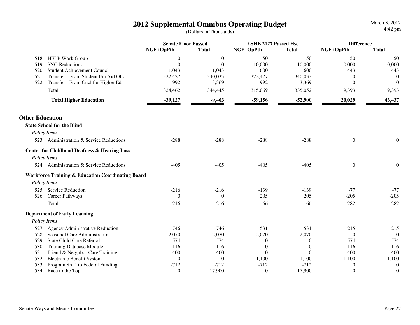|                                                              | <b>Senate Floor Passed</b> |              | <b>ESHB 2127 Passed Hse</b> |              | <b>Difference</b> |                  |
|--------------------------------------------------------------|----------------------------|--------------|-----------------------------|--------------|-------------------|------------------|
|                                                              | NGF+OpPth                  | <b>Total</b> | NGF+OpPth                   | <b>Total</b> | NGF+OpPth         | <b>Total</b>     |
| 518. HELP Work Group                                         | $\theta$                   | $\mathbf{0}$ | 50                          | 50           | $-50$             | $-50$            |
| <b>SNG Reductions</b><br>519.                                | $\Omega$                   | $\Omega$     | $-10,000$                   | $-10,000$    | 10,000            | 10,000           |
| Student Achievement Council<br>520.                          | 1,043                      | 1,043        | 600                         | 600          | 443               | 443              |
| Transfer - From Student Fin Aid Ofc<br>521.                  | 322,427                    | 340,033      | 322,427                     | 340,033      | 0                 | $\theta$         |
| 522. Transfer - From Cncl for Higher Ed                      | 992                        | 3,369        | 992                         | 3,369        | $\theta$          | $\theta$         |
| Total                                                        | 324,462                    | 344,445      | 315,069                     | 335,052      | 9,393             | 9,393            |
| <b>Total Higher Education</b>                                | $-39,127$                  | $-9,463$     | $-59,156$                   | $-52,900$    | 20,029            | 43,437           |
| <b>Other Education</b>                                       |                            |              |                             |              |                   |                  |
| <b>State School for the Blind</b>                            |                            |              |                             |              |                   |                  |
| Policy Items                                                 |                            |              |                             |              |                   |                  |
| 523. Administration & Service Reductions                     | $-288$                     | $-288$       | $-288$                      | $-288$       | $\boldsymbol{0}$  | $\boldsymbol{0}$ |
| <b>Center for Childhood Deafness &amp; Hearing Loss</b>      |                            |              |                             |              |                   |                  |
| Policy Items                                                 |                            |              |                             |              |                   |                  |
| 524. Administration & Service Reductions                     | $-405$                     | $-405$       | $-405$                      | $-405$       | $\boldsymbol{0}$  | $\boldsymbol{0}$ |
| <b>Workforce Training &amp; Education Coordinating Board</b> |                            |              |                             |              |                   |                  |
| Policy Items                                                 |                            |              |                             |              |                   |                  |
| 525. Service Reduction                                       | $-216$                     | $-216$       | $-139$                      | $-139$       | $-77$             | $-77$            |
| 526. Career Pathways                                         | $\theta$                   | $\Omega$     | 205                         | 205          | $-205$            | $-205$           |
| Total                                                        | $-216$                     | $-216$       | 66                          | 66           | $-282$            | $-282$           |
| <b>Department of Early Learning</b>                          |                            |              |                             |              |                   |                  |
| Policy Items                                                 |                            |              |                             |              |                   |                  |
| 527. Agency Administrative Reduction                         | $-746$                     | $-746$       | $-531$                      | $-531$       | $-215$            | $-215$           |
| 528. Seasonal Care Administration                            | $-2,070$                   | $-2,070$     | $-2,070$                    | $-2,070$     | $\theta$          | $\theta$         |
| 529. State Child Care Referral                               | $-574$                     | $-574$       | $\mathbf{0}$                | $\theta$     | $-574$            | $-574$           |
| <b>Training Database Module</b><br>530.                      | $-116$                     | $-116$       | $\boldsymbol{0}$            | $\theta$     | $-116$            | $-116$           |
| Friend & Neighbor Care Training<br>531.                      | $-400$                     | $-400$       | $\theta$                    | $\Omega$     | $-400$            | $-400$           |
| Electronic Benefit System<br>532.                            | $\boldsymbol{0}$           | $\theta$     | 1,100                       | 1,100        | $-1,100$          | $-1,100$         |
| Program Shift to Federal Funding<br>533.                     | $-712$                     | $-712$       | $-712$                      | $-712$       | $\overline{0}$    | $\mathbf{0}$     |
| 534. Race to the Top                                         | $\overline{0}$             | 17,900       | $\boldsymbol{0}$            | 17,900       | $\overline{0}$    | $\boldsymbol{0}$ |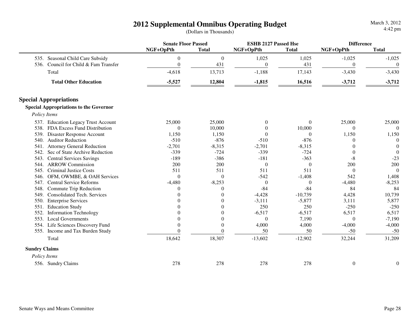|                      |                                               | <b>Senate Floor Passed</b> |                  |              | <b>ESHB 2127 Passed Hse</b> |                  | <b>Difference</b> |  |
|----------------------|-----------------------------------------------|----------------------------|------------------|--------------|-----------------------------|------------------|-------------------|--|
|                      |                                               | NGF+OpPth                  | <b>Total</b>     | NGF+OpPth    | <b>Total</b>                | NGF+OpPth        | <b>Total</b>      |  |
|                      | 535. Seasonal Child Care Subsidy              | $\mathbf{0}$               | $\theta$         | 1,025        | 1,025                       | $-1,025$         | $-1,025$          |  |
| 536.                 | Council for Child & Fam Transfer              | $\Omega$                   | 431              | $\mathbf{0}$ | 431                         | $\mathbf{0}$     | $\theta$          |  |
|                      | Total                                         | $-4,618$                   | 13,713           | $-1,188$     | 17,143                      | $-3,430$         | $-3,430$          |  |
|                      | <b>Total Other Education</b>                  | $-5,527$                   | 12,804           | $-1,815$     | 16,516                      | $-3,712$         | $-3,712$          |  |
|                      | <b>Special Appropriations</b>                 |                            |                  |              |                             |                  |                   |  |
|                      | <b>Special Appropriations to the Governor</b> |                            |                  |              |                             |                  |                   |  |
|                      | Policy Items                                  |                            |                  |              |                             |                  |                   |  |
|                      | 537. Education Legacy Trust Account           | 25,000                     | 25,000           | $\mathbf{0}$ | $\overline{0}$              | 25,000           | 25,000            |  |
|                      | 538. FDA Excess Fund Distribution             | $\theta$                   | 10,000           | $\theta$     | 10,000                      | $\Omega$         | $\Omega$          |  |
| 539.                 | <b>Disaster Response Account</b>              | 1,150                      | 1,150            | $\Omega$     | $\Omega$                    | 1,150            | 1,150             |  |
| 540.                 | <b>Auditor Reduction</b>                      | $-510$                     | $-876$           | $-510$       | $-876$                      | 0                | $\Omega$          |  |
| 541.                 | <b>Attorney General Reduction</b>             | $-2,701$                   | $-8,315$         | $-2,701$     | $-8,315$                    | 0                | $\Omega$          |  |
| 542.                 | Sec of State Archive Reduction                | $-339$                     | $-724$           | $-339$       | $-724$                      | $\theta$         | $\theta$          |  |
| 543.                 | <b>Central Services Savings</b>               | $-189$                     | $-386$           | $-181$       | $-363$                      | $-8$             | $-23$             |  |
| 544.                 | <b>ARROW Commission</b>                       | 200                        | 200              | $\mathbf{0}$ | $\overline{0}$              | 200              | 200               |  |
| 545.                 | <b>Criminal Justice Costs</b>                 | 511                        | 511              | 511          | 511                         | $\Omega$         | $\Omega$          |  |
| 546.                 | OFM, OWMBE, & OAH Services                    | $\theta$                   | $\mathbf{0}$     | $-542$       | $-1,408$                    | 542              | 1,408             |  |
| 547.                 | <b>Central Service Reforms</b>                | $-4,480$                   | $-8,253$         | $\theta$     | $\theta$                    | $-4,480$         | $-8,253$          |  |
| 548.                 | Commute Trip Reduction                        | 0                          | $\theta$         | $-84$        | $-84$                       | 84               | 84                |  |
| 549.                 | <b>Consolidated Tech. Services</b>            | $\Omega$                   | $\boldsymbol{0}$ | $-4,428$     | $-10,739$                   | 4,428            | 10,739            |  |
| 550.                 | <b>Enterprise Services</b>                    |                            | $\overline{0}$   | $-3,111$     | $-5,877$                    | 3,111            | 5,877             |  |
| 551.                 | <b>Education Study</b>                        |                            | $\overline{0}$   | 250          | 250                         | $-250$           | $-250$            |  |
| 552.                 | <b>Information Technology</b>                 |                            | $\overline{0}$   | $-6,517$     | $-6,517$                    | 6,517            | 6,517             |  |
| 553.                 | <b>Local Governments</b>                      | 0                          | $\boldsymbol{0}$ | $\theta$     | 7,190                       | $\theta$         | $-7,190$          |  |
|                      | 554. Life Sciences Discovery Fund             | $\theta$                   | $\overline{0}$   | 4,000        | 4,000                       | $-4,000$         | $-4,000$          |  |
|                      | 555. Income and Tax Burden Study              | $\Omega$                   | $\theta$         | 50           | 50                          | $-50$            | $-50$             |  |
|                      | Total                                         | 18,642                     | 18,307           | $-13,602$    | $-12,902$                   | 32,244           | 31,209            |  |
| <b>Sundry Claims</b> |                                               |                            |                  |              |                             |                  |                   |  |
|                      | Policy Items                                  |                            |                  |              |                             |                  |                   |  |
|                      | 556. Sundry Claims                            | 278                        | 278              | 278          | 278                         | $\boldsymbol{0}$ | $\boldsymbol{0}$  |  |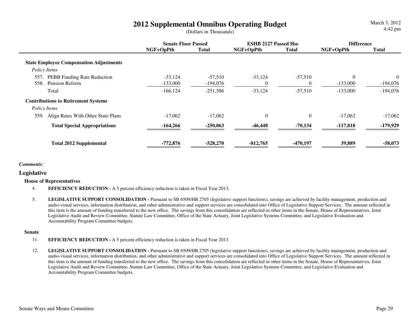March 3, 20124:42 pm

|                                                | <b>Senate Floor Passed</b> |              | <b>ESHB 2127 Passed Hse</b> |                | <b>Difference</b> |              |
|------------------------------------------------|----------------------------|--------------|-----------------------------|----------------|-------------------|--------------|
|                                                | NGF+OpPth                  | <b>Total</b> | NGF+OpPth                   | <b>Total</b>   | NGF+OpPth         | <b>Total</b> |
| <b>State Employee Compensation Adjustments</b> |                            |              |                             |                |                   |              |
| Policy Items                                   |                            |              |                             |                |                   |              |
| <b>PEBB Funding Rate Reduction</b><br>557      | $-33,124$                  | $-57,510$    | $-33,124$                   | $-57,510$      | $\Omega$          | $\theta$     |
| Pension Reform<br>558.                         | $-133,000$                 | -194,076     | $\Omega$                    | $\theta$       | $-133,000$        | $-194,076$   |
| Total                                          | $-166, 124$                | $-251,586$   | $-33,124$                   | $-57,510$      | $-133,000$        | $-194,076$   |
| <b>Contributions to Retirement Systems</b>     |                            |              |                             |                |                   |              |
| Policy Items                                   |                            |              |                             |                |                   |              |
| Align Rates With Other State Plans<br>559.     | $-17,062$                  | $-17,062$    | $\boldsymbol{0}$            | $\overline{0}$ | $-17,062$         | $-17,062$    |
| <b>Total Special Appropriations</b>            | $-164,266$                 | $-250,063$   | $-46,448$                   | $-70,134$      | $-117,818$        | $-179,929$   |
| <b>Total 2012 Supplemental</b>                 | $-772,876$                 | $-528,270$   | $-812,765$                  | $-470,197$     | 39,889            | $-58,073$    |

#### *Comments:*

#### **Legislative**

#### **House of Representatives**

- 4.**EFFICIENCY REDUCTION -** A 5 percent efficiency reduction is taken in Fiscal Year 2013.
- 5.LEGISLATIVE SUPPORT CONSOLIDATION - Pursuant to SB 6509/HB 2705 (legislative support functions), savings are achieved by facility management, production and audio-visual services, information distribution, and other administrative and support services are consolidated into Office of Legislative Support Services. The amount reflected in this item is the amount of funding transferred to the new office. The savings from this consolidation are reflected in other items in the Senate, House of Representatives, Joint Legislative Audit and Review Committee, Statute Law Committee, Office of the State Actuary, Joint Legislative Systems Committee, and Legislative Evaluation and Accountability Program Committee budgets.

#### **Senate**

- 11.**EFFICIENCY REDUCTION -** A 5 percent efficiency reduction is taken in Fiscal Year 2013.
- 12.LEGISLATIVE SUPPORT CONSOLIDATION - Pursuant to SB 6509/HB 2705 (legislative support functions), savings are achieved by facility management, production and audio-visual services, information distribution, and other administrative and support services are consolidated into Office of Legislative Support Services. The amount reflected in this item is the amount of funding transferred to the new office. The savings from this consolidation are reflected in other items in the Senate, House of Representatives, Joint Legislative Audit and Review Committee, Statute Law Committee, Office of the State Actuary, Joint Legislative Systems Committee, and Legislative Evaluation and Accountability Program Committee budgets.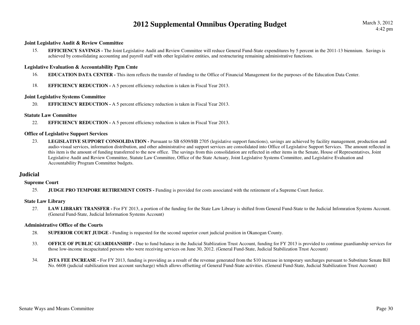#### **Joint Legislative Audit & Review Committee**

15.**EFFICIENCY SAVINGS** - The Joint Legislative Audit and Review Committee will reduce General Fund-State expenditures by 5 percent in the 2011-13 biennium. Savings is achieved by consolidating accounting and payroll staff with other legislative entities, and restructuring remaining administrative functions.

#### **Legislative Evaluation & Accountability Pgm Cmte**

- 16.**EDUCATION DATA CENTER -** This item reflects the transfer of funding to the Office of Financial Management for the purposes of the Education Data Center.
- 18.**EFFICIENCY REDUCTION -** A 5 percent efficiency reduction is taken in Fiscal Year 2013.

#### **Joint Legislative Systems Committee**

20.**EFFICIENCY REDUCTION -** A 5 percent efficiency reduction is taken in Fiscal Year 2013.

#### **Statute Law Committee**

22.**EFFICIENCY REDUCTION -** A 5 percent efficiency reduction is taken in Fiscal Year 2013.

#### **Office of Legislative Support Services**

23.LEGISLATIVE SUPPORT CONSOLIDATION - Pursuant to SB 6509/HB 2705 (legislative support functions), savings are achieved by facility management, production and audio-visual services, information distribution, and other administrative and support services are consolidated into Office of Legislative Support Services. The amount reflected in this item is the amount of funding transferred to the new office. The savings from this consolidation are reflected in other items in the Senate, House of Representatives, Joint Legislative Audit and Review Committee, Statute Law Committee, Office of the State Actuary, Joint Legislative Systems Committee, and Legislative Evaluation and Accountability Program Committee budgets.

#### **Judicial**

#### **Supreme Court**

25.**JUDGE PRO TEMPORE RETIREMENT COSTS -** Funding is provided for costs associated with the retirement of a Supreme Court Justice.

#### **State Law Library**

27.LAW LIBRARY TRANSFER - For FY 2013, a portion of the funding for the State Law Library is shifted from General Fund-State to the Judicial Infomration Systems Account. (General Fund-State, Judicial Information Systems Account)

#### **Administrative Office of the Courts**

- 28.**SUPERIOR COURT JUDGE -** Funding is requested for the second superior court judicial position in Okanogan County.
- 33.**OFFICE OF PUBLIC GUARDIANSHIP -** Due to fund balance in the Judicial Stablization Trust Account, funding for FY 2013 is provided to continue guardianship services for those low-income incapacitated persons who were receiving services on June 30, 2012. (General Fund-State, Judicial Stabilization Trust Account)
- 34.**JSTA FEE INCREASE -** For FY 2013, funding is providing as a result of the revenue generated from the \$10 increase in temporary surcharges pursuant to Substitute Senate Bill No. 6608 (judicial stabilization trust account surcharge) which allows offsetting of General Fund-State activities. (General Fund-State, Judicial Stabilization Trust Account)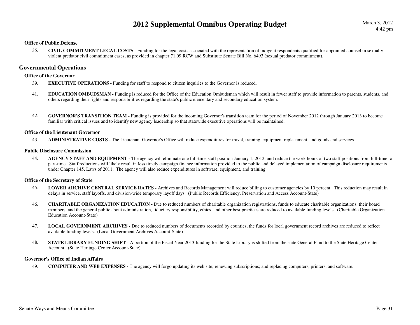#### **Office of Public Defense**

35. **CIVIL COMMITMENT LEGAL COSTS -** Funding for the legal costs associated with the representation of indigent respondents qualified for appointed counsel in sexually violent predator civil commitment cases, as provided in chapter 71.09 RCW and Substitute Senate Bill No. 6493 (sexual predator commitment).

#### **Governmental Operations**

#### **Office of the Governor**

- 39.**EXECUTIVE OPERATIONS - Funding for staff to respond to citizen inquiries to the Governor is reduced.**
- 41. **EDUCATION OMBUDSMAN -** Funding is reduced for the Office of the Education Ombudsman which will result in fewer staff to provide information to parents, students, and others regarding their rights and responsibilities regarding the state's public elementary and secondary education system.
- 42. **GOVERNOR'S TRANSITION TEAM -** Funding is provided for the incoming Governor's transition team for the period of November 2012 through January 2013 to become familiar with critical issues and to identify new agency leadership so that statewide executive operations will be maintained.

#### **Office of the Lieutenant Governor**

43.**ADMINISTRATIVE COSTS -** The Lieutenant Governor's Office will reduce expenditures for travel, training, equipment replacement, and goods and services.

#### **Public Disclosure Commission**

**AGENCY STAFF AND EQUIPMENT** - The agency will eliminate one full-time staff position January 1, 2012, and reduce the work hours of two staff positions from full-time to 44.part-time. Staff reductions will likely result in less timely campaign finance information provided to the public and delayed implementation of campaign disclosure requirements under Chapter 145, Laws of 2011. The agency will also reduce expenditures in software, equipment, and training.

#### **Office of the Secretary of State**

- 45. **LOWER ARCHIVE CENTRAL SERVICE RATES -** Archives and Records Management will reduce billing to customer agencies by 10 percent. This reduction may result in delays in service, staff layoffs, and division-wide temporary layoff days. (Public Records Efficiency, Preservation and Access Account-State)
- 46.**CHARITABLE ORGANIZATION EDUCATION -** Due to reduced numbers of charitable organization registrations, funds to educate charitable organizations, their board members, and the general public about administration, fiduciary responsibility, ethics, and other best practices are reduced to available funding levels. (Charitable Organization Education Account-State)
- 47. **LOCAL GOVERNMENT ARCHIVES -** Due to reduced numbers of documents recorded by counties, the funds for local government record archives are reduced to reflect available funding levels. (Local Government Archives Account-State)
- 48.**STATE LIBRARY FUNDING SHIFT** - A portion of the Fiscal Year 2013 funding for the State Library is shifted from the state General Fund to the State Heritage Center Account. (State Heritage Center Account-State)

#### **Governor's Office of Indian Affairs**

49.**COMPUTER AND WEB EXPENSES -** The agency will forgo updating its web site; renewing subscriptions; and replacing computers, printers, and software.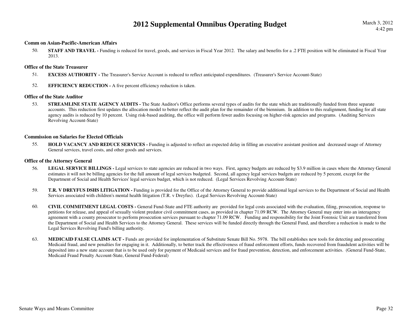#### **Comm on Asian-Pacific-American Affairs**

50.**STAFF AND TRAVEL** - Funding is reduced for travel, goods, and services in Fiscal Year 2012. The salary and benefits for a .2 FTE position will be eliminated in Fiscal Year 2013.

#### **Office of the State Treasurer**

- 51.**EXCESS AUTHORITY -** The Treasurer's Service Account is reduced to reflect anticipated expenditures. (Treasurer's Service Account-State)
- 52.**EFFICIENCY REDUCTION -** A five percent efficiency reduction is taken.

#### **Office of the State Auditor**

53.**STREAMLINE STATE AGENCY AUDITS** - The State Auditor's Office performs several types of audits for the state which are traditionally funded from three separate accounts. This reduction first updates the allocation model to better reflect the audit plan for the remainder of the biennium. In addition to this realignment, funding for all state agency audits is reduced by 10 percent. Using risk-based auditing, the office will perform fewer audits focusing on higher-risk agencies and programs. (Auditing Services Revolving Account-State)

#### **Commission on Salaries for Elected Officials**

55.**HOLD VACANCY AND REDUCE SERVICES -** Funding is adjusted to reflect an expected delay in filling an executive assistant position and decreased usage of Attorney General services, travel costs, and other goods and services.

#### **Office of the Attorney General**

- 56.LEGAL SERVICE BILLINGS - Legal services to state agencies are reduced in two ways. First, agency budgets are reduced by \$3.9 million in cases where the Attorney General estimates it will not be billing agencies for the full amount of legal services budgeted. Second, all agency legal services budgets are reduced by 5 percent, except for the Department of Social and Health Services' legal services budget, which is not reduced. (Legal Services Revolving Account-State)
- 59.**T.R. V DREYFUS DSHS LITIGATION -** Funding is provided for the Office of the Attorney General to provide additional legal services to the Department of Social and Health Services associated with children's mental health litigation (T.R. v Dreyfus). (Legal Services Revolving Account-State)
- 60. **CIVIL COMMITMENT LEGAL COSTS -** General Fund-State and FTE authority are provided for legal costs associated with the evaluation, filing, prosecution, response to petitions for release, and appeal of sexually violent predator civil commitment cases, as provided in chapter 71.09 RCW. The Attorney General may enter into an interagency agreement with a county prosecutor to perform prosecution services pursuant to chapter 71.09 RCW. Funding and responsibility for the Joint Forensic Unit are transferred from the Department of Social and Health Services to the Attorney General. These services will be funded directly through the General Fund, and therefore a reduction is made to the Legal Services Revolving Fund's billing authority.
- 63.**MEDICAID FALSE CLAIMS ACT** - Funds are provided for implementation of Substitute Senate Bill No. 5978. The bill establishes new tools for detecting and prosecuting Medicaid fraud, and new penalties for engaging in it. Additionally, to better track the effectiveness of fraud enforcement efforts, funds recovered from fraudulent activities will be deposited into a new state account that is to be used only for payment of Medicaid services and for fraud prevention, detection, and enforcement activities. (General Fund-State, Medicaid Fraud Penalty Account-State, General Fund-Federal)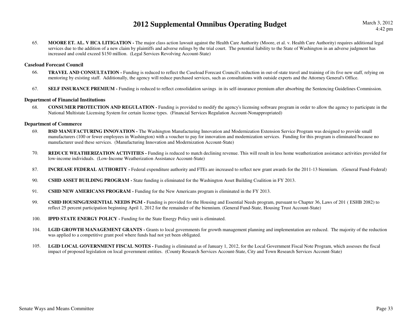March 3, 20124:42 pm

65. **MOORE ET. AL. V HCA LITIGATION -** The major class action lawsuit against the Health Care Authority (Moore, et al. v. Health Care Authority) requires additional legal services due to the addition of a new claim by plaintiffs and adverse rulings by the trial court. The potential liability to the State of Washington in an adverse judgment has increased and could exceed \$150 million. (Legal Services Revolving Account-State)

#### **Caseload Forecast Council**

- 66.**TRAVEL AND CONSULTATION** - Funding is reduced to reflect the Caseload Forecast Council's reduction in out-of-state travel and training of its five new staff, relying on mentoring by existing staff. Additionally, the agency will reduce purchased services, such as consultations with outside experts and the Attorney General's Office.
- 67.**SELF INSURANCE PREMIUM -** Funding is reduced to reflect consolidation savings in its self-insurance premium after absorbing the Sentencing Guidelines Commission.

#### **Department of Financial Institutions**

68. **CONSUMER PROTECTION AND REGULATION -** Funding is provided to modify the agency's licensing software program in order to allow the agency to participate in the National Multistate Licensing System for certain license types. (Financial Services Regulation Account-Nonappropriated)

#### **Department of Commerce**

- 69. **BSD MANUFACTURING INNOVATION -** The Washington Manufacturing Innovation and Modernization Extension Service Program was designed to provide small manufacturers (100 or fewer employees in Washington) with a voucher to pay for innovation and modernization services. Funding for this program is eliminated because no manufacturer used these services. (Manufacturing Innovation and Modernization Account-State)
- 70.**REDUCE WEATHERIZATION ACTIVITIES** - Funding is reduced to match declining revenue. This will result in less home weatherization assistance activities provided for low-income individuals. (Low-Income Weatherization Assistance Account-State)
- 87.**INCREASE FEDERAL AUTHORITY** - Federal expenditure authority and FTEs are increased to reflect new grant awards for the 2011-13 biennium. (General Fund-Federal)
- 90.**CSHD ASSET BUILDING PROGRAM -** State funding is eliminated for the Washington Asset Building Coalition in FY 2013.
- 91.**CSHD NEW AMERICANS PROGRAM -** Funding for the New Americans program is eliminated in the FY 2013.
- 99. **CSHD HOUSING/ESSENTIAL NEEDS PGM -** Funding is provided for the Housing and Essential Needs program, pursuant to Chapter 36, Laws of 201 ( ESHB 2082) to reflect 25 percent participation beginning April 1, 2012 for the remainder of the biennium. (General Fund-State, Housing Trust Account-State)
- 100.**IPPD STATE ENERGY POLICY - Funding for the State Energy Policy unit is eliminated.**
- 104.LGID GROWTH MANAGEMENT GRANTS - Grants to local governments for growth management planning and implementation are reduced. The majority of the reduction was applied to a competitive grant pool where funds had not yet been obligated.
- 105.LGID LOCAL GOVERNMENT FISCAL NOTES - Funding is eliminated as of January 1, 2012, for the Local Government Fiscal Note Program, which assesses the fiscal impact of proposed legislation on local government entities. (County Research Services Account-State, City and Town Research Services Account-State)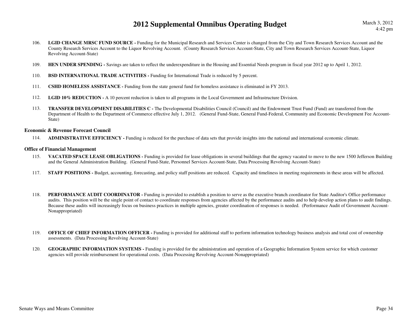March 3, 20124:42 pm

- 106. **LGID CHANGE MRSC FUND SOURCE -** Funding for the Municipal Research and Services Center is changed from the City and Town Research Services Account and the County Research Services Account to the Liquor Revolving Account. (County Research Services Account-State, City and Town Research Services Account-State, Liquor Revolving Account-State)
- 109.**HEN UNDER SPENDING -** Savings are taken to reflect the underexpenditure in the Housing and Essential Needs program in fiscal year 2012 up to April 1, 2012.
- 110.**BSD INTERNATIONAL TRADE ACTIVITIES - Funding for International Trade is reduced by 5 percent.**
- 111.**CSHD HOMELESS ASSISTANCE -** Funding from the state general fund for homeless assistance is eliminated in FY 2013.
- 112.**LGID 10% REDUCTION -** A 10 percent reduction is taken to all programs in the Local Government and Infrastructure Division.
- 113. **TRANSFER DEVELOPMENT DISABILITIES C -** The Developmental Disabilities Council (Council) and the Endowment Trust Fund (Fund) are transferred from the Department of Health to the Department of Commerce effective July 1, 2012. (General Fund-State, General Fund-Federal, Community and Economic Development Fee Account-State)

#### **Economic & Revenue Forecast Council**

114.**ADMINISTRATIVE EFFICIENCY -** Funding is reduced for the purchase of data sets that provide insights into the national and international economic climate.

#### **Office of Financial Management**

- 115.**VACATED SPACE LEASE OBLIGATIONS** - Funding is provided for lease obligations in several buildings that the agency vacated to move to the new 1500 Jefferson Building and the General Administration Building. (General Fund-State, Personnel Services Account-State, Data Processing Revolving Account-State)
- 117.**STAFF POSITIONS** - Budget, accounting, forecasting, and policy staff positions are reduced. Capacity and timeliness in meeting requirements in these areas will be affected.
- 118.**PERFORMANCE AUDIT COORDINATOR -** Funding is provided to establish a position to serve as the executive branch coordinator for State Auditor's Office performance audits. This position will be the single point of contact to coordinate responses from agencies affected by the performance audits and to help develop action plans to audit findings. Because these audits will increasingly focus on business practices in multiple agencies, greater coordination of responses is needed. (Performance Audit of Government Account-Nonappropriated)
- 119.**OFFICE OF CHIEF INFORMATION OFFICER** - Funding is provided for additional staff to perform information technology business analysis and total cost of ownership assessments. (Data Processing Revolving Account-State)
- 120. **GEOGRAPHIC INFORMATION SYSTEMS -** Funding is provided for the administration and operation of a Geographic Information System service for which customer agencies will provide reimbursement for operational costs. (Data Processing Revolving Account-Nonappropriated)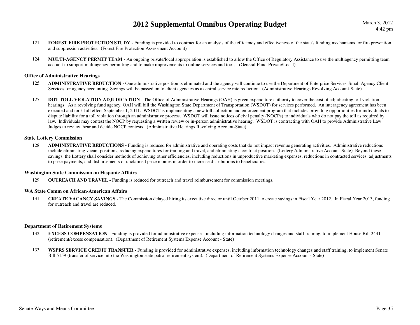- 121.**FOREST FIRE PROTECTION STUDY** - Funding is provided to contract for an analysis of the efficiency and effectiveness of the state's funding mechanisms for fire prevention and suppression activities. (Forest Fire Protection Assessment Account)
- 124. **MULTI-AGENCY PERMIT TEAM -** An ongoing private/local appropriation is established to allow the Office of Regulatory Assistance to use the multiagency permitting team account to support multiagency permitting and to make improvements to online services and tools. (General Fund-Private/Local)

#### **Office of Administrative Hearings**

- 125. **ADMINISTRATIVE REDUCTION -** One administrative position is eliminated and the agency will continue to use the Department of Enterprise Services' Small Agency Client Services for agency accounting. Savings will be passed on to client agencies as a central service rate reduction. (Administrative Hearings Revolving Account-State)
- 127.**DOT TOLL VIOLATION ADJUDICATION -** The Office of Administrative Hearings (OAH) is given expenditure authority to cover the cost of adjudicating toll violation hearings. As a revolving fund agency, OAH will bill the Washington State Department of Transportation (WSDOT) for services performed. An interagency agreement has been executed and took full effect September 1, 2011. WSDOT is implementing a new toll collection and enforcement program that includes providing opportunities for individuals to dispute liability for a toll violation through an administrative process. WSDOT will issue notices of civil penalty (NOCPs) to individuals who do not pay the toll as required by law. Individuals may contest the NOCP by requesting a written review or in-person administrative hearing. WSDOT is contracting with OAH to provide Administrative Law Judges to review, hear and decide NOCP contests. (Administrative Hearings Revolving Account-State)

#### **State Lottery Commission**

ADMINISTRATIVE REDUCTIONS - Funding is reduced for administrative and operating costs that do not impact revenue generating activities. Administrative reductions 128.include eliminating vacant positions, reducing expenditures for training and travel, and eliminating a contract position. (Lottery Administrative Account-State) Beyond these savings, the Lottery shall consider methods of achieving other efficiencies, including reductions in unproductive marketing expenses, reductions in contracted services, adjustments to prize payments, and disbursements of unclaimed prize monies in order to increase distributions to beneficiaries.

#### **Washington State Commission on Hispanic Affairs**

129.**OUTREACH AND TRAVEL -** Funding is reduced for outreach and travel reimbursement for commission meetings.

#### **WA State Comm on African-American Affairs**

131. **CREATE VACANCY SAVINGS -** The Commission delayed hiring its executive director until October 2011 to create savings in Fiscal Year 2012. In Fiscal Year 2013, funding for outreach and travel are reduced.

#### **Department of Retirement Systems**

- 132.**EXCESS COMPENSATION** - Funding is provided for administrative expenses, including information technology changes and staff training, to implement House Bill 2441 (retirement/excess compensation). (Department of Retirement Systems Expense Account - State)
- 133. **WSPRS SERVICE CREDIT TRANSFER -** Funding is provided for administrative expenses, including information technology changes and staff training, to implement Senate Bill 5159 (transfer of service into the Washington state patrol retirement system). (Department of Retirement Systems Expense Account - State)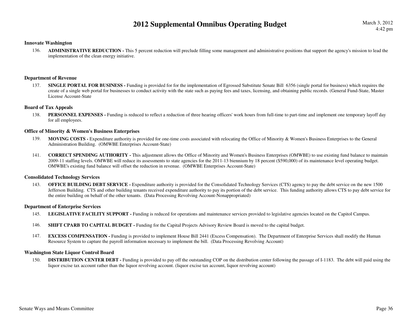#### **Innovate Washington**

ADMINISTRATIVE REDUCTION - This 5 percent reduction will preclude filling some management and administrative positions that support the agency's mission to lead the 136.implementation of the clean energy initiative.

#### **Department of Revenue**

137.**SINGLE PORTAL FOR BUSINESS** - Funding is provided for for the implementation of Egrossed Substitute Senate Bill 6356 (single portal for business) which requires the create of a single web portal for businesses to conduct activity with the state such as paying fees and taxes, licensing, and obtaining public records. (General Fund-State, Master License Account-State

#### **Board of Tax Appeals**

138.**PERSONNEL EXPENSES** - Funding is reduced to reflect a reduction of three hearing officers' work hours from full-time to part-time and implement one temporary layoff day for all employees.

#### **Office of Minority & Women's Business Enterprises**

- 139. **MOVING COSTS -** Expenditure authority is provided for one-time costs associated with relocating the Office of Minority & Women's Business Enterprises to the General Administration Building. (OMWBE Enterprises Account-State)
- 141. **CORRECT SPENDING AUTHORITY -** This adjustment allows the Office of Minority and Women's Business Enterprises (OMWBE) to use existing fund balance to maintain 2009-11 staffing levels. OMWBE will reduce its assessments to state agencies for the 2011-13 biennium by 18 percent (\$590,000) of its maintenance level operating budget. OMWBE's existing fund balance will offset the reduction in revenue. (OMWBE Enterprises Account-State)

#### **Consolidated Technology Services**

143.**OFFICE BUILDING DEBT SERVICE -** Expenditure authority is provided for the Consolidated Technology Services (CTS) agency to pay the debt service on the new 1500 Jefferson Building. CTS and other building tenants received expenditure authority to pay its portion of the debt service. This funding authority allows CTS to pay debt service for the entire building on behalf of the other tenants. (Data Processing Revolving Account-Nonappropriated)

#### **Department of Enterprise Services**

- 145.**LEGISLATIVE FACILITY SUPPORT -** Funding is reduced for operations and maintenance services provided to legislative agencies located on the Capitol Campus.
- 146.**SHIFT CPARB TO CAPITAL BUDGET - Funding for the Capital Projects Advisory Review Board is moved to the capital budget.**
- 147. **EXCESS COMPENSATION -** Funding is provided to implement House Bill 2441 (Excess Compensation). The Department of Enterprise Services shall modify the Human Resource System to capture the payroll information necessary to implement the bill. (Data Processing Revolving Account)

#### **Washington State Liquor Control Board**

DISTRIBUTION CENTER DEBT - Funding is provided to pay off the outstanding COP on the distribution center following the passage of I-1183. The debt will paid using the 150.liquor excise tax account rather than the liquor revolving account. (liquor excise tax account, liquor revolving account)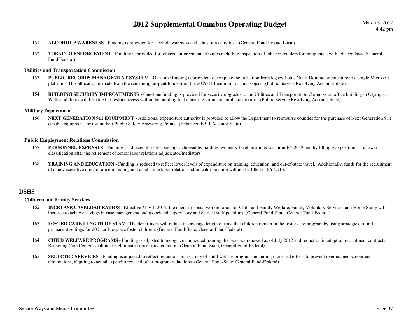- 151.**ALCOHOL AWARENESS -** Funding is provided for alcohol awareness and education activities. (General Fund Private Local)
- 152.**TOBACCO ENFORCEMENT** - Funding is provided for tobacco enforcement activities including inspection of tobacco retailers for compliance with tobacco laws. (General Fund Federal)

#### **Utilities and Transportation Commission**

- 153. **PUBLIC RECORDS MANAGEMENT SYSTEM -** One-time funding is provided to complete the transition from legacy Lotus Notes Domino architecture to a single Microsoft platform. This allocation is made from the remaining unspent funds from the 2009-11 biennium for this project. (Public Service Revolving Account-State)
- 154.**BUILDING SECURITY IMPROVEMENTS -** One-time funding is provided for security upgrades to the Utilities and Transportation Commission office building in Olympia. Walls and doors will be added to restrict access within the building to the hearing room and public restrooms. (Public Service Revolving Account-State)

#### **Military Department**

156.**NEXT GENERATION 911 EQUIPMENT -** Additional expenditure authority is provided to allow the Department to reimburse counties for the purchase of Next Generation 911 capable equipment for use in their Public Safety Answering Points. (Enhanced E911 Account-State)

#### **Public Employment Relations Commission**

- 157. PERSONNEL EXPENSES Funding is adjusted to reflect savings achieved by holding two entry-level positions vacant in FY 2013 and by filling two positions at a lower classification after the retirement of senior labor relations adjudicator/mediators.
- 158.**TRAINING AND EDUCATION** - Funding is reduced to reflect lower levels of expenditure on training, education, and out-of-state travel. Additionally, funds for the recruitment of a new executive director are eliminating and a half-time labor relations adjudicator position will not be filled in FY 2013.

#### **DSHS**

#### **Children and Family Services**

- 162. **INCREASE CASELOAD RATIOS -** Effective May 1, 2012, the client-to-social worker ratios for Child and Family Welfare, Family Voluntary Services, and Home Study will increase to achieve savings in case management and associated supervisory and clerical staff positions. (General Fund-State, General Fund-Federal)
- 163. **FOSTER CARE LENGTH OF STAY -** The department will reduce the average length of time that children remain in the foster care program by using strategies to find permanent settings for 200 hard-to-place foster children. (General Fund-State, General Fund-Federal)
- 164.**CHILD WELFARE PROGRAMS** - Funding is adjusted to recognize contracted training that was not renewed as of July 2012 and reduction in adoption recruitment contracts. Receiving Care Centers shall not be eliminated under this reduction. (General Fund-State, General Fund-Federal)
- 165.**SELECTED SERVICES** - Funding is adjusted to reflect reductions in a variety of child welfare programs including increased efforts to prevent overpayments, contract eliminations, aligning to actual expenditures, and other program reductions. (General Fund-State, General Fund-Federal)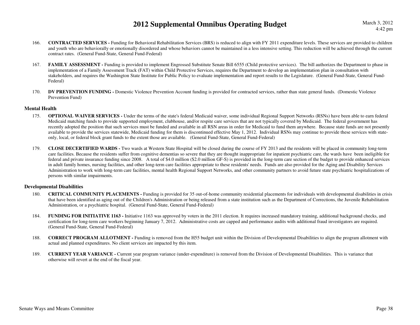- 166. **CONTRACTED SERVICES -** Funding for Behavioral Rehabilitation Services (BRS) is reduced to align with FY 2011 expenditure levels. These services are provided to children and youth who are behaviorally or emotionally disordered and whose behaviors cannot be maintained in a less intensive setting. This reduction will be achieved through the current contract rates. (General Fund-State, General Fund-Federal)
- 167.**FAMILY ASSESSMENT** - Funding is provided to implement Engrossed Substitute Senate Bill 6555 (Child protective services). The bill authorizes the Department to phase in implementation of a Family Assessment Track (FAT) within Child Protective Services, requires the Department to develop an implementation plan in consultation with stakeholders, and requires the Washington State Institute for Public Policy to evaluate implementation and report results to the Legislature. (General Fund-State, General Fund-Federal)
- 170. **DV PREVENTION FUNDING -** Domestic Violence Prevention Account funding is provided for contracted services, rather than state general funds. (Domestic Violence Prevention Fund)

#### **Mental Health**

- **OPTIONAL WAIVER SERVICES** Under the terms of the state's federal Medicaid waiver, some individual Regional Support Networks (RSNs) have been able to earn federal 175.Medicaid matching funds to provide supported employment, clubhouse, and/or respite care services that are not typically covered by Medicaid. The federal government has recently adopted the position that such services must be funded and available in all RSN areas in order for Medicaid to fund them anywhere. Because state funds are not presently available to provide the services statewide, Medicaid funding for them is discontinued effective May 1, 2012. Individual RSNs may continue to provide these services with stateonly, local, or federal block grant funds to the extent those are available. (General Fund-State, General Fund-Federal)
- 179. **CLOSE DECERTIFIED WARDS -** Two wards at Western State Hospital will be closed during the course of FY 2013 and the residents will be placed in community long-term care facilities. Because the residents suffer from cognitive dementias so severe that they are thought inappropriate for inpatient psychiatric care, the wards have been ineligible for federal and private insurance funding since 2008. A total of \$4.0 million (\$2.0 million GF-S) is provided in the long-term care section of the budget to provide enhanced services in adult family homes, nursing facilities, and other long-term care facilities appropriate to these residents' needs. Funds are also provided for the Aging and Disability Services Administration to work with long-term care facilities, mental health Regional Support Networks, and other community partners to avoid future state psychiatric hospitalizations of persons with similar impairments.

#### **Developmental Disabilities**

- 180.**CRITICAL COMMUNITY PLACEMENTS** - Funding is provided for 35 out-of-home community residential placements for individuals with developmental disabilities in crisis that have been identified as aging out of the Children's Administration or being released from a state institution such as the Department of Corrections, the Juvenile Rehabilitation Administration, or a psychiatric hospital. (General Fund-State, General Fund-Federal)
- 184.**FUNDING FOR INITIATIVE 1163** - Initiative 1163 was approved by voters in the 2011 election. It requires increased mandatory training, additional background checks, and certification for long-term care workers beginning January 7, 2012. Administrative costs are capped and performance audits with additional fraud investigators are required. (General Fund-State, General Fund-Federal)
- 188. **CORRECT PROGRAM ALLOTMENT -** Funding is removed from the H55 budget unit within the Division of Developmental Disabilities to align the program allotment with actual and planned expenditures. No client services are impacted by this item.
- 189. **CURRENT YEAR VARIANCE -** Current year program variance (under-expenditure) is removed from the Division of Developmental Disabilities. This is variance that otherwise will revert at the end of the fiscal year.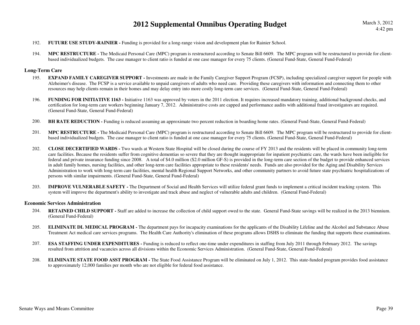- 192.**FUTURE USE STUDY-RAINIER -** Funding is provided for a long-range vision and development plan for Rainier School.
- 194. **MPC RESTRUCTURE -** The Medicaid Personal Care (MPC) program is restructured according to Senate Bill 6609. The MPC program will be restructured to provide for clientbased individualized budgets. The case manager to client ratio is funded at one case manager for every 75 clients. (General Fund-State, General Fund-Federal)

#### **Long-Term Care**

- 195.**EXPAND FAMILY CAREGIVER SUPPORT** - Investments are made in the Family Caregiver Support Program (FCSP), including specialized caregiver support for people with Alzheimer's disease. The FCSP is a service available to unpaid caregivers of adults who need care. Providing these caregivers with information and connecting them to other resources may help clients remain in their homes and may delay entry into more costly long-term care services. (General Fund-State, General Fund-Federal)
- 196.**FUNDING FOR INITIATIVE 1163** - Initiative 1163 was approved by voters in the 2011 election. It requires increased mandatory training, additional background checks, and certification for long-term care workers beginning January 7, 2012. Administrative costs are capped and performance audits with additional fraud investigators are required. (General Fund-State, General Fund-Federal)
- 200.**BH RATE REDUCTION -** Funding is reduced assuming an approximate two percent reduction in boarding home rates. (General Fund-State, General Fund-Federal)
- 201. **MPC RESTRUCTURE -** The Medicaid Personal Care (MPC) program is restructured according to Senate Bill 6609. The MPC program will be restructured to provide for clientbased individualized budgets. The case manager to client ratio is funded at one case manager for every 75 clients. (General Fund-State, General Fund-Federal)
- 202. **CLOSE DECERTIFIED WARDS -** Two wards at Western State Hospital will be closed during the course of FY 2013 and the residents will be placed in community long-term care facilities. Because the residents suffer from cognitive dementias so severe that they are thought inappropriate for inpatient psychiatric care, the wards have been ineligible for federal and private insurance funding since 2008. A total of \$4.0 million (\$2.0 million GF-S) is provided in the long-term care section of the budget to provide enhanced services in adult family homes, nursing facilities, and other long-term care facilities appropriate to these residents' needs. Funds are also provided for the Aging and Disability Services Administration to work with long-term care facilities, mental health Regional Support Networks, and other community partners to avoid future state psychiatric hospitalizations of persons with similar impairments. (General Fund-State, General Fund-Federal)
- 203. **IMPROVE VULNERABLE SAFETY -** The Department of Social and Health Services will utilize federal grant funds to implement a critical incident tracking system. This system will improve the department's ability to investigate and track abuse and neglect of vulnerable adults and children. (General Fund-Federal)

#### **Economic Services Administration**

- 204. **RETAINED CHILD SUPPORT -** Staff are added to increase the collection of child support owed to the state. General Fund-State savings will be realized in the 2013 biennium. (General Fund-Federal)
- 205.**ELIMINATE DL MEDICAL PROGRAM -** The department pays for incapacity examinations for the applicants of the Disability Lifeline and the Alcohol and Substance Abuse Treatment Act medical care services programs. The Health Care Authority's elimination of these programs allows DSHS to eliminate the funding that supports these examinations.
- 207. **ESA STAFFING UNDER EXPENDITURES -** Funding is reduced to reflect one-time under expenditures in staffing from July 2011 through February 2012. The savings resulted from attrition and vacancies across all divisions within the Economic Services Administration. (General Fund-State, General Fund-Federal)
- 208.**ELIMINATE STATE FOOD ASST PROGRAM -** The State Food Assistance Program will be eliminated on July 1, 2012. This state-funded program provides food assistance to approximately 12,000 families per month who are not eligible for federal food assistance.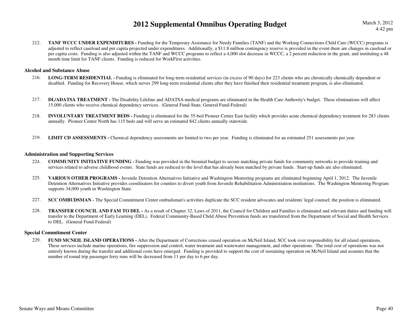212.**TANF WCCC UNDER EXPENDITURES -** Funding for the Temporary Assistance for Needy Families (TANF) and the Working Connections Child Care (WCCC) programs is adjusted to reflect caseload and per capita projected under expenditures. Additionally, a \$11.8 million contingency reserve is provided in the event there are changes in caseload or per capita costs. Funding is also adjusted within the TANF and WCCC programs to reflect a 4,000 slot decrease in WCCC, a 2 percent reduction in the grant, and instituting a 48 month time limit for TANF clients. Funding is reduced for WorkFirst activities.

#### **Alcohol and Substance Abuse**

- 216. **LONG-TERM RESIDENTIAL -** Funding is eliminated for long-term residential services (in excess of 90 days) for 223 clients who are chronically chemically dependent or disabled. Funding for Recovery House, which serves 299 long-term residential clients after they have finished their residential treatment program, is also eliminated.
- 217. **DL/ADATSA TREATMENT -** The Disability Lifeline and ADATSA medical programs are eliminated in the Health Care Authority's budget. These eliminations will affect 15,000 clients who receive chemical dependency services. (General Fund-State, General Fund-Federal)
- 218. **INVOLUNTARY TREATMENT BEDS -** Funding is eliminated for the 35-bed Pioneer Center East facility which provides acute chemical dependency treatment for 283 clients annually. Pioneer Center North has 115 beds and will serve an estimated 842 clients annually statewide.
- 219.**LIMIT CD ASSESSMENTS** - Chemical dependency assessments are limited to two per year. Funding is eliminated for an estimated 251 assessments per year.

#### **Administration and Supporting Services**

- 224. **COMMUNITY INITIATIVE FUNDING -** Funding was provided in the biennial budget to secure matching private funds for community networks to provide training and services related to adverse childhood events. State funds are reduced to the level that has already been matched by private funds. Start-up funds are also eliminated.
- 225. **VARIOUS OTHER PROGRAMS -** Juvenile Detention Alternatives Initiative and Washington Mentoring programs are eliminated beginning April 1, 2012. The Juvenile Detention Alternatives Initiative provides coordinators for counties to divert youth from Juvenile Rehabilitation Administration institutions. The Washington Mentoring Program supports 34,000 youth in Washington State.
- 227.**SCC OMBUDSMAN -** The Special Commitment Center ombudsman's activities duplicate the SCC resident advocates and residents' legal counsel; the position is eliminated.
- 228. **TRANSFER COUNCIL AND FAM TO DEL -** As a result of Chapter 32, Laws of 2011, the Council for Children and Families is eliminated and relevant duties and funding will transfer to the Department of Early Learning (DEL). Federal Community-Based Child Abuse Prevention funds are transferred from the Department of Social and Health Services to DEL. (General Fund-Federal)

#### **Special Commitment Center**

229. **FUND MCNEIL ISLAND OPERATIONS -** After the Department of Corrections ceased operation on McNeil Island, SCC took over responsibility for all island operations. These services include marine operations, fire suppression and control, water treatment and wastewater management, and other operations. The total cost of operations was not entirely known during the transfer and additional costs have emerged. Funding is provided to support the cost of sustaining operation on McNeil Island and assumes that the number of round trip passenger ferry runs will be decreased from 11 per day to 6 per day.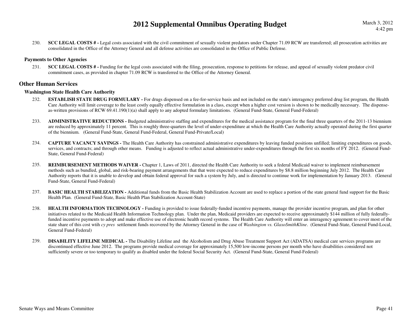230.**SCC LEGAL COSTS #** - Legal costs associated with the civil commitment of sexually violent predators under Chapter 71.09 RCW are transferred; all prosecution activities are consolidated in the Office of the Attorney General and all defense activities are consolidated in the Office of Public Defense.

#### **Payments to Other Agencies**

231. **SCC LEGAL COSTS # -** Funding for the legal costs associated with the filing, prosecution, response to petitions for release, and appeal of sexually violent predator civil commitment cases, as provided in chapter 71.09 RCW is transferred to the Office of the Attorney General.

#### **Other Human Services**

#### **Washington State Health Care Authority**

- 232.**ESTABLISH STATE DRUG FORMULARY** - For drugs dispensed on a fee-for-service basis and not included on the state's interagency preferred drug list program, the Health Care Authority will limit coverage to the least costly equally effective formulation in a class, except when a higher cost version is shown to be medically necessary. The dispenseas-written provisions of RCW 69.41.190(1)(a) shall apply to any adopted formulary limitations. (General Fund-State, General Fund-Federal)
- 233. **ADMINISTRATIVE REDUCTIONS -** Budgeted administrative staffing and expenditures for the medical assistance program for the final three quarters of the 2011-13 biennium are reduced by approximately 11 percent. This is roughly three-quarters the level of under-expenditure at which the Health Care Authority actually operated during the first quarter of the biennium. (General Fund-State, General Fund-Federal, General Fund-Private/Local)
- 234. **CAPTURE VACANCY SAVINGS -** The Health Care Authority has constrained administrative expenditures by leaving funded positions unfilled; limiting expenditures on goods, services, and contracts; and through other means. Funding is adjusted to reflect actual administrative under-expenditures through the first six months of FY 2012. (General Fund-State, General Fund-Federal)
- 235.**REIMBURSEMENT METHODS WAIVER -** Chapter 1, Laws of 2011, directed the Health Care Authority to seek a federal Medicaid waiver to implement reimbursement methods such as bundled, global, and risk-bearing payment arrangements that that were expected to reduce expenditures by \$8.8 million beginning July 2012. The Health Care Authority reports that it is unable to develop and obtain federal approval for such a system by July, and is directed to continue work for implementation by January 2013. (General Fund-State, General Fund-Federal)
- 237.**BASIC HEALTH STABILIZATION -** Additional funds from the Basic Health Stabilization Account are used to replace a portion of the state general fund support for the Basic Health Plan. (General Fund-State, Basic Health Plan Stabilization Account-State)
- 238.**HEALTH INFORMATION TECHNOLOGY** - Funding is provided to issue federally-funded incentive payments, manage the provider incentive program, and plan for other initiatives related to the Medicaid Health Information Technology plan. Under the plan, Medicaid providers are expected to receive approximately \$144 million of fully federallyfunded incentive payments to adopt and make effective use of electronic health record systems. The Health Care Authority will enter an interagency agreement to cover most of the state share of this cost wtih *cy pres* settlement funds recovered by the Attorney General in the case of *Washington vs. GlaxoSmithKline*. (General Fund-State, General Fund-Local, General Fund-Federal)
- 239. **DISABILITY LIFELINE MEDICAL -** The Disability Lifeline and the Alcoholism and Drug Abuse Treatment Support Act (ADATSA) medical care services programs are discontinued effective June 2012. The programs provide medical coverage for approximately 15,500 low-income persons per month who have disabilities considered not sufficiently severe or too temporary to qualify as disabled under the federal Social Security Act. (General Fund-State, General Fund-Federal)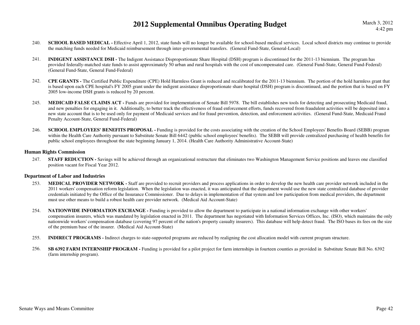- 240.**SCHOOL BASED MEDICAL** - Effective April 1, 2012, state funds will no longer be available for school-based medical services. Local school districts may continue to provide the matching funds needed for Medicaid reimbursement through inter-governmental transfers. (General Fund-State, General-Local)
- 241. **INDIGENT ASSISTANCE DSH -** The Indigent Assistance Disproportionate Share Hospital (DSH) program is discontinued for the 2011-13 biennium. The program has provided federally-matched state funds to assist approximately 50 urban and rural hospitals with the cost of uncompensated care. (General Fund-State, General Fund-Federal) (General Fund-State, General Fund-Federal)
- 242. **CPE GRANTS -** The Certified Public Expenditure (CPE) Hold Harmless Grant is reduced and recalibrated for the 2011-13 biennium. The portion of the hold harmless grant that is based upon each CPE hospital's FY 2005 grant under the indigent assistance disproportionate share hospital (DSH) program is discontinued, and the portion that is based on FY 2005 low-income DSH grants is reduced by 20 percent.
- 245.**MEDICAID FALSE CLAIMS ACT** - Funds are provided for implementation of Senate Bill 5978. The bill establishes new tools for detecting and prosecuting Medicaid fraud, and new penalties for engaging in it. Additionally, to better track the effectiveness of fraud enforcement efforts, funds recovered from fraudulent activities will be deposited into a new state account that is to be used only for payment of Medicaid services and for fraud prevention, detection, and enforcement activities. (General Fund-State, Medicaid Fraud Penalty Account-State, General Fund-Federal)
- 246.**SCHOOL EMPLOYEES' BENEFITS PROPOSAL -** Funding is provided for the costs associating with the creation of the School Employees' Benefits Board (SEBB) program within the Health Care Authority pursuant to Substitute Senate Bill 6442 (public school employees' benefits). The SEBB will provide centralized purchasing of health benefits for public school employees throughout the state beginning January 1, 2014. (Health Care Authority Administrative Account-State)

#### **Human Rights Commission**

247.**STAFF REDUCTION -** Savings will be achieved through an organizational restructure that eliminates two Washington Management Service positions and leaves one classified position vacant for Fiscal Year 2012.

#### **Department of Labor and Industries**

- 253. **MEDICAL PROVIDER NETWORK -** Staff are provided to recruit providers and process applications in order to develop the new health care provider network included in the 2011 workers' compensation reform legislation. When the legislation was enacted, it was anticipated that the department would use the new state centralized database of provider credentials initiated by the Office of the Insurance Commissioner. Due to delays in implementation of that system and low participation from medical providers, the department must use other means to build a robust health care provider network. (Medical Aid Account-State)
- 254. **NATIONWIDE INFORMATION EXCHANGE -** Funding is provided to allow the department to participate in a national information exchange with other workers' compensation insurers, which was mandated by legislation enacted in 2011. The department has negotiated with Information Services Offices, Inc. (ISO), which maintains the only nationwide workers' compensation database (covering 97 percent of the nation's property casualty insurers). This database will help detect fraud. The ISO bases its fees on the size of the premium base of the insurer. (Medical Aid Account-State)
- 255.**INDIRECT PROGRAMS -** Indirect charges to state-supported programs are reduced by realigning the cost allocation model with current program structure.
- 256.**SB 6392 FARM INTERNSHIP PROGRAM -** Funding is provided for a pilot project for farm internships in fourteen counties as provided in Substitute Senate Bill No. 6392 (farm internship program).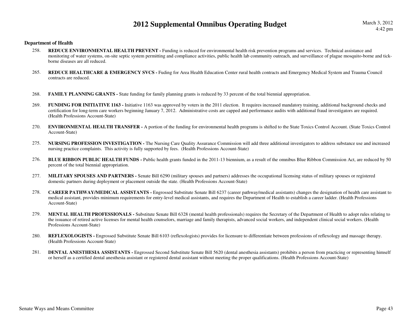#### **Department of Health**

- **REDUCE ENVIRONMENTAL HEALTH PREVENT** Funding is reduced for environmental health risk prevention programs and services. Technical assistance and 258. monitoring of water systems, on-site septic system permitting and compliance activities, public health lab community outreach, and surveillance of plague mosquito-borne and tickborne diseases are all reduced.
- 265.REDUCE HEALTHCARE & EMERGENCY SVCS - Fuding for Area Health Education Center rural health contracts and Emergency Medical System and Trauma Council contracts are reduced.
- 268.**FAMILY PLANNING GRANTS** - State funding for family planning grants is reduced by 33 percent of the total biennial appropriation.
- 269.**FUNDING FOR INITIATIVE 1163** - Initiative 1163 was approved by voters in the 2011 election. It requires increased mandatory training, additional background checks and certification for long-term care workers beginning January 7, 2012. Administrative costs are capped and performance audits with additional fraud investigators are required. (Health Professions Account-State)
- 270. **ENVIRONMENTAL HEALTH TRANSFER -** A portion of the funding for environmental health programs is shifted to the State Toxics Control Account. (State Toxics Control Account-State)
- 275. **NURSING PROFESSION INVESTIGATION -** The Nursing Care Quality Assurance Commission will add three additional investigators to address substance use and increased nursing practice complaints. This activity is fully supported by fees. (Health Professions Account-State)
- 276.**BLUE RIBBON PUBLIC HEALTH FUNDS** - Public health grants funded in the 2011-13 biennium, as a result of the omnibus Blue Ribbon Commission Act, are reduced by 50 percent of the total biennial appropriation.
- 277. **MILITARY SPOUSES AND PARTNERS -** Senate Bill 6290 (military spouses and partners) addresses the occupational licensing status of military spouses or registered domestic partners during deployment or placement outside the state. (Health Professions Account-State)
- 278. **CAREER PATHWAY/MEDICAL ASSISTANTS -** Engrossed Substitute Senate Bill 6237 (career pathway/medical assistants) changes the designation of health care assistant to medical assistant, provides minimum requirements for entry-level medical assistants, and requires the Department of Health to establish a career ladder. (Health Professions Account-State)
- 279. **MENTAL HEALTH PROFESSIONALS -** Substitute Senate Bill 6328 (mental health professionals) requires the Secretary of the Department of Health to adopt rules relating to the issuance of retired active licenses for mental health counselors, marriage and family therapists, advanced social workers, and independent clinical social workers. (Health Professions Account-State)
- 280. **REFLEXOLOGISTS -** Engrossed Substitute Senate Bill 6103 (reflexologists) provides for licensure to differentiate between professions of reflexology and massage therapy. (Health Professions Account-State)
- 281. **DENTAL ANESTHESIA ASSISTANTS -** Engrossed Second Substitute Senate Bill 5620 (dental anesthesia assistants) prohibits a person from practicing or representing himself or herself as a certified dental anesthesia assistant or registered dental assistant without meeting the proper qualifications. (Health Professions Account-State)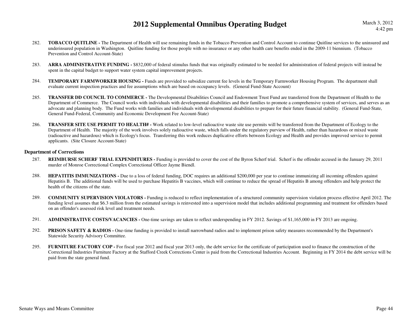March 3, 20124:42 pm

- 282. **TOBACCO QUITLINE -** The Department of Health will use remaining funds in the Tobacco Prevention and Control Account to continue Quitline services to the uninsured and underinsured population in Washington. Quitline funding for those people with no insurance or any other health care benefits ended in the 2009-11 biennium. (Tobacco Prevention and Control Account-State)
- 283.ARRA ADMINISTRATIVE FUNDING - \$832,000 of federal stimulus funds that was originally estimated to be needed for administration of federal projects will instead be spent in the capital budget to support water system capital improvement projects.
- 284. **TEMPORARY FARMWORKER HOUSING -** Funds are provided to subsidize current fee levels in the Temporary Farmworker Housing Program. The department shall evaluate current inspection practices and fee assumptions which are based on occupancy levels. (General Fund-State Account)
- 285. **TRANSFER DD COUNCIL TO COMMERCE -** The Developmental Disabilities Council and Endowment Trust Fund are transferred from the Department of Health to the Department of Commerce. The Council works with individuals with developmental disabilities and their families to promote a comprehensive system of services, and serves as an advocate and planning body. The Fund works with families and individuals with developmental disabilities to prepare for their future financial stability. (General Fund-State, General Fund-Federal, Community and Economic Development Fee Account-State)
- 286. **TRANSFER SITE USE PERMIT TO HEALTH# -** Work related to low-level radioactive waste site use permits will be transferred from the Department of Ecology to the Department of Health. The majority of the work involves solely radioactive waste, which falls under the regulatory purview of Health, rather than hazardous or mixed waste (radioactive and hazardous) which is Ecology's focus. Transferring this work reduces duplicative efforts between Ecology and Health and provides improved service to permit applicants. (Site Closure Account-State)

#### **Department of Corrections**

- 287. **REIMBURSE SCHERF TRIAL EXPENDITURES -** Funding is provided to cover the cost of the Byron Scherf trial. Scherf is the offender accused in the January 29, 2011 murder of Monroe Correctional Complex Correctional Officer Jayme Biendl.
- 288.**HEPATITIS IMMUNIZATIONS -** Due to a loss of federal funding, DOC requires an additional \$200,000 per year to continue immunizing all incoming offenders against Hepatitis B. The additional funds will be used to purchase Hepatitis B vaccines, which will continue to reduce the spread of Hepatitis B among offenders and help protect the health of the citizens of the state.
- 289. **COMMUNITY SUPERVISION VIOLATORS -** Funding is reduced to reflect implementation of a structured community supervision violation process effective April 2012. The funding level assumes that \$6.3 million from the estimated savings is reinvested into a supervision model that includes additional programming and treatment for offenders based on an offender's assessed risk level and treatment needs.
- 291.**ADMINISTRATIVE COSTS/VACANCIES -** One-time savings are taken to reflect underspending in FY 2012. Savings of \$1,165,000 in FY 2013 are ongoing.
- 292.**PRISON SAFETY & RADIOS** - One-time funding is provided to install narrowband radios and to implement prison safety measures recommended by the Department's Statewide Security Advisory Committee.
- 295.**FURNITURE FACTORY COP** - For fiscal year 2012 and fiscal year 2013 only, the debt service for the certificate of participation used to finance the construction of the Correctional Industries Furniture Factory at the Stafford Creek Corrections Center is paid from the Correctional Industries Account. Beginning in FY 2014 the debt service will be paid from the state general fund.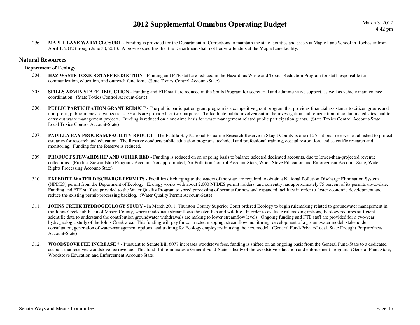296.**MAPLE LANE WARM CLOSURE -** Funding is provided for the Department of Corrections to maintain the state facilities and assets at Maple Lane School in Rochester from April 1, 2012 through June 30, 2013. A proviso specifies that the Department shall not house offenders at the Maple Lane facility.

#### **Natural Resources**

#### **Department of Ecology**

- 304. **HAZ WASTE TOXICS STAFF REDUCTION -** Funding and FTE staff are reduced in the Hazardous Waste and Toxics Reduction Program for staff responsible for communication, education, and outreach functions. (State Toxics Control Account-State)
- 305.**SPILLS ADMIN STAFF REDUCTION -** Funding and FTE staff are reduced in the Spills Program for secretarial and administrative support, as well as vehicle maintenance coordination. (State Toxics Control Account-State)
- 306.**PUBLIC PARTICIPATION GRANT REDUCT** - The public participation grant program is a competitive grant program that provides financial assistance to citizen groups and non-profit, public-interest organizations. Grants are provided for two purposes: To facilitate public involvement in the investigation and remediation of contaminated sites; and to carry out waste management projects. Funding is reduced on a one-time basis for waste management related public participation grants. (State Toxics Control Account-State, Local Toxics Control Account-State)
- 307.PADILLA BAY PROGRAM/FACILITY REDUCT - The Padilla Bay National Estuarine Research Reserve in Skagit County is one of 25 national reserves established to protect estuaries for research and education. The Reserve conducts public education programs, technical and professional training, coastal restoration, and scientific research and monitoring. Funding for the Reserve is reduced.
- 309.**PRODUCT STEWARDSHIP AND OTHER RED -** Funding is reduced on an ongoing basis to balance selected dedicated accounts, due to lower-than-projected revenue collections. (Product Stewardship Programs Account-Nonappropriated, Air Pollution Control Account-State, Wood Stove Education and Enforcement Account-State, Water Rights Processing Account-State)
- 310.**EXPEDITE WATER DISCHARGE PERMITS - Facilities discharging to the waters of the state are required to obtain a National Pollution Discharge Elimination System**  (NPDES) permit from the Department of Ecology. Ecology works with about 2,000 NPDES permit holders, and currently has approximately 75 percent of its permits up-to-date. Funding and FTE staff are provided to the Water Quality Program to speed processing of permits for new and expanded facilities in order to foster economic development and reduce the existing permit-processing backlog. (Water Quality Permit Account-State)
- 311.**JOHNS CREEK HYDROGEOLOGY STUDY - In March 2011, Thurston County Superior Court ordered Ecology to begin rulemaking related to groundwater management in** the Johns Creek sub-basin of Mason County, where inadequate streamflows threaten fish and wildlife. In order to evaluate rulemaking options, Ecology requires sufficient scientific data to understand the contribution groundwater withdrawals are making to lower streamflow levels. Ongoing funding and FTE staff are provided for a two-year hydrogeologic study of the Johns Creek area. This funding will pay for contracted mapping, streamflow monitoring, development of a groundwater model, stakeholder consultation, generation of water-management options, and training for Ecology employees in using the new model. (General Fund-Private/Local, State Drought Preparedness Account-State)
- 312. **WOODSTOVE FEE INCREASE \* -** Pursuant to Senate Bill 6077 increases woodstove fees, funding is shifted on an ongoing basis from the General Fund-State to a dedicated account that receives woodstove fee revenue. This fund shift eliminates a General Fund-State subsidy of the woodstove education and enforcement program. (General Fund-State; Woodstove Education and Enforcement Account-State)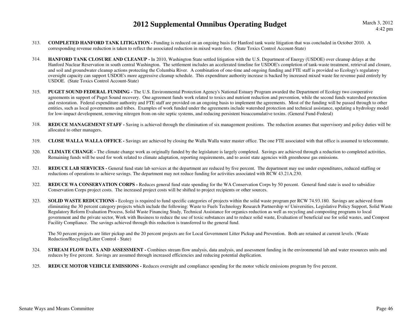- 313. **COMPLETED HANFORD TANK LITIGATION -** Funding is reduced on an ongoing basis for Hanford tank waste litigation that was concluded in October 2010. A corresponding revenue reduction is taken to reflect the associated reduction in mixed waste fees. (State Toxics Control Account-State)
- 314. **HANFORD TANK CLOSURE AND CLEANUP -** In 2010, Washington State settled litigation with the U.S. Department of Energy (USDOE) over cleanup delays at the Hanford Nuclear Reservation in south central Washington. The settlement includes an accelerated timeline for USDOE's completion of tank-waste treatment, retrieval and closure, and soil and groundwater cleanup actions protecting the Columbia River. A combination of one-time and ongoing funding and FTE staff is provided so Ecology's regulatory oversight capacity can support USDOE's more aggressive cleanup schedule. This expenditure authority increase is backed by increased mixed waste fee revenue paid entirely by USDOE. (State Toxics Control Account-State)
- 315. **PUGET SOUND FEDERAL FUNDING -** The U.S. Environmental Protection Agency's National Estuary Program awarded the Department of Ecology two cooperative agreements in support of Puget Sound recovery. One agreement funds work related to toxics and nutrient reduction and prevention, while the second funds watershed protection and restoration. Federal expenditure authority and FTE staff are provided on an ongoing basis to implement the agreements. Most of the funding will be passed through to other entities, such as local governments and tribes. Examples of work funded under the agreements include watershed protection and technical assistance, updating a hydrology model for low-impact development, removing nitrogen from on-site septic systems, and reducing persistent bioaccumulative toxins. (General Fund-Federal)
- 318.**REDUCE MANAGEMENT STAFF** - Saving is achieved through the elimination of six management positions. The reduction assumes that supervisory and policy duties will be allocated to other managers.
- 319.**CLOSE WALLA WALLA OFFICE -** Savings are achieved by closing the Walla Walla water master office. The one FTE associated with that office is assumed to telecommute.
- 320. **CLIMATE CHANGE -** The climate change work as originally funded by the legislature is largely completed. Savings are achieved through a reduction to completed activities. Remaining funds will be used for work related to climate adaptation, reporting requirements, and to assist state agencies with greenhouse gas emissions.
- 321. **REDUCE LAB SERVICES -** General fund state lab services at the department are reduced by five percent. The department may use under expenditures, reduced staffing or reductions of operations to achieve savings. The department may not reduce funding for activities associated with RCW 43.21A.230.
- 322. **REDUCE WA CONSERVATION CORPS -** Reduces general fund state spending for the WA Conservation Corps by 50 percent. General fund state is used to subsidize Conservation Corps project costs. The increased project costs will be shifted to project recipients or other sources.
- 323.**SOLID WASTE REDUCTIONS -** Ecology is required to fund specific categories of projects within the solid waste program per RCW 74.93.180. Savings are achieved from eliminating the 30 percent category projects which include the following: Waste to Fuels Technology Research Partnership w/ Universities, Legislative Policy Support, Solid WasteRegulatory Reform Evaluation Process, Solid Waste Financing Study, Technical Assistance for organics reduction as well as recycling and composting programs to local government and the private sector, Work with Business to reduce the use of toxic substances and to reduce solid waste, Evaluation of beneficial use for solid wastes, and Compost Facility Compliance. The savings achieved through this reduction is transferred to the general fund.

The 50 percent projects are litter pickup and the 20 percent projects are for Local Government Litter Pickup and Prevention. Both are retained at current levels. (Waste Reduction/Recycling/Litter Control - State)

- 324.**STREAM FLOW DATA AND ASSESSMENT** - Combines stream flow analysis, data analysis, and assessment funding in the environmental lab and water resources units and reduces by five percent. Savings are assumed through increased efficiencies and reducing potential duplication.
- 325.**REDUCE MOTOR VEHICLE EMISSIONS -** Reduces oversight and compliance spending for the motor vehicle emissions program by five percent.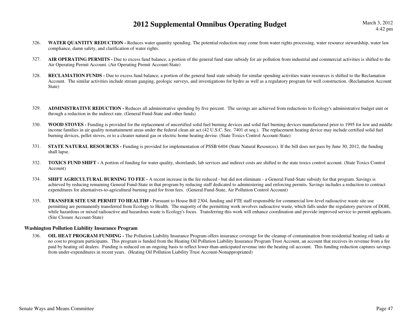- 326.**WATER QUANTITY REDUCTION -** Reduces water quantity spending. The potential reduction may come from water rights processing, water resource stewardship, water law compliance, damn safety, and clarification of water rights.
- 327.AIR OPERATING PERMITS - Due to excess fund balance, a portion of the general fund state subsidy for air pollution from industrial and commercial activities is shifted to the Air Operating Permit Account. (Air Operating Permit Account-State)
- 328.**RECLAMATION FUNDS** - Due to excess fund balance, a portion of the general fund state subsidy for similar spending activities water resources is shifted to the Reclamation Account. The similar activities include stream gauging, geologic surveys, and investigations for hydro as well as a regulatory program for well construction. (Reclamation Account State)
- 329.ADMINISTRATIVE REDUCTION - Reduces all administrative spending by five percent. The savings are achieved from reductions to Ecology's administrative budget unit or through a reduction in the indirect rate. (General Fund-State and other funds)
- 330.WOOD STOVES - Funding is provided for the replacement of uncertified solid fuel burning devices and solid fuel burning devices manufactured prior to 1995 for low and middle income families in air quality nonattainment areas under the federal clean air act (42 U.S.C. Sec. 7401 et seq.). The replacement heating device may include certified solid fuel burning devices, pellet stoves, or to a cleaner natural gas or electric home heating devise. (State Toxics Control Account-State)
- 331.**STATE NATURAL RESOURCES -** Funding is provided for implementation of PSSB 6404 (State Natural Resources). If the bill does not pass by June 30, 2012, the funding shall lapse.
- 332. **TOXICS FUND SHIFT -** A portion of funding for water quality, shorelands, lab services and indirect costs are shifted to the state toxics control account. (State Toxics Control Account)
- 334.**SHIFT AGRICULTURAL BURNING TO FEE -** A recent increase in the fee reduced - but did not eliminate - a General Fund-State subsidy for that program. Savings is achieved by reducing remaining General Fund-State in that program by reducing staff dedicated to administering and enforcing permits. Savings includes a reduction to contract expenditures for alternatives-to-agricultural burning paid for from fees. (General Fund-State, Air Pollution Control Account)
- 335. **TRANSFER SITE USE PERMIT TO HEALTH# -** Pursuant to House Bill 2304, funding and FTE staff responsible for commercial low-level radioactive waste site use permitting are permanently transferred from Ecology to Health. The majority of the permitting work involves radioactive waste, which falls under the regulatory purview of DOH, while hazardous or mixed radioactive and hazardous waste is Ecology's focus. Transferring this work will enhance coordination and provide improved service to permit applicants. (Site Closure Account-State)

#### **Washington Pollution Liability Insurance Program**

 **OIL HEAT PROGRAM FUNDING -** The Pollution Liability Insurance Program offers insurance coverage for the cleanup of contamination from residential heating oil tanks at 336. no cost to program participants. This program is funded from the Heating Oil Pollution Liability Insurance Program Trust Account, an account that receives its revenue from a fee paid by heating oil dealers. Funding is reduced on an ongoing basis to reflect lower-than-anticipated revenue into the heating oil account. This funding reduction captures savings from under-expenditures in recent years. (Heating Oil Pollution Liability Trust Account-Nonappropriated)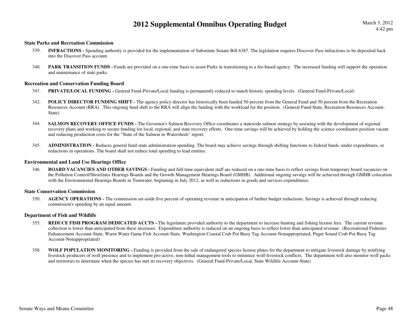#### **State Parks and Recreation Commission**

- **INFRACTIONS** Spending authority is provided for the implementation of Substitute Senate Bill 6387. The legislation requires Discover Pass infractions to be deposited back 339.into the Discover Pass account.
- 340. **PARK TRANSITION FUNDS** Funds are provided on a one-time basis to assist Parks in transitioning to a fee-based agency. The increased funding will support the operation and maintenance of state parks.

#### **Recreation and Conservation Funding Board**

- 341.**PRIVATE/LOCAL FUNDING - General Fund-Private/Local funding is permanently reduced to match historic spending levels. (General Fund-Private/Local)**
- 342.**POLICY DIRECTOR FUNDING SHIFT** - The agency policy director has historically been funded 50 percent from the General Fund and 50 percent from the Recreation Resources Account (RRA). This ongoing fund shift to the RRA will align the funding with the workload for the position. (General Fund-State, Recreation Resources Account-State)
- 344.**SALMON RECOVERY OFFICE FUNDS -** The Governor's Salmon Recovery Office coordinates a statewide salmon strategy by assisting with the development of regional recovery plans and working to secure funding for local, regional, and state recovery efforts. One-time savings will be achieved by holding the science coordinator position vacant and reducing production costs for the "State of the Salmon in Watersheds" report.
- 345. **ADMINISTRATION -** Reduces general fund-state administration spending. The board may achieve savings through shifting functions to federal funds, under expenditures, or reductions in operations. The board shall not reduce total spending to lead entities.

#### **Environmental and Land Use Hearings Office**

346.**BOARD VACANCIES AND OTHER SAVINGS - Funding and full-time equivalent staff are reduced on a one-time basis to reflect savings from temporary board vacancies on**  the Pollution Control/Shorelines Hearings Boards and the Growth Management Hearings Board (GMHB). Additional ongoing savings will be achieved through GMHB colocation with the Environmental Hearings Boards in Tumwater, beginning in July 2012, as well as reductions in goods and services expenditures.

#### **State Conservation Commission**

350.**AGENCY OPERATIONS** - The commission set-aside five percent of operating revenue in anticipation of further budget reductions. Savings is achieved through reducing commission's spending by an equal amount.

#### **Department of Fish and Wildlife**

- 355.**REDUCE FISH PROGRAM DEDICATED ACCTS -** The legislature provided authority to the department to increase hunting and fishing license fees. The current revenue collection is lower than anticipated from these increases. Expenditure authority is reduced on an ongoing basis to reflect lower than anticipated revenue. (Recreational Fisheries Enhancement Account-State, Warm Water Game Fish Account-State, Washington Coastal Crab Pot Buoy Tag Account-Nonappropriated, Puget Sound Crab Pot Buoy Tag Account-Nonappropriated)
- 358. **WOLF POPULATION MONITORING -** Funding is provided from the sale of endangered species license plates for the department to mitigate livestock damage by notifying livestock producers of wolf presence and to implement pro-active, non-lethal management tools to minimize wolf-livestock conflicts. The department will also monitor wolf packs and territories to determine when the species has met its recovery objectives. (General Fund-Private/Local, State Wildlife Account-State)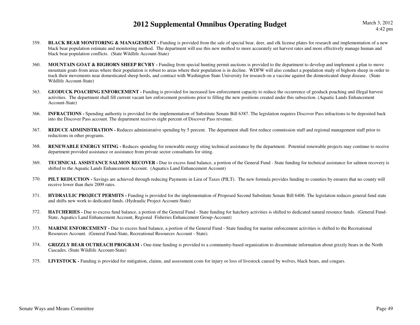- 359.**BLACK BEAR MONITORING & MANAGEMENT** - Funding is provided from the sale of special bear, deer, and elk license plates for research and implementation of a new black bear population estimate and monitoring method. The department will use this new method to more accurately set harvest rates and more effectively manage human and black bear population conflicts. (State Wildlife Account-State)
- 360.**MOUNTAIN GOAT & BIGHORN SHEEP RCVRY** - Funding from special hunting permit auctions is provided to the department to develop and implement a plan to move mountain goats from areas where their population is robust to areas where their population is in decline. WDFW will also conduct a population study of bighorn sheep in order to track their movements near domesticated sheep herds, and contract with Washington State University for research on a vaccine against the domesticated sheep disease. (State Wildlife Account-State)
- 363.**GEODUCK POACHING ENFORCEMENT** - Funding is provided for increased law enforcement capacity to reduce the occurrence of geoduck poaching and illegal harvest activities. The department shall fill current vacant law enforcement positions prior to filling the new positions created under this subsection. (Aquatic Lands Enhancement Account-State)
- 366. **INFRACTIONS -** Spending authority is provided for the implementation of Substitute Senate Bill 6387. The legislation requires Discover Pass infractions to be deposited back into the Discover Pass account. The department receives eight percent of Discover Pass revenue.
- 367.**REDUCE ADMINISTRATION -** Reduces administrative spending by 5 percent. The department shall first reduce commission staff and regional management staff prior to reductions in other programs.
- 368. **RENEWABLE ENERGY SITING -** Reduces spending for renewable energy siting technical assistance by the department. Potential renewable projects may continue to receive department provided assistance or assistance from private sector consultants for siting.
- 369.**TECHNICAL ASSISTANCE SALMON RECOVER -** Due to excess fund balance, a portion of the General Fund - State funding for technical assistance for salmon recovery is shifted to the Aquatic Lands Enhancement Account. (Aquatics Land Enhancement Account)
- 370.**PILT REDUCTION -** Savings are achieved through reducing Payments in Lieu of Taxes (PILT). The new formula provides funding to counties by ensures that no county will receive lower than their 2009 rates.
- 371. **HYDRAULIC PROJECT PERMITS -** Funding is provided for the implementation of Proposed Second Substitute Senate Bill 6406. The legislation reduces general fund state and shifts new work to dedicated funds. (Hydraulic Project Account-State)
- 372. **HATCHERIES -** Due to excess fund balance, a portion of the General Fund - State funding for hatchery activities is shifted to dedicated natural resource funds. (General Fund-State, Aquatics Land Enhancement Account, Regional Fisheries Enhancement Group-Account)
- 373. **MARINE ENFORCEMENT -** Due to excess fund balance, a portion of the General Fund - State funding for marine enforcement activities is shifted to the Recreational Resources Account. (General Fund-State, Recreational Resources Account - State).
- 374.**GRIZZLY BEAR OUTREACH PROGRAM -** One-time funding is provided to a community-based organization to disseminate information about grizzly bears in the North Cascades. (State Wildlife Account-State)
- 375.**LIVESTOCK -** Funding is provided for mitigation, claims, and assessment costs for injury or loss of livestock caused by wolves, black bears, and cougars.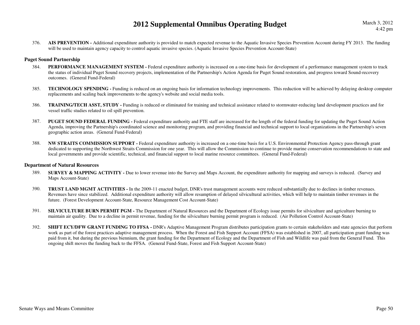376. **AIS PREVENTION -** Additional expenditure authority is provided to match expected revenue to the Aquatic Invasive Species Prevention Account during FY 2013. The funding will be used to maintain agency capacity to control aquatic invasive species. (Aquatic Invasive Species Prevention Account-State)

#### **Puget Sound Partnership**

- **PERFORMANCE MANAGEMENT SYSTEM** Federal expenditure authority is increased on a one-time basis for development of a performance management system to track 384.the status of individual Puget Sound recovery projects, implementation of the Partnership's Action Agenda for Puget Sound restoration, and progress toward Sound-recovery outcomes. (General Fund-Federal)
- 385. **TECHNOLOGY SPENDING -** Funding is reduced on an ongoing basis for information technology improvements. This reduction will be achieved by delaying desktop computer replacements and scaling back improvements to the agency's website and social media tools.
- 386. **TRAINING/TECH ASST, STUDY -** Funding is reduced or eliminated for training and technical assistance related to stormwater-reducing land development practices and for vessel traffic studies related to oil spill prevention.
- 387.**PUGET SOUND FEDERAL FUNDING -** Federal expenditure authority and FTE staff are increased for the length of the federal funding for updating the Puget Sound Action Agenda, improving the Partnership's coordinated science and monitoring program, and providing financial and technical support to local organizations in the Partnership's seven geographic action areas. (General Fund-Federal)
- 388. **NW STRAITS COMMISSION SUPPORT -** Federal expenditure authority is increased on a one-time basis for a U.S. Environmental Protection Agency pass-through grant dedicated to supporting the Northwest Straits Commission for one year. This will allow the Commission to continue to provide marine conservation recommendations to state and local governments and provide scientific, technical, and financial support to local marine resource committees. (General Fund-Federal)

#### **Department of Natural Resources**

- 389. **SURVEY & MAPPING ACTIVITY -** Due to lower revenue into the Survey and Maps Account, the expenditure authority for mapping and surveys is reduced. (Survey and Maps Account-State)
- 390. **TRUST LAND MGMT ACTIVITIES -** In the 2009-11 enacted budget, DNR's trust management accounts were reduced substantially due to declines in timber revenues. Revenues have since stabilized. Additional expenditure authority will allow resumption of delayed silvicultural activities, which will help to maintain timber revenues in the future. (Forest Development Account-State, Resource Management Cost Account-State)
- 391.**SILVICULTURE BURN PERMIT PGM -** The Department of Natural Resources and the Department of Ecology issue permits for silviculture and agriculture burning to maintain air quality. Due to a decline in permit revenue, funding for the silviculture burning permit program is reduced. (Air Pollution Control Account-State)
- 392.**SHIFT ECY/DFW GRANT FUNDING TO FFSA -** DNR's Adaptive Management Program distributes participation grants to certain stakeholders and state agencies that perform work as part of the forest practices adaptive management process. When the Forest and Fish Support Account (FFSA) was established in 2007, all participation grant funding was paid from it, but during the previous biennium, the grant funding for the Department of Ecology and the Department of Fish and Wildlife was paid from the General Fund. This ongoing shift moves the funding back to the FFSA. (General Fund-State, Forest and Fish Support Account-State)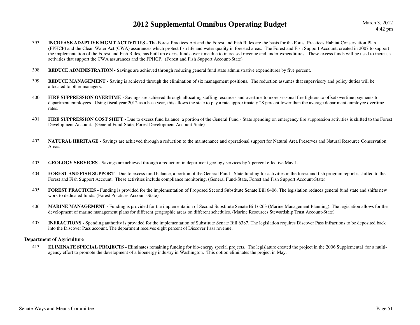March 3, 20124:42 pm

- 393. **INCREASE ADAPTIVE MGMT ACTIVITIES -** The Forest Practices Act and the Forest and Fish Rules are the basis for the Forest Practices Habitat Conservation Plan (FPHCP) and the Clean Water Act (CWA) assurances which protect fish life and water quality in forested areas. The Forest and Fish Support Account, created in 2007 to support the implementation of the Forest and Fish Rules, has built up excess funds over time due to increased revenue and under-expenditures. These excess funds will be used to increase activities that support the CWA assurances and the FPHCP. (Forest and Fish Support Account-State)
- 398.**REDUCE ADMINISTRATION -** Savings are achieved through reducing general fund state administrative expenditures by five percent.
- 399.**REDUCE MANAGEMENT** - Saving is achieved through the elimination of six management positions. The reduction assumes that supervisory and policy duties will be allocated to other managers.
- 400.**FIRE SUPPRESSION OVERTIME** - Savings are achieved through allocating staffing resources and overtime to more seasonal fire fighters to offset overtime payments to department employees. Using fiscal year 2012 as a base year, this allows the state to pay a rate approximately 28 percent lower than the average department employee overtime rates.
- 401. **FIRE SUPPRESSION COST SHIFT -** Due to excess fund balance, a portion of the General Fund - State spending on emergency fire suppression activities is shifted to the Forest Development Account. (General Fund-State, Forest Development Account-State)
- 402.**NATURAL HERITAGE -** Savings are achieved through a reduction to the maintenance and operational support for Natural Area Preserves and Natural Resource Conservation Areas.
- 403.**GEOLOGY SERVICES -** Savings are achieved through a reduction in department geology services by 7 percent effective May 1.
- 404. **FOREST AND FISH SUPPORT -** Due to excess fund balance, a portion of the General Fund - State funding for activities in the forest and fish program report is shifted to the Forest and Fish Support Account. These activities include compliance monitoring. (General Fund-State, Forest and Fish Support Account-State)
- 405.FOREST PRACTICES - Funding is provided for the implementation of Proposed Second Substitute Senate Bill 6406. The legislation reduces general fund state and shifts new work to dedicated funds. (Forest Practices Account-State)
- 406.**MARINE MANAGEMENT** - Funding is provided for the implementation of Second Substitute Senate Bill 6263 (Marine Management Planning). The legislation allows for the development of marine management plans for different geographic areas on different schedules. (Marine Resources Stewardship Trust Account-State)
- 407. **INFRACTIONS -** Spending authority is provided for the implementation of Substitute Senate Bill 6387. The legislation requires Discover Pass infractions to be deposited back into the Discover Pass account. The department receives eight percent of Discover Pass revenue.

#### **Department of Agriculture**

413. **ELIMINATE SPECIAL PROJECTS -** Eliminates remaining funding for bio-energy special projects. The legislature created the project in the 2006 Supplemental for a multiagency effort to promote the development of a bioenergy industry in Washington. This option eliminates the project in May.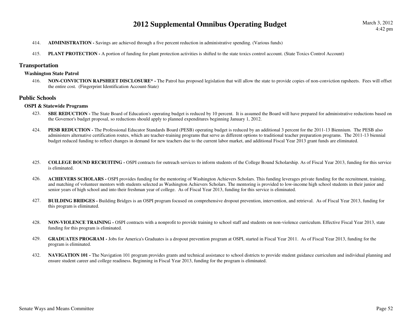- 414.**ADMINISTRATION -** Savings are achieved through a five percent reduction in administrative spending. (Various funds)
- 415.**PLANT PROTECTION -** A portion of funding for plant protection activities is shifted to the state toxics control account. (State Toxics Control Account)

#### **Transportation**

#### **Washington State Patrol**

416. **NON-CONVICTION RAPSHEET DISCLOSURE\* -** The Patrol has proposed legislation that will allow the state to provide copies of non-conviction rapsheets. Fees will offset the entire cost. (Fingerprint Identification Account-State)

#### **Public Schools**

#### **OSPI & Statewide Programs**

- 423.**SBE REDUCTION** - The State Board of Education's operating budget is reduced by 10 percent. It is assumed the Board will have prepared for administrative reductions based on the Governor's budget proposal, so reductions should apply to planned expenditures beginning January 1, 2012.
- 424.**PESB REDUCTION -** The Professional Educator Standards Board (PESB) operating budget is reduced by an additional 3 percent for the 2011-13 Biennium. The PESB also administers alternative certification routes, which are teacher-training programs that serve as different options to traditional teacher preparation programs. The 2011-13 biennial budget reduced funding to reflect changes in demand for new teachers due to the current labor market, and additional Fiscal Year 2013 grant funds are eliminated.
- 425. **COLLEGE BOUND RECRUITING -** OSPI contracts for outreach services to inform students of the College Bound Scholarship. As of Fiscal Year 2013, funding for this service is eliminated.
- 426. **ACHIEVERS SCHOLARS -** OSPI provides funding for the mentoring of Washington Achievers Scholars. This funding leverages private funding for the recruitment, training, and matching of volunteer mentors with students selected as Washington Achievers Scholars. The mentoring is provided to low-income high school students in their junior and senior years of high school and into their freshman year of college. As of Fiscal Year 2013, funding for this service is eliminated.
- 427. **BUILDING BRIDGES -** Building Bridges is an OSPI program focused on comprehensive dropout prevention, intervention, and retrieval. As of Fiscal Year 2013, funding for this program is eliminated.
- 428.**NON-VIOLENCE TRAINING - OSPI** contracts with a nonprofit to provide training to school staff and students on non-violence curriculum. Effective Fiscal Year 2013, state funding for this program is eliminated.
- 429.**GRADUATES PROGRAM -** Jobs for America's Graduates is a dropout prevention program at OSPI, started in Fiscal Year 2011. As of Fiscal Year 2013, funding for the program is eliminated.
- 432.**NAVIGATION 101** - The Navigation 101 program provides grants and technical assistance to school districts to provide student guidance curriculum and individual planning and ensure student career and college readiness. Beginning in Fiscal Year 2013, funding for the program is eliminated.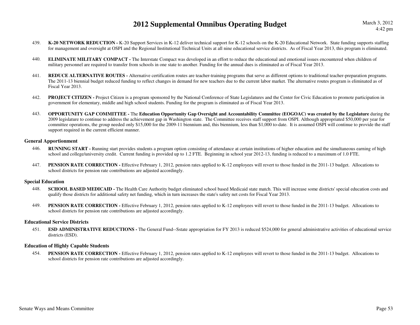- 439.**K-20 NETWORK REDUCTION - K-20** Support Services in K-12 deliver technical support for K-12 schools on the K-20 Educational Network. State funding supports staffing for management and oversight at OSPI and the Regional Institutional Technical Units at all nine educational service districts. As of Fiscal Year 2013, this program is eliminated.
- 440.**ELIMINATE MILITARY COMPACT -** The Interstate Compact was developed in an effort to reduce the educational and emotional issues encountered when children of military personnel are required to transfer from schools in one state to another. Funding for the annual dues is eliminated as of Fiscal Year 2013.
- 441. **REDUCE ALTERNATIVE ROUTES -** Alternative certification routes are teacher-training programs that serve as different options to traditional teacher-preparation programs. The 2011-13 biennial budget reduced funding to reflect changes in demand for new teachers due to the current labor market. The alternative routes program is eliminated as of Fiscal Year 2013.
- 442. **PROJECT CITIZEN -** Project Citizen is a program sponsored by the National Conference of State Legislatures and the Center for Civic Education to promote participation in government for elementary, middle and high school students. Funding for the program is eliminated as of Fiscal Year 2013.
- 443. **OPPORTUNITY GAP COMMITTEE -** The **Education Opportunity Gap Oversight and Accountability Committee (EOGOAC) was created by the Legislature** during the 2009 legislature to continue to address the achievement gap in Washington state. The Committee receives staff support from OSPI. Although appropriated \$50,000 per year for committee operations, the group needed only \$15,000 for the 2009-11 biennium and, this biennium, less than \$1,000 to-date. It is assumed OSPI will continue to provide the staff support required in the current efficient manner.

#### **General Apportionment**

- 446. **RUNNING START -** Running start provides students a program option consisting of attendance at certain institutions of higher education and the simultaneous earning of high school and college/university credit. Current funding is provided up to 1.2 FTE. Beginning in school year 2012-13, funding is reduced to a maximum of 1.0 FTE.
- 447.**PENSION RATE CORRECTION -** Effective February 1, 2012, pension rates applied to K-12 employees will revert to those funded in the 2011-13 budget. Allocations to school districts for pension rate contributions are adjusted accordingly.

#### **Special Education**

- 448.**SCHOOL BASED MEDICAID -** The Health Care Authority budget eliminated school based Medicaid state match. This will increase some districts' special education costs and qualify those districts for additional safety net funding, which in turn increases the state's safety net costs for Fiscal Year 2013.
- 449.**PENSION RATE CORRECTION -** Effective February 1, 2012, pension rates applied to K-12 employees will revert to those funded in the 2011-13 budget. Allocations to school districts for pension rate contributions are adjusted accordingly.

#### **Educational Service Districts**

451. **ESD ADMINISTRATIVE REDUCTIONS -** The General Fund--Sstate appropriation for FY 2013 is reduced \$524,000 for general administrative activities of educational service districts (ESD).

#### **Education of Highly Capable Students**

454.**PENSION RATE CORRECTION -** Effective February 1, 2012, pension rates applied to K-12 employees will revert to those funded in the 2011-13 budget. Allocations to school districts for pension rate contributions are adjusted accordingly.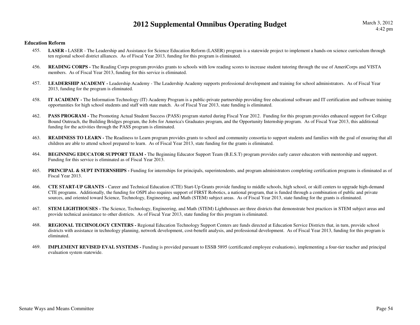#### **Education Reform**

- **LASER** LASER The Leadership and Assistance for Science Education Reform (LASER) program is a statewide project to implement a hands-on science curriculum through 455.ten regional school district alliances. As of Fiscal Year 2013, funding for this program is eliminated.
- 456.**READING CORPS** - The Reading Corps program provides grants to schools with low reading scores to increase student tutoring through the use of AmeriCorps and VISTA members. As of Fiscal Year 2013, funding for this service is eliminated.
- 457. **LEADERSHIP ACADEMY** Leadership Academy The Leadership Academy supports professional development and training for school administrators. As of Fiscal Year 2013, funding for the program is eliminated.
- 458. **IT ACADEMY -** The Information Technology (IT) Academy Program is a public-private partnership providing free educational software and IT certification and software training opportunities for high school students and staff with state match. As of Fiscal Year 2013, state funding is eliminated.
- 462.**PASS PROGRAM -** The Promoting Actual Student Success (PASS) program started during Fiscal Year 2012. Funding for this program provides enhanced support for College Bound Outreach, the Building Bridges program, the Jobs for America's Graduates program, and the Opportunity Internship program. As of Fiscal Year 2013, this additional funding for the activities through the PASS program is eliminated.
- 463.**READINESS TO LEARN** - The Readiness to Learn program provides grants to school and community consortia to support students and families with the goal of ensuring that all children are able to attend school prepared to learn. As of Fiscal Year 2013, state funding for the grants is eliminated.
- 464.**BEGINNING EDUCATOR SUPPORT TEAM - The Beginning Educator Support Team (B.E.S.T) program provides early career educators with mentorship and support.** Funding for this service is eliminated as of Fiscal Year 2013.
- 465.**PRINCIPAL & SUPT INTERNSHIPS** - Funding for internships for principals, superintendents, and program administrators completing certification programs is eliminated as of Fiscal Year 2013.
- 466. **CTE START-UP GRANTS -** Career and Technical Education (CTE) Start-Up Grants provide funding to middle schools, high school, or skill centers to upgrade high-demand CTE programs. Additionally, the funding for OSPI also requires support of FIRST Robotics, a national program, that is funded through a combination of public and private sources, and oriented toward Science, Technology, Engineering, and Math (STEM) subject areas. As of Fiscal Year 2013, state funding for the grants is eliminated.
- 467. **STEM LIGHTHOUSES -** The Science, Technology, Engineering, and Math (STEM) Lighthouses are three districts that demonstrate best practices in STEM subject areas and provide technical assistance to other districts. As of Fiscal Year 2013, state funding for this program is eliminated.
- 468. **REGIONAL TECHNOLOGY CENTERS -** Regional Education Technology Support Centers are funds directed at Education Service Districts that, in turn, provide school districts with assistance in technology planning, network development, cost-benefit analysis, and professional development. As of Fiscal Year 2013, funding for this program is eliminated.
- 469. **IMPLEMENT REVISED EVAL SYSTEMS -** Funding is provided pursuant to ESSB 5895 (certificated employee evaluations), implementing a four-tier teacher and principal evaluation system statewide.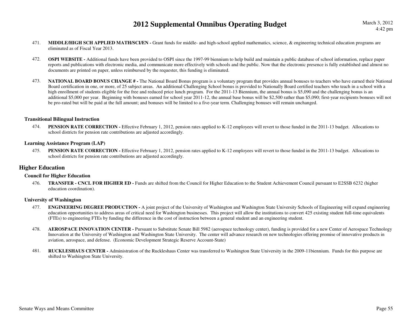- 471.**MIDDLE/HIGH SCH APPLIED MATH/SCI/EN - Grant funds for middle- and high-school applied mathematics, science, & engineering technical education programs are** eliminated as of Fiscal Year 2013.
- 472.**OSPI WEBSITE** - Additional funds have been provided to OSPI since the 1997-99 biennium to help build and maintain a public database of school information, replace paper reports and publications with electronic media, and communicate more effectively with schools and the public. Now that the electronic presence is fully established and almost no documents are printed on paper, unless reimbursed by the requester, this funding is eliminated.
- 473.**NATIONAL BOARD BONUS CHANGE # -** The National Board Bonus program is a voluntary program that provides annual bonuses to teachers who have earned their National Board certification in one, or more, of 25 subject areas. An additional Challenging School bonus is provided to Nationally Board certified teachers who teach in a school with a high enrollment of students eligible for the free and reduced price lunch program. For the 2011-13 Biennium, the annual bonus is \$5,090 and the challenging bonus is an additional \$5,000 per year. Beginning with bonuses earned for school year 2011-12, the annual base bonus will be \$2,500 rather than \$5,090; first-year recipients bonuses will not be pro-rated but will be paid at the full amount; and bonuses will be limited to a five-year term. Challenging bonuses will remain unchanged.

#### **Transitional Bilingual Instruction**

474.**PENSION RATE CORRECTION -** Effective February 1, 2012, pension rates applied to K-12 employees will revert to those funded in the 2011-13 budget. Allocations to school districts for pension rate contributions are adjusted accordingly.

#### **Learning Assistance Program (LAP)**

475.**PENSION RATE CORRECTION -** Effective February 1, 2012, pension rates applied to K-12 employees will revert to those funded in the 2011-13 budget. Allocations to school districts for pension rate contributions are adjusted accordingly.

#### **Higher Education**

#### **Council for Higher Education**

476. **TRANSFER - CNCL FOR HIGHER ED -** Funds are shifted from the Council for Higher Education to the Student Achievement Council pursuant to E2SSB 6232 (higher education coordination).

#### **University of Washington**

- 477. **ENGINEERING DEGREE PRODUCTION** A joint project of the University of Washington and Washington State University Schools of Engineering will expand engineering education opportunities to address areas of critical need for Washington businesses. This project will allow the institutions to convert 425 existing student full-time equivalents (FTEs) to engineering FTEs by funding the difference in the cost of instruction between a general student and an engineering student.
- 478.**AEROSPACE INNOVATION CENTER -** Pursuant to Substitute Senate Bill 5982 (aerospace technology center), funding is provided for a new Center of Aerospace Technology Innovation at the University of Washington and Washington State University. The center will advance research on new technologies offering promise of innovative products in aviation, aerospace, and defense. (Economic Development Strategic Reserve Account-State)
- 481. **RUCKLESHAUS CENTER -** Administration of the Ruckleshaus Center was transferred to Washington State University in the 2009-11biennium. Funds for this purpose are shifted to Washington State University.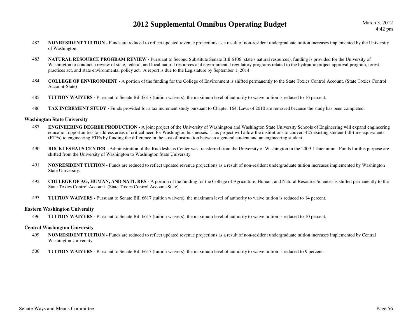- 482.**NONRESIDENT TUITION** - Funds are reduced to reflect updated revenue projections as a result of non-resident undergraduate tuition increases implemented by the University of Washington.
- 483. **NATURAL RESOURCE PROGRAM REVIEW -** Pursuant to Second Substitute Senate Bill 6406 (state's natural resources), funding is provided for the University of Washington to conduct a review of state, federal, and local natural resources and environmental regulatory programs related to the hydraulic project approval program, forest practices act, and state environmental policy act. A report is due to the Legislature by September 1, 2014.
- 484. **COLLEGE OF ENVIRONMENT -** A portion of the funding for the College of Environment is shifted permanently to the State Toxics Control Account. (State Toxics Control Account-State)
- 485.**TUITION WAIVERS -** Pursuant to Senate Bill 6617 (tuition waivers), the maximum level of authority to waive tuition is reduced to 16 percent.
- 486.**TAX INCREMENT STUDY** - Funds provided for a tax increment study pursuant to Chapter 164, Laws of 2010 are removed because the study has been completed.

#### **Washington State University**

- 487. **ENGINEERING DEGREE PRODUCTION -** A joint project of the University of Washington and Washington State University Schools of Engineering will expand engineering education opportunities to address areas of critical need for Washington businesses. This project will allow the institutions to convert 425 existing student full-time equivalents (FTEs) to engineering FTEs by funding the difference in the cost of instruction between a general student and an engineering student.
- 490. **RUCKLESHAUS CENTER -** Administration of the Ruckleshaus Center was transferred from the University of Washington in the 2009-11biennium. Funds for this purpose are shifted from the University of Washington to Washington State University.
- 491.**NONRESIDENT TUITION** - Funds are reduced to reflect updated revenue projections as a result of non-resident undergraduate tuition increases implemented by Washington State University.
- 492. **COLLEGE OF AG, HUMAN, AND NATL RES -** A portion of the funding for the College of Agriculture, Human, and Natural Resource Sciences is shifted permanently to the State Toxics Control Account. (State Toxics Control Account-State)
- 493.**TUITION WAIVERS -** Pursuant to Senate Bill 6617 (tuition waivers), the maximum level of authority to waive tuition is reduced to 14 percent.

#### **Eastern Washington University**

496.**TUITION WAIVERS -** Pursuant to Senate Bill 6617 (tuition waivers), the maximum level of authority to waive tuition is reduced to 10 percent.

#### **Central Washington University**

- 499.**NONRESIDENT TUITION -** Funds are reduced to reflect updated revenue projections as a result of non-resident undergraduate tuition increases implemented by Central Washington University.
- 500.**TUITION WAIVERS -** Pursuant to Senate Bill 6617 (tuition waivers), the maximum level of authority to waive tuition is reduced to 9 percent.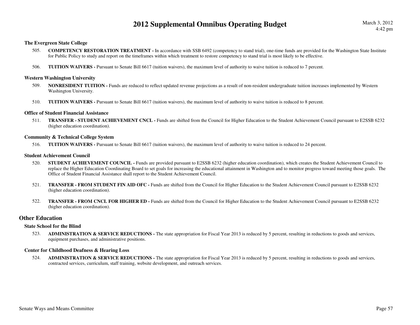#### **The Evergreen State College**

- 505. **COMPETENCY RESTORATION TREATMENT -** In accordance with SSB 6492 (competency to stand trial), one-time funds are provided for the Washington State Institute for Public Policy to study and report on the timeframes within which treatment to restore competency to stand trial is most likely to be effective.
- 506.**TUITION WAIVERS -** Pursuant to Senate Bill 6617 (tuition waivers), the maximum level of authority to waive tuition is reduced to 7 percent.

#### **Western Washington University**

- 509.**NONRESIDENT TUITION -** Funds are reduced to reflect updated revenue projections as a result of non-resident undergraduate tuition increases implemented by Western Washington University.
- 510.**TUITION WAIVERS -** Pursuant to Senate Bill 6617 (tuition waivers), the maximum level of authority to waive tuition is reduced to 8 percent.

#### **Office of Student Financial Assistance**

511. **TRANSFER - STUDENT ACHIEVEMENT CNCL -** Funds are shifted from the Council for Higher Education to the Student Achievement Council pursuant to E2SSB 6232 (higher education coordination).

#### **Community & Technical College System**

 **TUITION WAIVERS -** Pursuant to Senate Bill 6617 (tuition waivers), the maximum level of authority to waive tuition is reduced to 24 percent.516.

#### **Student Achievement Council**

- 520.**STUDENT ACHIEVEMENT COUNCIL -** Funds are provided pursuant to E2SSB 6232 (higher education coordination), which creates the Student Achievement Council to replace the Higher Education Coordinating Board to set goals for increasing the educational attainment in Washington and to monitor progress toward meeting those goals. The Office of Student Financial Assistance shall report to the Student Achievement Council.
- 521. **TRANSFER - FROM STUDENT FIN AID OFC -** Funds are shifted from the Council for Higher Education to the Student Achievement Council pursuant to E2SSB 6232 (higher education coordination).
- 522. **TRANSFER - FROM CNCL FOR HIGHER ED -** Funds are shifted from the Council for Higher Education to the Student Achievement Council pursuant to E2SSB 6232 (higher education coordination).

#### **Other Education**

#### **State School for the Blind**

523. **ADMINISTRATION & SERVICE REDUCTIONS -** The state appropriation for Fiscal Year 2013 is reduced by 5 percent, resulting in reductions to goods and services, equipment purchases, and administrative positions.

#### **Center for Childhood Deafness & Hearing Loss**

524. **ADMINISTRATION & SERVICE REDUCTIONS -** The state appropriation for Fiscal Year 2013 is reduced by 5 percent, resulting in reductions to goods and services, contracted services, curriculum, staff training, website development, and outreach services.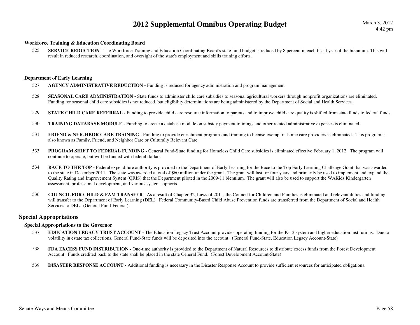#### **Workforce Training & Education Coordinating Board**

SERVICE REDUCTION - The Workforce Training and Education Coordinating Board's state fund budget is reduced by 8 percent in each fiscal year of the biennium. This will 525.result in reduced research, coordination, and oversight of the state's employment and skills training efforts.

#### **Department of Early Learning**

- 527.**AGENCY ADMINISTRATIVE REDUCTION -** Funding is reduced for agency administration and program management
- 528.**SEASONAL CARE ADMINISTRATION -** State funds to administer child care subsidies to seasonal agricultural workers through nonprofit organizations are eliminated. Funding for seasonal child care subsidies is not reduced, but eligibility determinations are being administered by the Department of Social and Health Services.
- 529.**STATE CHILD CARE REFERRAL -** Funding to provide child care resource information to parents and to improve child care quality is shifted from state funds to federal funds.
- 530.**TRAINING DATABASE MODULE -** Funding to create a database module on subsidy payment trainings and other related administrative expenses is eliminated.
- 531.**FRIEND & NEIGHBOR CARE TRAINING** - Funding to provide enrichment programs and training to license-exempt in-home care providers is eliminated. This program is also known as Family, Friend, and Neighbor Care or Culturally Relevant Care.
- 533.**PROGRAM SHIFT TO FEDERAL FUNDING -** General Fund-State funding for Homeless Child Care subsidies is eliminated effective February 1, 2012. The program will continue to operate, but will be funded with federal dollars.
- 534.**RACE TO THE TOP** - Federal expenditure authority is provided to the Department of Early Learning for the Race to the Top Early Learning Challenge Grant that was awarded to the state in December 2011. The state was awarded a total of \$60 million under the grant. The grant will last for four years and primarily be used to implement and expand the Quality Rating and Improvement System (QRIS) that the Department piloted in the 2009-11 biennium. The grant will also be used to support the WAKids Kindergarten assessment, professional development, and various system supports.
- 536. **COUNCIL FOR CHILD & FAM TRANSFER -** As a result of Chapter 32, Laws of 2011, the Council for Children and Families is eliminated and relevant duties and funding will transfer to the Department of Early Learning (DEL). Federal Community-Based Child Abuse Prevention funds are transferred from the Department of Social and Health Services to DEL. (General Fund-Federal)

#### **Special Appropriations**

#### **Special Appropriations to the Governor**

- 537. **EDUCATION LEGACY TRUST ACCOUNT -** The Education Legacy Trust Account provides operating funding for the K-12 system and higher education institutions. Due to volatility in estate tax collections, General Fund-State funds will be deposited into the account. (General Fund-State, Education Legacy Account-State)
- 538. **FDA EXCESS FUND DISTRIBUTION -** One-time authority is provided to the Department of Natural Resources to distribute excess funds from the Forest Development Account. Funds credited back to the state shall be placed in the state General Fund. (Forest Development Account-State)
- 539.**DISASTER RESPONSE ACCOUNT -** Additional funding is necessary in the Disaster Response Account to provide sufficient resources for anticipated obligations.